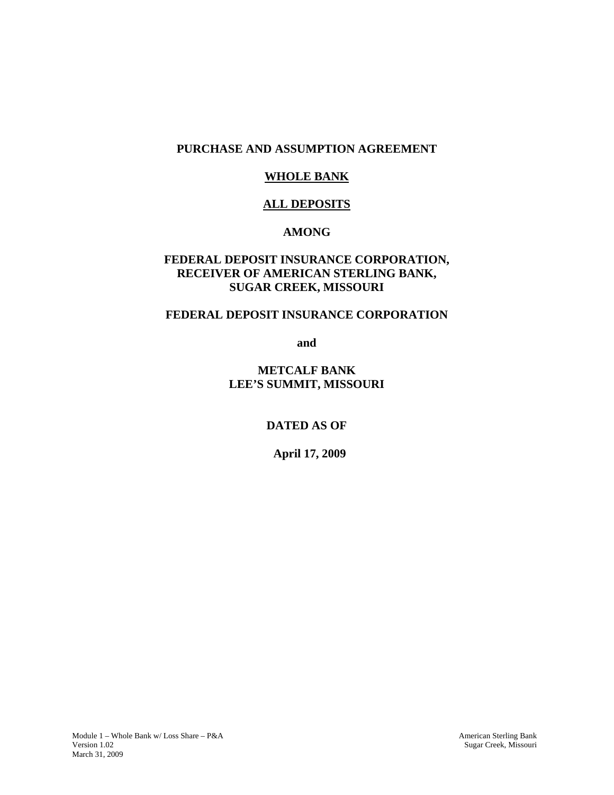#### **PURCHASE AND ASSUMPTION AGREEMENT**

#### **WHOLE BANK**

#### **ALL DEPOSITS**

#### **AMONG**

#### **FEDERAL DEPOSIT INSURANCE CORPORATION, RECEIVER OF AMERICAN STERLING BANK, SUGAR CREEK, MISSOURI**

#### **FEDERAL DEPOSIT INSURANCE CORPORATION**

**and** 

**METCALF BANK LEE'S SUMMIT, MISSOURI** 

**DATED AS OF**

**April 17, 2009**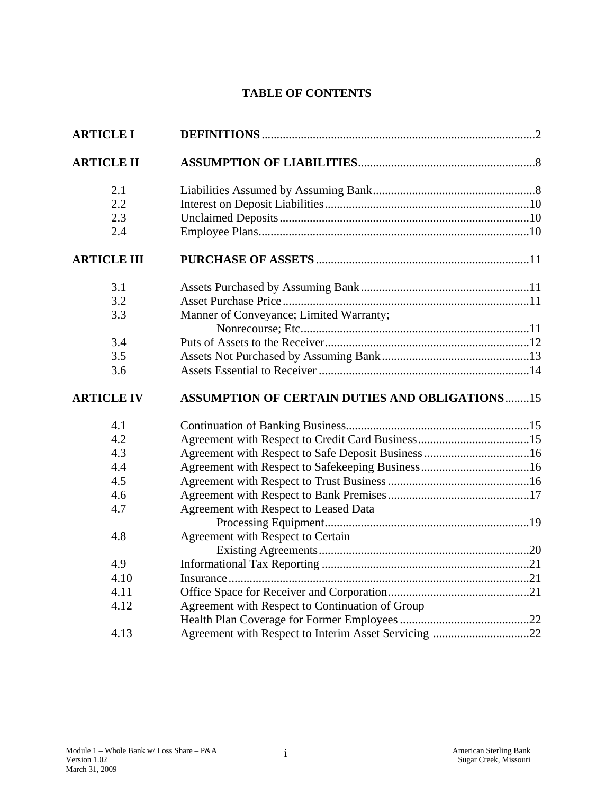# **TABLE OF CONTENTS**

| <b>ARTICLE I</b>   |                                                       |
|--------------------|-------------------------------------------------------|
| <b>ARTICLE II</b>  |                                                       |
| 2.1                |                                                       |
| 2.2                |                                                       |
| 2.3                |                                                       |
| 2.4                |                                                       |
| <b>ARTICLE III</b> |                                                       |
| 3.1                |                                                       |
| 3.2                |                                                       |
| 3.3                | Manner of Conveyance; Limited Warranty;               |
|                    |                                                       |
| 3.4                |                                                       |
| 3.5                |                                                       |
| 3.6                |                                                       |
| <b>ARTICLE IV</b>  | <b>ASSUMPTION OF CERTAIN DUTIES AND OBLIGATIONS15</b> |
| 4.1                |                                                       |
| 4.2                |                                                       |
| 4.3                |                                                       |
| 4.4                |                                                       |
| 4.5                |                                                       |
| 4.6                |                                                       |
| 4.7                | Agreement with Respect to Leased Data                 |
|                    |                                                       |
| 4.8                | Agreement with Respect to Certain                     |
|                    |                                                       |
| 4.9                |                                                       |
| 4.10               |                                                       |
| 4.11               |                                                       |
| 4.12               | Agreement with Respect to Continuation of Group       |
|                    |                                                       |
| 4.13               | Agreement with Respect to Interim Asset Servicing 22  |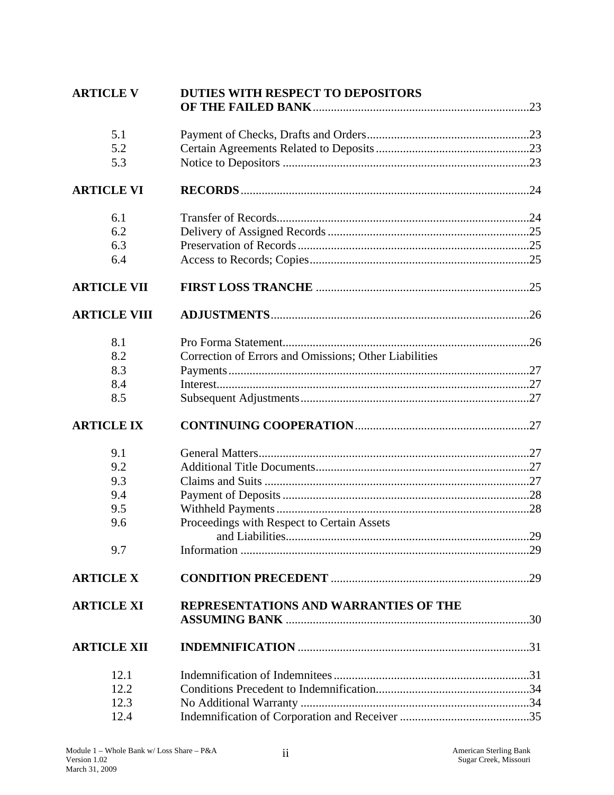| <b>ARTICLE V</b>    | <b>DUTIES WITH RESPECT TO DEPOSITORS</b>              |  |
|---------------------|-------------------------------------------------------|--|
| 5.1                 |                                                       |  |
| 5.2                 |                                                       |  |
| 5.3                 |                                                       |  |
| <b>ARTICLE VI</b>   |                                                       |  |
| 6.1                 |                                                       |  |
| 6.2                 |                                                       |  |
| 6.3                 |                                                       |  |
| 6.4                 |                                                       |  |
| <b>ARTICLE VII</b>  |                                                       |  |
| <b>ARTICLE VIII</b> |                                                       |  |
| 8.1                 |                                                       |  |
| 8.2                 | Correction of Errors and Omissions; Other Liabilities |  |
| 8.3                 |                                                       |  |
| 8.4                 |                                                       |  |
| 8.5                 |                                                       |  |
| <b>ARTICLE IX</b>   |                                                       |  |
| 9.1                 |                                                       |  |
| 9.2                 |                                                       |  |
| 9.3                 |                                                       |  |
| 9.4                 |                                                       |  |
| 9.5                 |                                                       |  |
| 9.6                 | Proceedings with Respect to Certain Assets            |  |
|                     |                                                       |  |
| 9.7                 |                                                       |  |
| <b>ARTICLE X</b>    |                                                       |  |
| <b>ARTICLE XI</b>   | REPRESENTATIONS AND WARRANTIES OF THE                 |  |
| <b>ARTICLE XII</b>  |                                                       |  |
| 12.1                |                                                       |  |
| 12.2                |                                                       |  |
| 12.3                |                                                       |  |
| 12.4                |                                                       |  |
|                     |                                                       |  |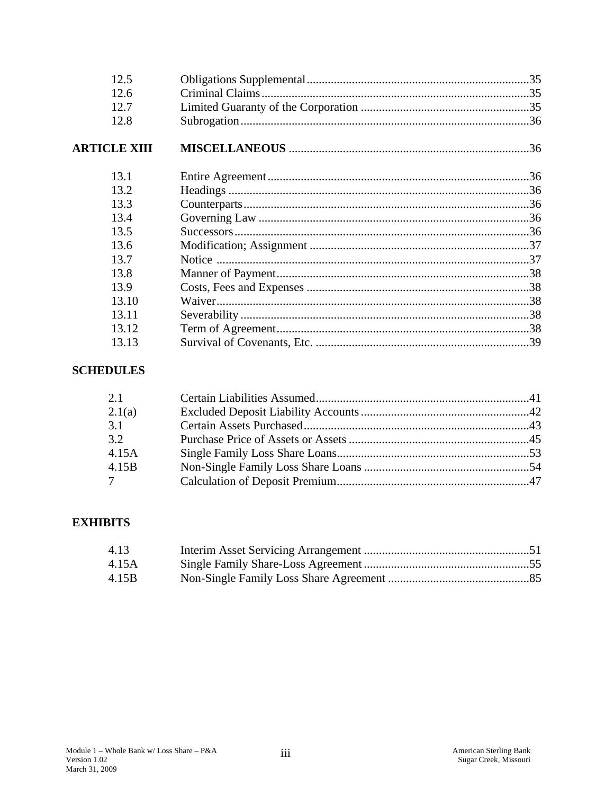| 12.5                |  |
|---------------------|--|
| 12.6                |  |
| 12.7                |  |
| 12.8                |  |
| <b>ARTICLE XIII</b> |  |
| 13.1                |  |
| 13.2                |  |
| 13.3                |  |
| 13.4                |  |
| 13.5                |  |
| 13.6                |  |
| 13.7                |  |
| 13.8                |  |
| 13.9                |  |
| 13.10               |  |
| 13.11               |  |
| 13.12               |  |
| 13.13               |  |

## **SCHEDULES**

| 2.1    |  |
|--------|--|
| 2.1(a) |  |
| 3.1    |  |
| 3.2    |  |
| 4.15A  |  |
| 4.15B  |  |
| 7      |  |

# **EXHIBITS**

| 4.13  |  |
|-------|--|
| 4.15A |  |
| 4.15B |  |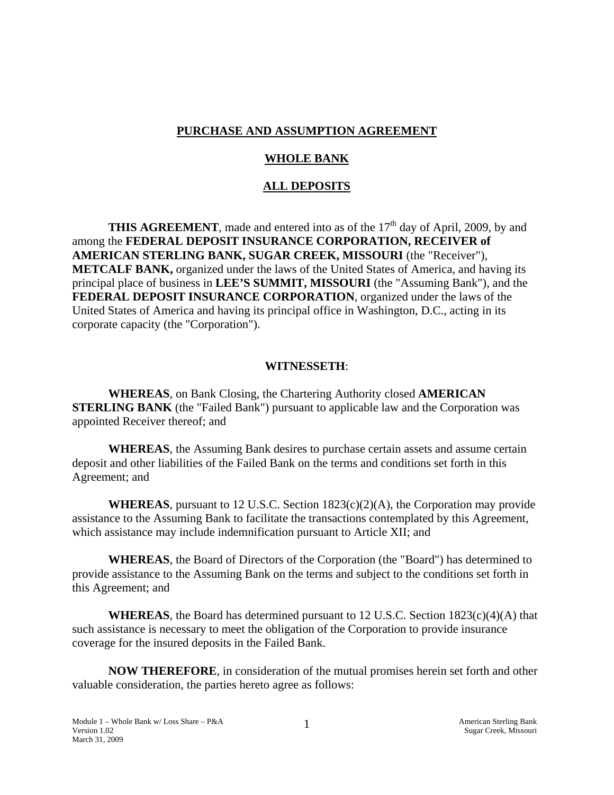#### **PURCHASE AND ASSUMPTION AGREEMENT**

### **WHOLE BANK**

### **ALL DEPOSITS**

**THIS AGREEMENT**, made and entered into as of the  $17<sup>th</sup>$  day of April, 2009, by and among the **FEDERAL DEPOSIT INSURANCE CORPORATION, RECEIVER of AMERICAN STERLING BANK, SUGAR CREEK, MISSOURI** (the "Receiver"), **METCALF BANK,** organized under the laws of the United States of America, and having its principal place of business in **LEE'S SUMMIT, MISSOURI** (the "Assuming Bank"), and the **FEDERAL DEPOSIT INSURANCE CORPORATION**, organized under the laws of the United States of America and having its principal office in Washington, D.C., acting in its corporate capacity (the "Corporation").

#### **WITNESSETH**:

**WHEREAS**, on Bank Closing, the Chartering Authority closed **AMERICAN STERLING BANK** (the "Failed Bank") pursuant to applicable law and the Corporation was appointed Receiver thereof; and

**WHEREAS**, the Assuming Bank desires to purchase certain assets and assume certain deposit and other liabilities of the Failed Bank on the terms and conditions set forth in this Agreement; and

**WHEREAS**, pursuant to 12 U.S.C. Section 1823(c)(2)(A), the Corporation may provide assistance to the Assuming Bank to facilitate the transactions contemplated by this Agreement, which assistance may include indemnification pursuant to Article XII; and

**WHEREAS**, the Board of Directors of the Corporation (the "Board") has determined to provide assistance to the Assuming Bank on the terms and subject to the conditions set forth in this Agreement; and

**WHEREAS**, the Board has determined pursuant to 12 U.S.C. Section 1823(c)(4)(A) that such assistance is necessary to meet the obligation of the Corporation to provide insurance coverage for the insured deposits in the Failed Bank.

 **NOW THEREFORE**, in consideration of the mutual promises herein set forth and other valuable consideration, the parties hereto agree as follows: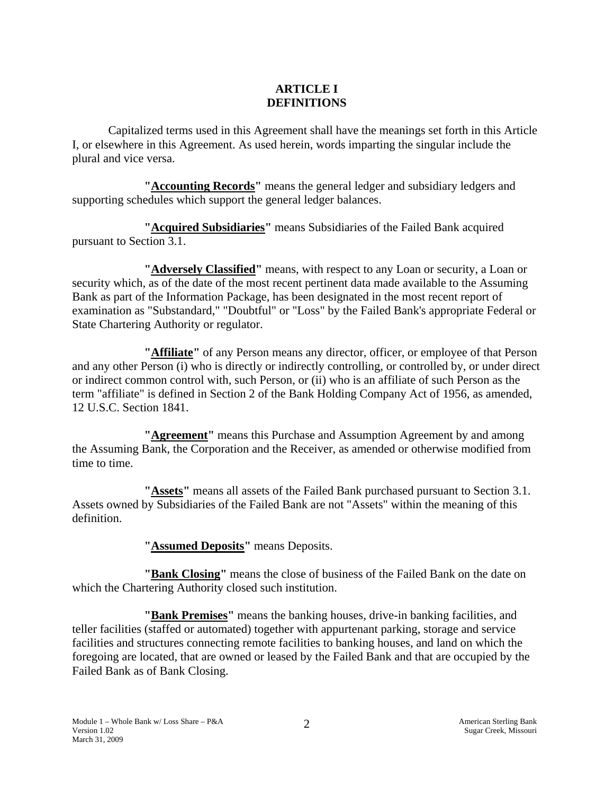### **ARTICLE I DEFINITIONS**

<span id="page-5-0"></span>Capitalized terms used in this Agreement shall have the meanings set forth in this Article I, or elsewhere in this Agreement. As used herein, words imparting the singular include the plural and vice versa.

**"Accounting Records"** means the general ledger and subsidiary ledgers and supporting schedules which support the general ledger balances.

**"Acquired Subsidiaries"** means Subsidiaries of the Failed Bank acquired pursuant to Section 3.1.

**"Adversely Classified"** means, with respect to any Loan or security, a Loan or security which, as of the date of the most recent pertinent data made available to the Assuming Bank as part of the Information Package, has been designated in the most recent report of examination as "Substandard," "Doubtful" or "Loss" by the Failed Bank's appropriate Federal or State Chartering Authority or regulator.

**"Affiliate"** of any Person means any director, officer, or employee of that Person and any other Person (i) who is directly or indirectly controlling, or controlled by, or under direct or indirect common control with, such Person, or (ii) who is an affiliate of such Person as the term "affiliate" is defined in Section 2 of the Bank Holding Company Act of 1956, as amended, 12 U.S.C. Section 1841.

**"Agreement"** means this Purchase and Assumption Agreement by and among the Assuming Bank, the Corporation and the Receiver, as amended or otherwise modified from time to time.

**"Assets"** means all assets of the Failed Bank purchased pursuant to Section 3.1. Assets owned by Subsidiaries of the Failed Bank are not "Assets" within the meaning of this definition.

**"Assumed Deposits"** means Deposits.

**"Bank Closing"** means the close of business of the Failed Bank on the date on which the Chartering Authority closed such institution.

**"Bank Premises"** means the banking houses, drive-in banking facilities, and teller facilities (staffed or automated) together with appurtenant parking, storage and service facilities and structures connecting remote facilities to banking houses, and land on which the foregoing are located, that are owned or leased by the Failed Bank and that are occupied by the Failed Bank as of Bank Closing.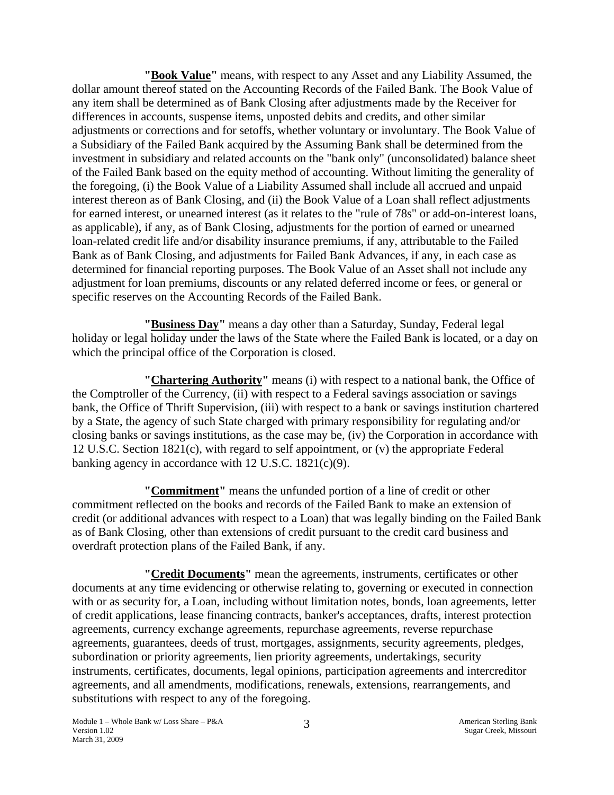**"Book Value"** means, with respect to any Asset and any Liability Assumed, the dollar amount thereof stated on the Accounting Records of the Failed Bank. The Book Value of any item shall be determined as of Bank Closing after adjustments made by the Receiver for differences in accounts, suspense items, unposted debits and credits, and other similar adjustments or corrections and for setoffs, whether voluntary or involuntary. The Book Value of a Subsidiary of the Failed Bank acquired by the Assuming Bank shall be determined from the investment in subsidiary and related accounts on the "bank only" (unconsolidated) balance sheet of the Failed Bank based on the equity method of accounting. Without limiting the generality of the foregoing, (i) the Book Value of a Liability Assumed shall include all accrued and unpaid interest thereon as of Bank Closing, and (ii) the Book Value of a Loan shall reflect adjustments for earned interest, or unearned interest (as it relates to the "rule of 78s" or add-on-interest loans, as applicable), if any, as of Bank Closing, adjustments for the portion of earned or unearned loan-related credit life and/or disability insurance premiums, if any, attributable to the Failed Bank as of Bank Closing, and adjustments for Failed Bank Advances, if any, in each case as determined for financial reporting purposes. The Book Value of an Asset shall not include any adjustment for loan premiums, discounts or any related deferred income or fees, or general or specific reserves on the Accounting Records of the Failed Bank.

**"Business Day"** means a day other than a Saturday, Sunday, Federal legal holiday or legal holiday under the laws of the State where the Failed Bank is located, or a day on which the principal office of the Corporation is closed.

**"Chartering Authority"** means (i) with respect to a national bank, the Office of the Comptroller of the Currency, (ii) with respect to a Federal savings association or savings bank, the Office of Thrift Supervision, (iii) with respect to a bank or savings institution chartered by a State, the agency of such State charged with primary responsibility for regulating and/or closing banks or savings institutions, as the case may be, (iv) the Corporation in accordance with 12 U.S.C. Section 1821(c), with regard to self appointment, or (v) the appropriate Federal banking agency in accordance with 12 U.S.C. 1821(c)(9).

**"Commitment"** means the unfunded portion of a line of credit or other commitment reflected on the books and records of the Failed Bank to make an extension of credit (or additional advances with respect to a Loan) that was legally binding on the Failed Bank as of Bank Closing, other than extensions of credit pursuant to the credit card business and overdraft protection plans of the Failed Bank, if any.

**"Credit Documents"** mean the agreements, instruments, certificates or other documents at any time evidencing or otherwise relating to, governing or executed in connection with or as security for, a Loan, including without limitation notes, bonds, loan agreements, letter of credit applications, lease financing contracts, banker's acceptances, drafts, interest protection agreements, currency exchange agreements, repurchase agreements, reverse repurchase agreements, guarantees, deeds of trust, mortgages, assignments, security agreements, pledges, subordination or priority agreements, lien priority agreements, undertakings, security instruments, certificates, documents, legal opinions, participation agreements and intercreditor agreements, and all amendments, modifications, renewals, extensions, rearrangements, and substitutions with respect to any of the foregoing.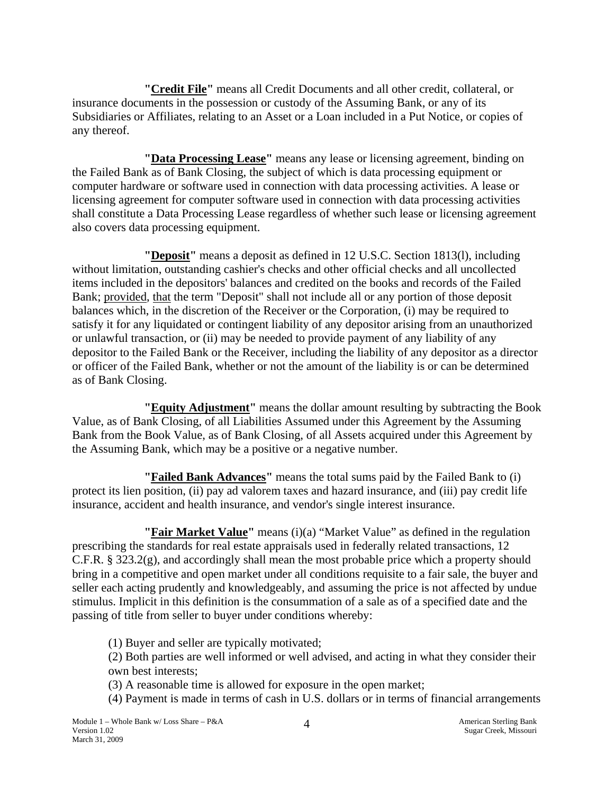**"Credit File"** means all Credit Documents and all other credit, collateral, or insurance documents in the possession or custody of the Assuming Bank, or any of its Subsidiaries or Affiliates, relating to an Asset or a Loan included in a Put Notice, or copies of any thereof.

**"Data Processing Lease"** means any lease or licensing agreement, binding on the Failed Bank as of Bank Closing, the subject of which is data processing equipment or computer hardware or software used in connection with data processing activities. A lease or licensing agreement for computer software used in connection with data processing activities shall constitute a Data Processing Lease regardless of whether such lease or licensing agreement also covers data processing equipment.

**"Deposit"** means a deposit as defined in 12 U.S.C. Section 1813(l), including without limitation, outstanding cashier's checks and other official checks and all uncollected items included in the depositors' balances and credited on the books and records of the Failed Bank; provided, that the term "Deposit" shall not include all or any portion of those deposit balances which, in the discretion of the Receiver or the Corporation, (i) may be required to satisfy it for any liquidated or contingent liability of any depositor arising from an unauthorized or unlawful transaction, or (ii) may be needed to provide payment of any liability of any depositor to the Failed Bank or the Receiver, including the liability of any depositor as a director or officer of the Failed Bank, whether or not the amount of the liability is or can be determined as of Bank Closing.

**"Equity Adjustment"** means the dollar amount resulting by subtracting the Book Value, as of Bank Closing, of all Liabilities Assumed under this Agreement by the Assuming Bank from the Book Value, as of Bank Closing, of all Assets acquired under this Agreement by the Assuming Bank, which may be a positive or a negative number.

**"Failed Bank Advances"** means the total sums paid by the Failed Bank to (i) protect its lien position, (ii) pay ad valorem taxes and hazard insurance, and (iii) pay credit life insurance, accident and health insurance, and vendor's single interest insurance.

**"Fair Market Value"** means (i)(a) "Market Value" as defined in the regulation prescribing the standards for real estate appraisals used in federally related transactions, 12 C.F.R. § 323.2(g), and accordingly shall mean the most probable price which a property should bring in a competitive and open market under all conditions requisite to a fair sale, the buyer and seller each acting prudently and knowledgeably, and assuming the price is not affected by undue stimulus. Implicit in this definition is the consummation of a sale as of a specified date and the passing of title from seller to buyer under conditions whereby:

(1) Buyer and seller are typically motivated;

(2) Both parties are well informed or well advised, and acting in what they consider their own best interests;

(3) A reasonable time is allowed for exposure in the open market;

(4) Payment is made in terms of cash in U.S. dollars or in terms of financial arrangements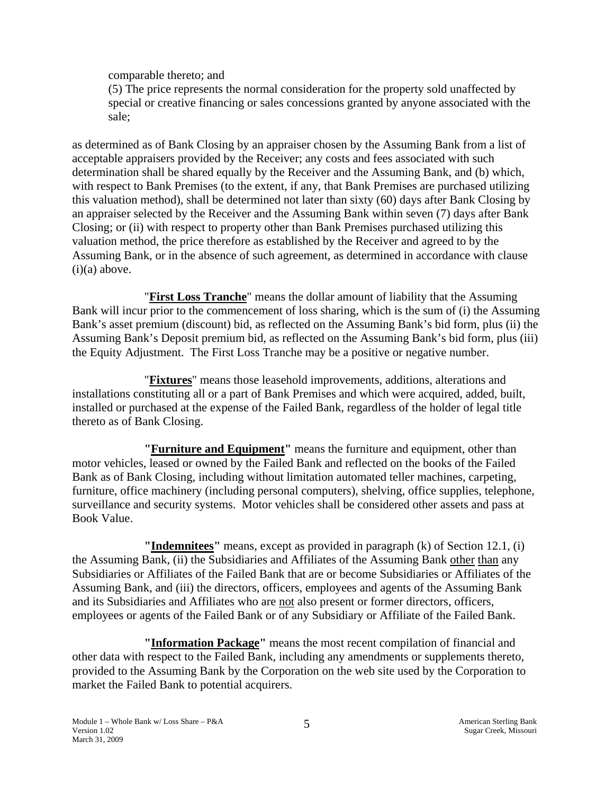comparable thereto; and

(5) The price represents the normal consideration for the property sold unaffected by special or creative financing or sales concessions granted by anyone associated with the sale;

as determined as of Bank Closing by an appraiser chosen by the Assuming Bank from a list of acceptable appraisers provided by the Receiver; any costs and fees associated with such determination shall be shared equally by the Receiver and the Assuming Bank, and (b) which, with respect to Bank Premises (to the extent, if any, that Bank Premises are purchased utilizing this valuation method), shall be determined not later than sixty (60) days after Bank Closing by an appraiser selected by the Receiver and the Assuming Bank within seven (7) days after Bank Closing; or (ii) with respect to property other than Bank Premises purchased utilizing this valuation method, the price therefore as established by the Receiver and agreed to by the Assuming Bank, or in the absence of such agreement, as determined in accordance with clause  $(i)(a)$  above.

"**First Loss Tranche**" means the dollar amount of liability that the Assuming Bank will incur prior to the commencement of loss sharing, which is the sum of (i) the Assuming Bank's asset premium (discount) bid, as reflected on the Assuming Bank's bid form, plus (ii) the Assuming Bank's Deposit premium bid, as reflected on the Assuming Bank's bid form, plus (iii) the Equity Adjustment. The First Loss Tranche may be a positive or negative number.

"**Fixtures**" means those leasehold improvements, additions, alterations and installations constituting all or a part of Bank Premises and which were acquired, added, built, installed or purchased at the expense of the Failed Bank, regardless of the holder of legal title thereto as of Bank Closing.

**"Furniture and Equipment"** means the furniture and equipment, other than motor vehicles, leased or owned by the Failed Bank and reflected on the books of the Failed Bank as of Bank Closing, including without limitation automated teller machines, carpeting, furniture, office machinery (including personal computers), shelving, office supplies, telephone, surveillance and security systems. Motor vehicles shall be considered other assets and pass at Book Value.

**"Indemnitees"** means, except as provided in paragraph (k) of Section 12.1, (i) the Assuming Bank, (ii) the Subsidiaries and Affiliates of the Assuming Bank other than any Subsidiaries or Affiliates of the Failed Bank that are or become Subsidiaries or Affiliates of the Assuming Bank, and (iii) the directors, officers, employees and agents of the Assuming Bank and its Subsidiaries and Affiliates who are not also present or former directors, officers, employees or agents of the Failed Bank or of any Subsidiary or Affiliate of the Failed Bank.

**"Information Package"** means the most recent compilation of financial and other data with respect to the Failed Bank, including any amendments or supplements thereto, provided to the Assuming Bank by the Corporation on the web site used by the Corporation to market the Failed Bank to potential acquirers.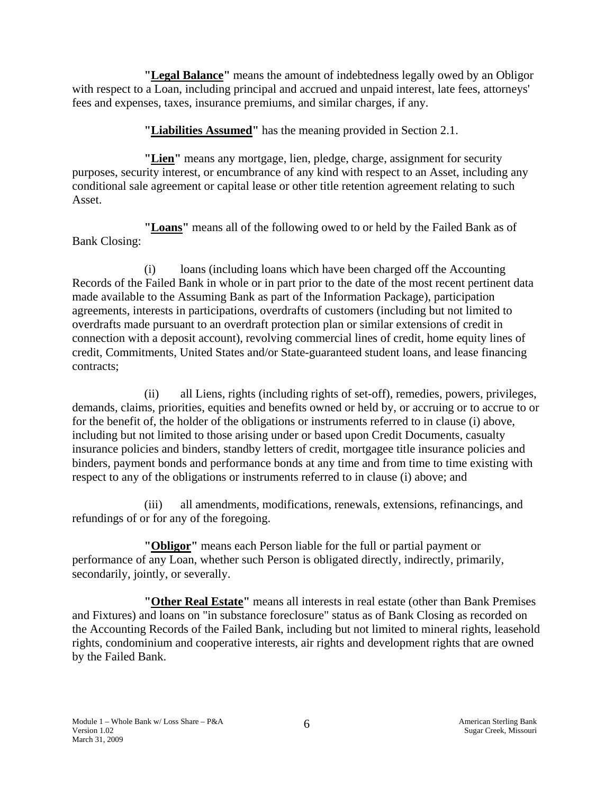**"Legal Balance"** means the amount of indebtedness legally owed by an Obligor with respect to a Loan, including principal and accrued and unpaid interest, late fees, attorneys' fees and expenses, taxes, insurance premiums, and similar charges, if any.

**"Liabilities Assumed"** has the meaning provided in Section 2.1.

**"Lien"** means any mortgage, lien, pledge, charge, assignment for security purposes, security interest, or encumbrance of any kind with respect to an Asset, including any conditional sale agreement or capital lease or other title retention agreement relating to such Asset.

**"Loans"** means all of the following owed to or held by the Failed Bank as of Bank Closing:

(i) loans (including loans which have been charged off the Accounting Records of the Failed Bank in whole or in part prior to the date of the most recent pertinent data made available to the Assuming Bank as part of the Information Package), participation agreements, interests in participations, overdrafts of customers (including but not limited to overdrafts made pursuant to an overdraft protection plan or similar extensions of credit in connection with a deposit account), revolving commercial lines of credit, home equity lines of credit, Commitments, United States and/or State-guaranteed student loans, and lease financing contracts;

(ii) all Liens, rights (including rights of set-off), remedies, powers, privileges, demands, claims, priorities, equities and benefits owned or held by, or accruing or to accrue to or for the benefit of, the holder of the obligations or instruments referred to in clause (i) above, including but not limited to those arising under or based upon Credit Documents, casualty insurance policies and binders, standby letters of credit, mortgagee title insurance policies and binders, payment bonds and performance bonds at any time and from time to time existing with respect to any of the obligations or instruments referred to in clause (i) above; and

(iii) all amendments, modifications, renewals, extensions, refinancings, and refundings of or for any of the foregoing.

**"Obligor"** means each Person liable for the full or partial payment or performance of any Loan, whether such Person is obligated directly, indirectly, primarily, secondarily, jointly, or severally.

**"Other Real Estate"** means all interests in real estate (other than Bank Premises and Fixtures) and loans on "in substance foreclosure" status as of Bank Closing as recorded on the Accounting Records of the Failed Bank, including but not limited to mineral rights, leasehold rights, condominium and cooperative interests, air rights and development rights that are owned by the Failed Bank.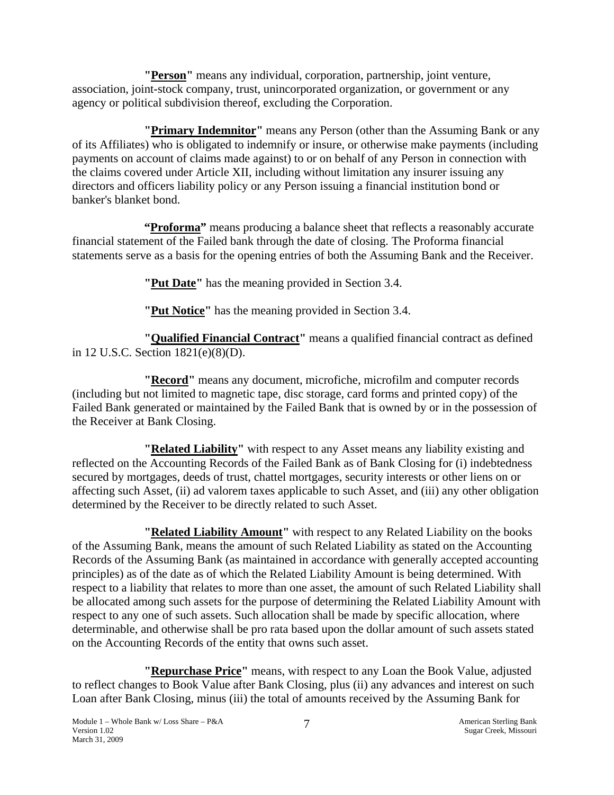**"Person"** means any individual, corporation, partnership, joint venture, association, joint-stock company, trust, unincorporated organization, or government or any agency or political subdivision thereof, excluding the Corporation.

**"Primary Indemnitor"** means any Person (other than the Assuming Bank or any of its Affiliates) who is obligated to indemnify or insure, or otherwise make payments (including payments on account of claims made against) to or on behalf of any Person in connection with the claims covered under Article XII, including without limitation any insurer issuing any directors and officers liability policy or any Person issuing a financial institution bond or banker's blanket bond.

**"Proforma"** means producing a balance sheet that reflects a reasonably accurate financial statement of the Failed bank through the date of closing. The Proforma financial statements serve as a basis for the opening entries of both the Assuming Bank and the Receiver.

**"Put Date"** has the meaning provided in Section 3.4.

**"Put Notice"** has the meaning provided in Section 3.4.

**"Qualified Financial Contract"** means a qualified financial contract as defined in 12 U.S.C. Section 1821(e)(8)(D).

**"Record"** means any document, microfiche, microfilm and computer records (including but not limited to magnetic tape, disc storage, card forms and printed copy) of the Failed Bank generated or maintained by the Failed Bank that is owned by or in the possession of the Receiver at Bank Closing.

**"Related Liability"** with respect to any Asset means any liability existing and reflected on the Accounting Records of the Failed Bank as of Bank Closing for (i) indebtedness secured by mortgages, deeds of trust, chattel mortgages, security interests or other liens on or affecting such Asset, (ii) ad valorem taxes applicable to such Asset, and (iii) any other obligation determined by the Receiver to be directly related to such Asset.

**"Related Liability Amount"** with respect to any Related Liability on the books of the Assuming Bank, means the amount of such Related Liability as stated on the Accounting Records of the Assuming Bank (as maintained in accordance with generally accepted accounting principles) as of the date as of which the Related Liability Amount is being determined. With respect to a liability that relates to more than one asset, the amount of such Related Liability shall be allocated among such assets for the purpose of determining the Related Liability Amount with respect to any one of such assets. Such allocation shall be made by specific allocation, where determinable, and otherwise shall be pro rata based upon the dollar amount of such assets stated on the Accounting Records of the entity that owns such asset.

 **"Repurchase Price"** means, with respect to any Loan the Book Value, adjusted to reflect changes to Book Value after Bank Closing, plus (ii) any advances and interest on such Loan after Bank Closing, minus (iii) the total of amounts received by the Assuming Bank for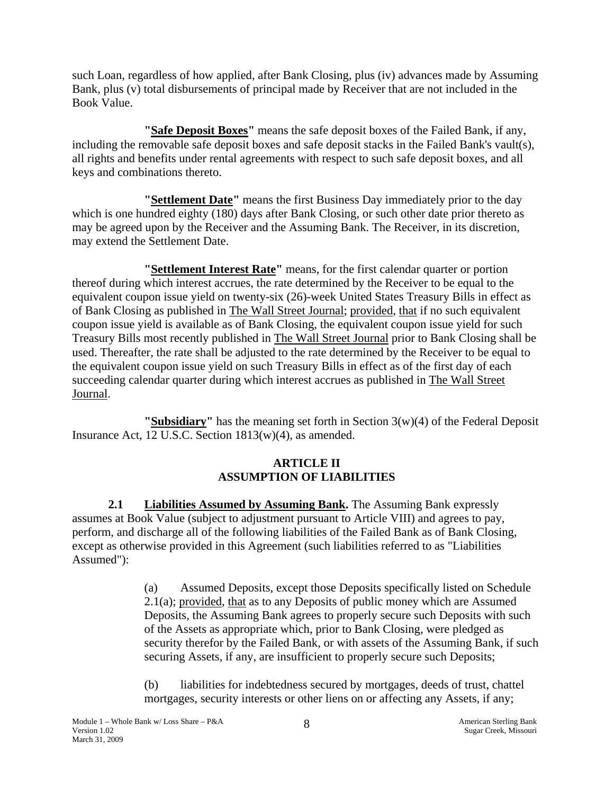<span id="page-11-0"></span>such Loan, regardless of how applied, after Bank Closing, plus (iv) advances made by Assuming Bank, plus (v) total disbursements of principal made by Receiver that are not included in the Book Value.

**"Safe Deposit Boxes"** means the safe deposit boxes of the Failed Bank, if any, including the removable safe deposit boxes and safe deposit stacks in the Failed Bank's vault(s), all rights and benefits under rental agreements with respect to such safe deposit boxes, and all keys and combinations thereto.

**"Settlement Date"** means the first Business Day immediately prior to the day which is one hundred eighty (180) days after Bank Closing, or such other date prior thereto as may be agreed upon by the Receiver and the Assuming Bank. The Receiver, in its discretion, may extend the Settlement Date.

**"Settlement Interest Rate"** means, for the first calendar quarter or portion thereof during which interest accrues, the rate determined by the Receiver to be equal to the equivalent coupon issue yield on twenty-six (26)-week United States Treasury Bills in effect as of Bank Closing as published in The Wall Street Journal; provided, that if no such equivalent coupon issue yield is available as of Bank Closing, the equivalent coupon issue yield for such Treasury Bills most recently published in The Wall Street Journal prior to Bank Closing shall be used. Thereafter, the rate shall be adjusted to the rate determined by the Receiver to be equal to the equivalent coupon issue yield on such Treasury Bills in effect as of the first day of each succeeding calendar quarter during which interest accrues as published in The Wall Street Journal.

**"Subsidiary"** has the meaning set forth in Section 3(w)(4) of the Federal Deposit Insurance Act, 12 U.S.C. Section 1813(w)(4), as amended.

### **ARTICLE II ASSUMPTION OF LIABILITIES**

 **2.1 Liabilities Assumed by Assuming Bank.** The Assuming Bank expressly assumes at Book Value (subject to adjustment pursuant to Article VIII) and agrees to pay, perform, and discharge all of the following liabilities of the Failed Bank as of Bank Closing, except as otherwise provided in this Agreement (such liabilities referred to as "Liabilities Assumed"):

> (a) Assumed Deposits, except those Deposits specifically listed on Schedule 2.1(a); provided, that as to any Deposits of public money which are Assumed Deposits, the Assuming Bank agrees to properly secure such Deposits with such of the Assets as appropriate which, prior to Bank Closing, were pledged as security therefor by the Failed Bank, or with assets of the Assuming Bank, if such securing Assets, if any, are insufficient to properly secure such Deposits;

(b) liabilities for indebtedness secured by mortgages, deeds of trust, chattel mortgages, security interests or other liens on or affecting any Assets, if any;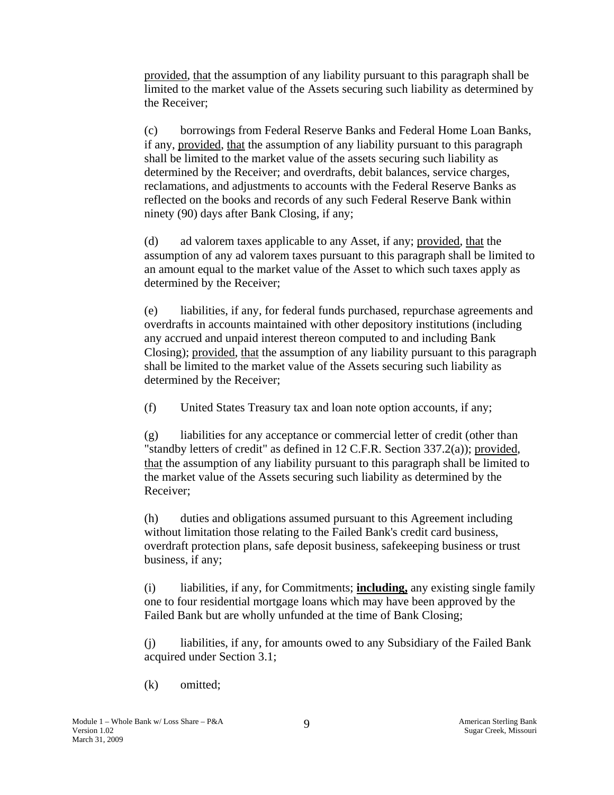provided, that the assumption of any liability pursuant to this paragraph shall be limited to the market value of the Assets securing such liability as determined by the Receiver;

(c) borrowings from Federal Reserve Banks and Federal Home Loan Banks, if any, provided, that the assumption of any liability pursuant to this paragraph shall be limited to the market value of the assets securing such liability as determined by the Receiver; and overdrafts, debit balances, service charges, reclamations, and adjustments to accounts with the Federal Reserve Banks as reflected on the books and records of any such Federal Reserve Bank within ninety (90) days after Bank Closing, if any;

(d) ad valorem taxes applicable to any Asset, if any; provided, that the assumption of any ad valorem taxes pursuant to this paragraph shall be limited to an amount equal to the market value of the Asset to which such taxes apply as determined by the Receiver;

(e) liabilities, if any, for federal funds purchased, repurchase agreements and overdrafts in accounts maintained with other depository institutions (including any accrued and unpaid interest thereon computed to and including Bank Closing); provided, that the assumption of any liability pursuant to this paragraph shall be limited to the market value of the Assets securing such liability as determined by the Receiver;

(f) United States Treasury tax and loan note option accounts, if any;

(g) liabilities for any acceptance or commercial letter of credit (other than "standby letters of credit" as defined in 12 C.F.R. Section 337.2(a)); provided, that the assumption of any liability pursuant to this paragraph shall be limited to the market value of the Assets securing such liability as determined by the Receiver;

(h) duties and obligations assumed pursuant to this Agreement including without limitation those relating to the Failed Bank's credit card business, overdraft protection plans, safe deposit business, safekeeping business or trust business, if any;

(i) liabilities, if any, for Commitments; **including,** any existing single family one to four residential mortgage loans which may have been approved by the Failed Bank but are wholly unfunded at the time of Bank Closing;

(j) liabilities, if any, for amounts owed to any Subsidiary of the Failed Bank acquired under Section 3.1;

(k) omitted;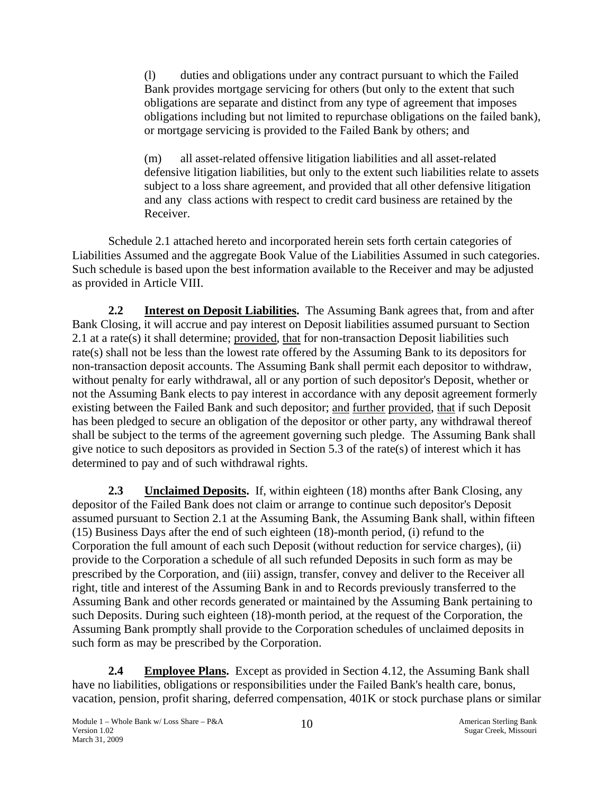<span id="page-13-0"></span>(l) duties and obligations under any contract pursuant to which the Failed Bank provides mortgage servicing for others (but only to the extent that such obligations are separate and distinct from any type of agreement that imposes obligations including but not limited to repurchase obligations on the failed bank), or mortgage servicing is provided to the Failed Bank by others; and

(m) all asset-related offensive litigation liabilities and all asset-related defensive litigation liabilities, but only to the extent such liabilities relate to assets subject to a loss share agreement, and provided that all other defensive litigation and any class actions with respect to credit card business are retained by the Receiver.

Schedule 2.1 attached hereto and incorporated herein sets forth certain categories of Liabilities Assumed and the aggregate Book Value of the Liabilities Assumed in such categories. Such schedule is based upon the best information available to the Receiver and may be adjusted as provided in Article VIII.

**2.2 Interest on Deposit Liabilities.** The Assuming Bank agrees that, from and after Bank Closing, it will accrue and pay interest on Deposit liabilities assumed pursuant to Section 2.1 at a rate(s) it shall determine; provided, that for non-transaction Deposit liabilities such rate(s) shall not be less than the lowest rate offered by the Assuming Bank to its depositors for non-transaction deposit accounts. The Assuming Bank shall permit each depositor to withdraw, without penalty for early withdrawal, all or any portion of such depositor's Deposit, whether or not the Assuming Bank elects to pay interest in accordance with any deposit agreement formerly existing between the Failed Bank and such depositor; and further provided, that if such Deposit has been pledged to secure an obligation of the depositor or other party, any withdrawal thereof shall be subject to the terms of the agreement governing such pledge. The Assuming Bank shall give notice to such depositors as provided in Section 5.3 of the rate(s) of interest which it has determined to pay and of such withdrawal rights.

**2.3 Unclaimed Deposits.** If, within eighteen (18) months after Bank Closing, any depositor of the Failed Bank does not claim or arrange to continue such depositor's Deposit assumed pursuant to Section 2.1 at the Assuming Bank, the Assuming Bank shall, within fifteen (15) Business Days after the end of such eighteen (18)-month period, (i) refund to the Corporation the full amount of each such Deposit (without reduction for service charges), (ii) provide to the Corporation a schedule of all such refunded Deposits in such form as may be prescribed by the Corporation, and (iii) assign, transfer, convey and deliver to the Receiver all right, title and interest of the Assuming Bank in and to Records previously transferred to the Assuming Bank and other records generated or maintained by the Assuming Bank pertaining to such Deposits. During such eighteen (18)-month period, at the request of the Corporation, the Assuming Bank promptly shall provide to the Corporation schedules of unclaimed deposits in such form as may be prescribed by the Corporation.

**2.4 Employee Plans.** Except as provided in Section 4.12, the Assuming Bank shall have no liabilities, obligations or responsibilities under the Failed Bank's health care, bonus, vacation, pension, profit sharing, deferred compensation, 401K or stock purchase plans or similar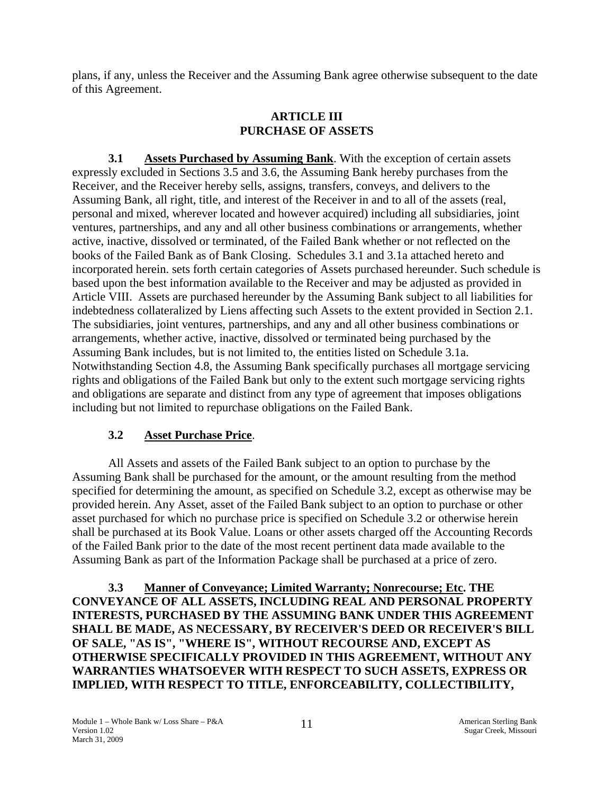<span id="page-14-0"></span>plans, if any, unless the Receiver and the Assuming Bank agree otherwise subsequent to the date of this Agreement.

#### **ARTICLE III PURCHASE OF ASSETS**

Assuming Bank includes, but is not limited to, the entities listed on Schedule 3.1a.  **3.1 Assets Purchased by Assuming Bank**. With the exception of certain assets expressly excluded in Sections 3.5 and 3.6, the Assuming Bank hereby purchases from the Receiver, and the Receiver hereby sells, assigns, transfers, conveys, and delivers to the Assuming Bank, all right, title, and interest of the Receiver in and to all of the assets (real, personal and mixed, wherever located and however acquired) including all subsidiaries, joint ventures, partnerships, and any and all other business combinations or arrangements, whether active, inactive, dissolved or terminated, of the Failed Bank whether or not reflected on the books of the Failed Bank as of Bank Closing. Schedules 3.1 and 3.1a attached hereto and incorporated herein. sets forth certain categories of Assets purchased hereunder. Such schedule is based upon the best information available to the Receiver and may be adjusted as provided in Article VIII. Assets are purchased hereunder by the Assuming Bank subject to all liabilities for indebtedness collateralized by Liens affecting such Assets to the extent provided in Section 2.1. The subsidiaries, joint ventures, partnerships, and any and all other business combinations or arrangements, whether active, inactive, dissolved or terminated being purchased by the Notwithstanding Section 4.8, the Assuming Bank specifically purchases all mortgage servicing rights and obligations of the Failed Bank but only to the extent such mortgage servicing rights and obligations are separate and distinct from any type of agreement that imposes obligations including but not limited to repurchase obligations on the Failed Bank.

#### **3.2 Asset Purchase Price**.

All Assets and assets of the Failed Bank subject to an option to purchase by the Assuming Bank shall be purchased for the amount, or the amount resulting from the method specified for determining the amount, as specified on Schedule 3.2, except as otherwise may be provided herein. Any Asset, asset of the Failed Bank subject to an option to purchase or other asset purchased for which no purchase price is specified on Schedule 3.2 or otherwise herein shall be purchased at its Book Value. Loans or other assets charged off the Accounting Records of the Failed Bank prior to the date of the most recent pertinent data made available to the Assuming Bank as part of the Information Package shall be purchased at a price of zero.

**3.3 Manner of Conveyance; Limited Warranty; Nonrecourse; Etc. THE CONVEYANCE OF ALL ASSETS, INCLUDING REAL AND PERSONAL PROPERTY INTERESTS, PURCHASED BY THE ASSUMING BANK UNDER THIS AGREEMENT SHALL BE MADE, AS NECESSARY, BY RECEIVER'S DEED OR RECEIVER'S BILL OF SALE, "AS IS", "WHERE IS", WITHOUT RECOURSE AND, EXCEPT AS OTHERWISE SPECIFICALLY PROVIDED IN THIS AGREEMENT, WITHOUT ANY WARRANTIES WHATSOEVER WITH RESPECT TO SUCH ASSETS, EXPRESS OR IMPLIED, WITH RESPECT TO TITLE, ENFORCEABILITY, COLLECTIBILITY,**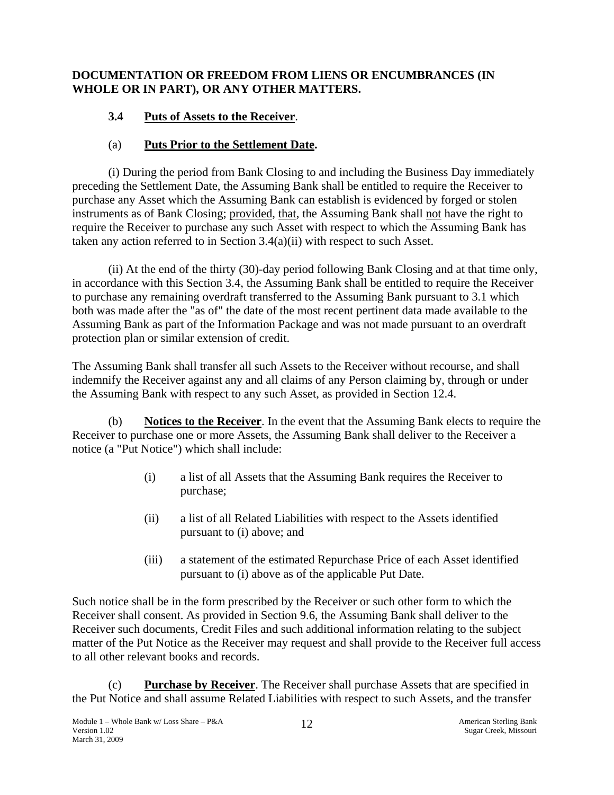### <span id="page-15-0"></span>**DOCUMENTATION OR FREEDOM FROM LIENS OR ENCUMBRANCES (IN WHOLE OR IN PART), OR ANY OTHER MATTERS.**

## **3.4 Puts of Assets to the Receiver**.

## (a) **Puts Prior to the Settlement Date.**

(i) During the period from Bank Closing to and including the Business Day immediately preceding the Settlement Date, the Assuming Bank shall be entitled to require the Receiver to purchase any Asset which the Assuming Bank can establish is evidenced by forged or stolen instruments as of Bank Closing; provided, that, the Assuming Bank shall not have the right to require the Receiver to purchase any such Asset with respect to which the Assuming Bank has taken any action referred to in Section 3.4(a)(ii) with respect to such Asset.

(ii) At the end of the thirty (30)-day period following Bank Closing and at that time only, in accordance with this Section 3.4, the Assuming Bank shall be entitled to require the Receiver to purchase any remaining overdraft transferred to the Assuming Bank pursuant to 3.1 which both was made after the "as of" the date of the most recent pertinent data made available to the Assuming Bank as part of the Information Package and was not made pursuant to an overdraft protection plan or similar extension of credit.

The Assuming Bank shall transfer all such Assets to the Receiver without recourse, and shall indemnify the Receiver against any and all claims of any Person claiming by, through or under the Assuming Bank with respect to any such Asset, as provided in Section 12.4.

(b) **Notices to the Receiver**. In the event that the Assuming Bank elects to require the Receiver to purchase one or more Assets, the Assuming Bank shall deliver to the Receiver a notice (a "Put Notice") which shall include:

- (i) a list of all Assets that the Assuming Bank requires the Receiver to purchase;
- (ii) a list of all Related Liabilities with respect to the Assets identified pursuant to (i) above; and
- (iii) a statement of the estimated Repurchase Price of each Asset identified pursuant to (i) above as of the applicable Put Date.

Such notice shall be in the form prescribed by the Receiver or such other form to which the Receiver shall consent. As provided in Section 9.6, the Assuming Bank shall deliver to the Receiver such documents, Credit Files and such additional information relating to the subject matter of the Put Notice as the Receiver may request and shall provide to the Receiver full access to all other relevant books and records.

(c) **Purchase by Receiver**. The Receiver shall purchase Assets that are specified in the Put Notice and shall assume Related Liabilities with respect to such Assets, and the transfer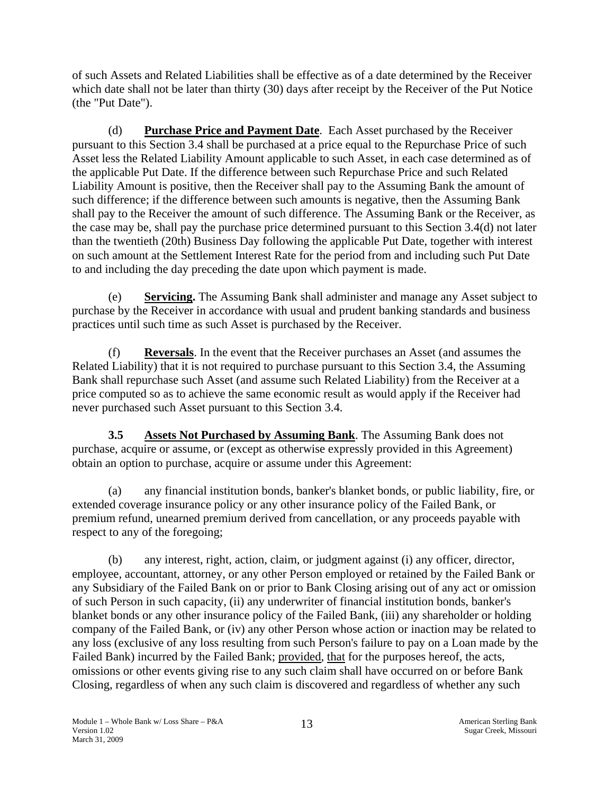<span id="page-16-0"></span>of such Assets and Related Liabilities shall be effective as of a date determined by the Receiver which date shall not be later than thirty (30) days after receipt by the Receiver of the Put Notice (the "Put Date").

(d) **Purchase Price and Payment Date**. Each Asset purchased by the Receiver pursuant to this Section 3.4 shall be purchased at a price equal to the Repurchase Price of such Asset less the Related Liability Amount applicable to such Asset, in each case determined as of the applicable Put Date. If the difference between such Repurchase Price and such Related Liability Amount is positive, then the Receiver shall pay to the Assuming Bank the amount of such difference; if the difference between such amounts is negative, then the Assuming Bank shall pay to the Receiver the amount of such difference. The Assuming Bank or the Receiver, as the case may be, shall pay the purchase price determined pursuant to this Section 3.4(d) not later than the twentieth (20th) Business Day following the applicable Put Date, together with interest on such amount at the Settlement Interest Rate for the period from and including such Put Date to and including the day preceding the date upon which payment is made.

(e) **Servicing.** The Assuming Bank shall administer and manage any Asset subject to purchase by the Receiver in accordance with usual and prudent banking standards and business practices until such time as such Asset is purchased by the Receiver.

(f) **Reversals**. In the event that the Receiver purchases an Asset (and assumes the Related Liability) that it is not required to purchase pursuant to this Section 3.4, the Assuming Bank shall repurchase such Asset (and assume such Related Liability) from the Receiver at a price computed so as to achieve the same economic result as would apply if the Receiver had never purchased such Asset pursuant to this Section 3.4.

**3.5 Assets Not Purchased by Assuming Bank**. The Assuming Bank does not purchase, acquire or assume, or (except as otherwise expressly provided in this Agreement) obtain an option to purchase, acquire or assume under this Agreement:

(a) any financial institution bonds, banker's blanket bonds, or public liability, fire, or extended coverage insurance policy or any other insurance policy of the Failed Bank, or premium refund, unearned premium derived from cancellation, or any proceeds payable with respect to any of the foregoing;

(b) any interest, right, action, claim, or judgment against (i) any officer, director, employee, accountant, attorney, or any other Person employed or retained by the Failed Bank or any Subsidiary of the Failed Bank on or prior to Bank Closing arising out of any act or omission of such Person in such capacity, (ii) any underwriter of financial institution bonds, banker's blanket bonds or any other insurance policy of the Failed Bank, (iii) any shareholder or holding company of the Failed Bank, or (iv) any other Person whose action or inaction may be related to any loss (exclusive of any loss resulting from such Person's failure to pay on a Loan made by the Failed Bank) incurred by the Failed Bank; provided, that for the purposes hereof, the acts, omissions or other events giving rise to any such claim shall have occurred on or before Bank Closing, regardless of when any such claim is discovered and regardless of whether any such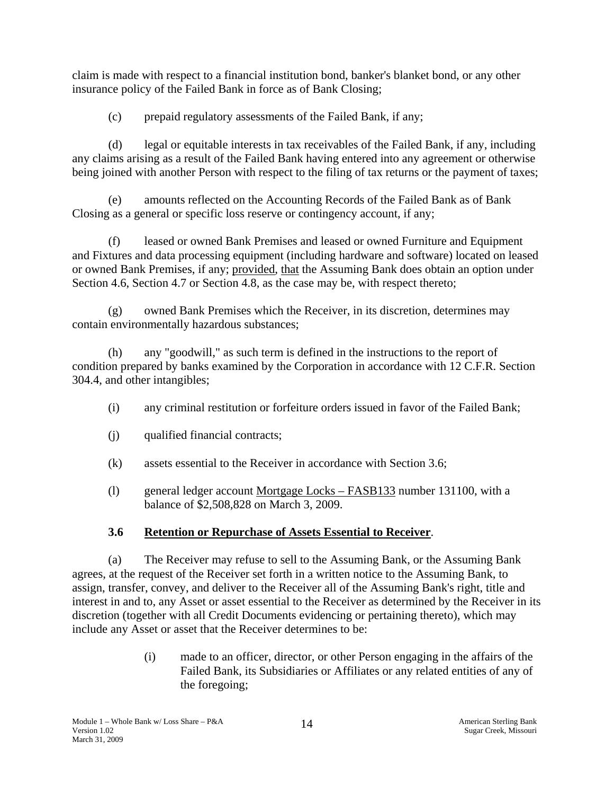<span id="page-17-0"></span>claim is made with respect to a financial institution bond, banker's blanket bond, or any other insurance policy of the Failed Bank in force as of Bank Closing;

(c) prepaid regulatory assessments of the Failed Bank, if any;

(d) legal or equitable interests in tax receivables of the Failed Bank, if any, including any claims arising as a result of the Failed Bank having entered into any agreement or otherwise being joined with another Person with respect to the filing of tax returns or the payment of taxes;

(e) amounts reflected on the Accounting Records of the Failed Bank as of Bank Closing as a general or specific loss reserve or contingency account, if any;

(f) leased or owned Bank Premises and leased or owned Furniture and Equipment and Fixtures and data processing equipment (including hardware and software) located on leased or owned Bank Premises, if any; provided, that the Assuming Bank does obtain an option under Section 4.6, Section 4.7 or Section 4.8, as the case may be, with respect thereto;

(g) owned Bank Premises which the Receiver, in its discretion, determines may contain environmentally hazardous substances;

(h) any "goodwill," as such term is defined in the instructions to the report of condition prepared by banks examined by the Corporation in accordance with 12 C.F.R. Section 304.4, and other intangibles;

- (i) any criminal restitution or forfeiture orders issued in favor of the Failed Bank;
- (j) qualified financial contracts;
- (k) assets essential to the Receiver in accordance with Section 3.6;
- (1) general ledger account Mortgage Locks  $FASB133$  number 131100, with a balance of \$2,508,828 on March 3, 2009.

# **3.6 Retention or Repurchase of Assets Essential to Receiver**.

(a) The Receiver may refuse to sell to the Assuming Bank, or the Assuming Bank agrees, at the request of the Receiver set forth in a written notice to the Assuming Bank, to assign, transfer, convey, and deliver to the Receiver all of the Assuming Bank's right, title and interest in and to, any Asset or asset essential to the Receiver as determined by the Receiver in its discretion (together with all Credit Documents evidencing or pertaining thereto), which may include any Asset or asset that the Receiver determines to be:

> (i) made to an officer, director, or other Person engaging in the affairs of the Failed Bank, its Subsidiaries or Affiliates or any related entities of any of the foregoing;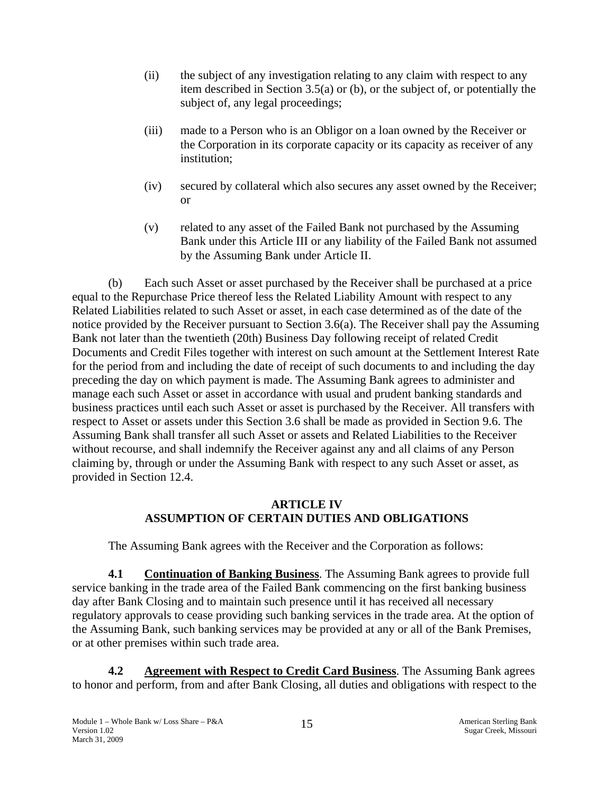- <span id="page-18-0"></span>(ii) the subject of any investigation relating to any claim with respect to any item described in Section 3.5(a) or (b), or the subject of, or potentially the subject of, any legal proceedings;
- (iii) made to a Person who is an Obligor on a loan owned by the Receiver or the Corporation in its corporate capacity or its capacity as receiver of any institution;
- (iv) secured by collateral which also secures any asset owned by the Receiver; or
- (v) related to any asset of the Failed Bank not purchased by the Assuming Bank under this Article III or any liability of the Failed Bank not assumed by the Assuming Bank under Article II.

(b) Each such Asset or asset purchased by the Receiver shall be purchased at a price equal to the Repurchase Price thereof less the Related Liability Amount with respect to any Related Liabilities related to such Asset or asset, in each case determined as of the date of the notice provided by the Receiver pursuant to Section 3.6(a). The Receiver shall pay the Assuming Bank not later than the twentieth (20th) Business Day following receipt of related Credit Documents and Credit Files together with interest on such amount at the Settlement Interest Rate for the period from and including the date of receipt of such documents to and including the day preceding the day on which payment is made. The Assuming Bank agrees to administer and manage each such Asset or asset in accordance with usual and prudent banking standards and business practices until each such Asset or asset is purchased by the Receiver. All transfers with respect to Asset or assets under this Section 3.6 shall be made as provided in Section 9.6. The Assuming Bank shall transfer all such Asset or assets and Related Liabilities to the Receiver without recourse, and shall indemnify the Receiver against any and all claims of any Person claiming by, through or under the Assuming Bank with respect to any such Asset or asset, as provided in Section 12.4.

### **ARTICLE IV ASSUMPTION OF CERTAIN DUTIES AND OBLIGATIONS**

The Assuming Bank agrees with the Receiver and the Corporation as follows:

**4.1 Continuation of Banking Business**. The Assuming Bank agrees to provide full service banking in the trade area of the Failed Bank commencing on the first banking business day after Bank Closing and to maintain such presence until it has received all necessary regulatory approvals to cease providing such banking services in the trade area. At the option of the Assuming Bank, such banking services may be provided at any or all of the Bank Premises, or at other premises within such trade area.

**4.2 Agreement with Respect to Credit Card Business**. The Assuming Bank agrees to honor and perform, from and after Bank Closing, all duties and obligations with respect to the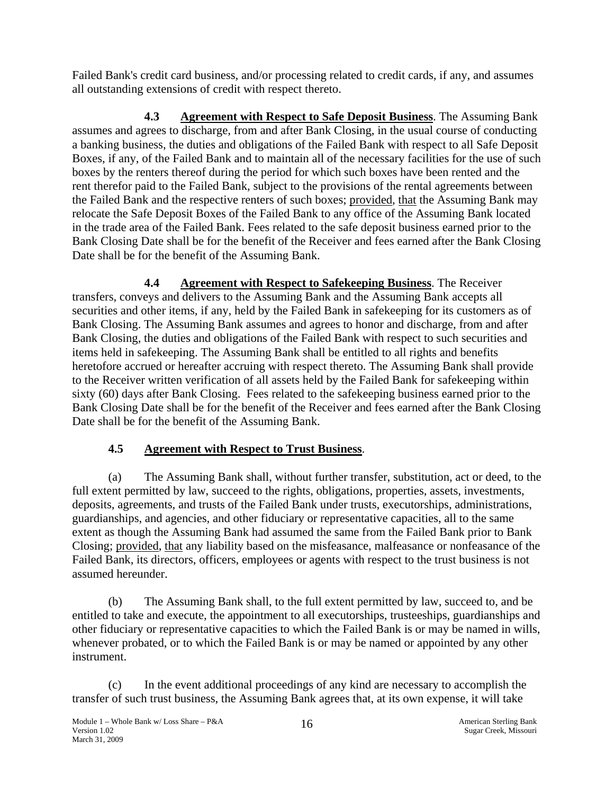<span id="page-19-0"></span>Failed Bank's credit card business, and/or processing related to credit cards, if any, and assumes all outstanding extensions of credit with respect thereto.

**4.3 Agreement with Respect to Safe Deposit Business**. The Assuming Bank assumes and agrees to discharge, from and after Bank Closing, in the usual course of conducting a banking business, the duties and obligations of the Failed Bank with respect to all Safe Deposit Boxes, if any, of the Failed Bank and to maintain all of the necessary facilities for the use of such boxes by the renters thereof during the period for which such boxes have been rented and the rent therefor paid to the Failed Bank, subject to the provisions of the rental agreements between the Failed Bank and the respective renters of such boxes; provided, that the Assuming Bank may relocate the Safe Deposit Boxes of the Failed Bank to any office of the Assuming Bank located in the trade area of the Failed Bank. Fees related to the safe deposit business earned prior to the Bank Closing Date shall be for the benefit of the Receiver and fees earned after the Bank Closing Date shall be for the benefit of the Assuming Bank.

**4.4 Agreement with Respect to Safekeeping Business**. The Receiver transfers, conveys and delivers to the Assuming Bank and the Assuming Bank accepts all securities and other items, if any, held by the Failed Bank in safekeeping for its customers as of Bank Closing. The Assuming Bank assumes and agrees to honor and discharge, from and after Bank Closing, the duties and obligations of the Failed Bank with respect to such securities and items held in safekeeping. The Assuming Bank shall be entitled to all rights and benefits heretofore accrued or hereafter accruing with respect thereto. The Assuming Bank shall provide to the Receiver written verification of all assets held by the Failed Bank for safekeeping within sixty (60) days after Bank Closing. Fees related to the safekeeping business earned prior to the Bank Closing Date shall be for the benefit of the Receiver and fees earned after the Bank Closing Date shall be for the benefit of the Assuming Bank.

# **4.5 Agreement with Respect to Trust Business**.

(a) The Assuming Bank shall, without further transfer, substitution, act or deed, to the full extent permitted by law, succeed to the rights, obligations, properties, assets, investments, deposits, agreements, and trusts of the Failed Bank under trusts, executorships, administrations, guardianships, and agencies, and other fiduciary or representative capacities, all to the same extent as though the Assuming Bank had assumed the same from the Failed Bank prior to Bank Closing; provided, that any liability based on the misfeasance, malfeasance or nonfeasance of the Failed Bank, its directors, officers, employees or agents with respect to the trust business is not assumed hereunder.

(b) The Assuming Bank shall, to the full extent permitted by law, succeed to, and be entitled to take and execute, the appointment to all executorships, trusteeships, guardianships and other fiduciary or representative capacities to which the Failed Bank is or may be named in wills, whenever probated, or to which the Failed Bank is or may be named or appointed by any other instrument.

(c) In the event additional proceedings of any kind are necessary to accomplish the transfer of such trust business, the Assuming Bank agrees that, at its own expense, it will take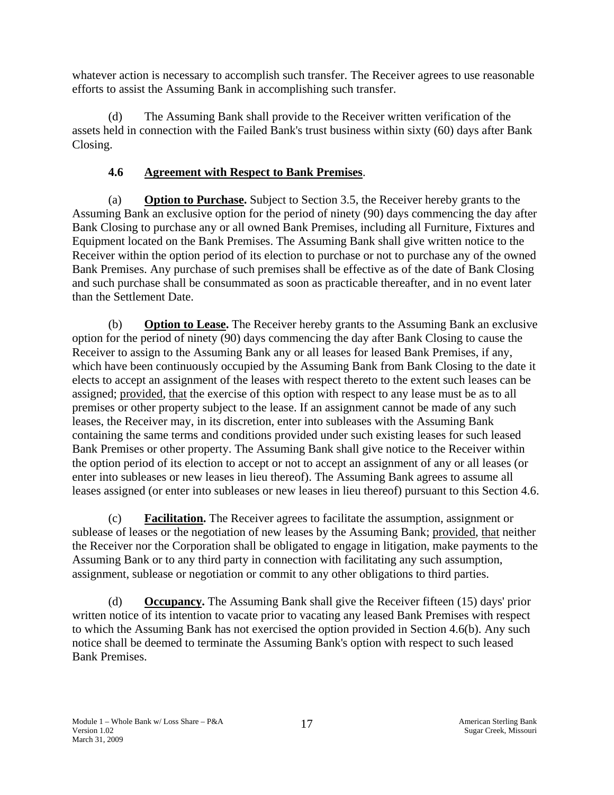<span id="page-20-0"></span>whatever action is necessary to accomplish such transfer. The Receiver agrees to use reasonable efforts to assist the Assuming Bank in accomplishing such transfer.

(d) The Assuming Bank shall provide to the Receiver written verification of the assets held in connection with the Failed Bank's trust business within sixty (60) days after Bank Closing.

## **4.6 Agreement with Respect to Bank Premises**.

(a) **Option to Purchase.** Subject to Section 3.5, the Receiver hereby grants to the Assuming Bank an exclusive option for the period of ninety (90) days commencing the day after Bank Closing to purchase any or all owned Bank Premises, including all Furniture, Fixtures and Equipment located on the Bank Premises. The Assuming Bank shall give written notice to the Receiver within the option period of its election to purchase or not to purchase any of the owned Bank Premises. Any purchase of such premises shall be effective as of the date of Bank Closing and such purchase shall be consummated as soon as practicable thereafter, and in no event later than the Settlement Date.

(b) **Option to Lease.** The Receiver hereby grants to the Assuming Bank an exclusive option for the period of ninety (90) days commencing the day after Bank Closing to cause the Receiver to assign to the Assuming Bank any or all leases for leased Bank Premises, if any, which have been continuously occupied by the Assuming Bank from Bank Closing to the date it elects to accept an assignment of the leases with respect thereto to the extent such leases can be assigned; provided, that the exercise of this option with respect to any lease must be as to all premises or other property subject to the lease. If an assignment cannot be made of any such leases, the Receiver may, in its discretion, enter into subleases with the Assuming Bank containing the same terms and conditions provided under such existing leases for such leased Bank Premises or other property. The Assuming Bank shall give notice to the Receiver within the option period of its election to accept or not to accept an assignment of any or all leases (or enter into subleases or new leases in lieu thereof). The Assuming Bank agrees to assume all leases assigned (or enter into subleases or new leases in lieu thereof) pursuant to this Section 4.6.

(c) **Facilitation.** The Receiver agrees to facilitate the assumption, assignment or sublease of leases or the negotiation of new leases by the Assuming Bank; provided, that neither the Receiver nor the Corporation shall be obligated to engage in litigation, make payments to the Assuming Bank or to any third party in connection with facilitating any such assumption, assignment, sublease or negotiation or commit to any other obligations to third parties.

(d) **Occupancy.** The Assuming Bank shall give the Receiver fifteen (15) days' prior written notice of its intention to vacate prior to vacating any leased Bank Premises with respect to which the Assuming Bank has not exercised the option provided in Section 4.6(b). Any such notice shall be deemed to terminate the Assuming Bank's option with respect to such leased Bank Premises.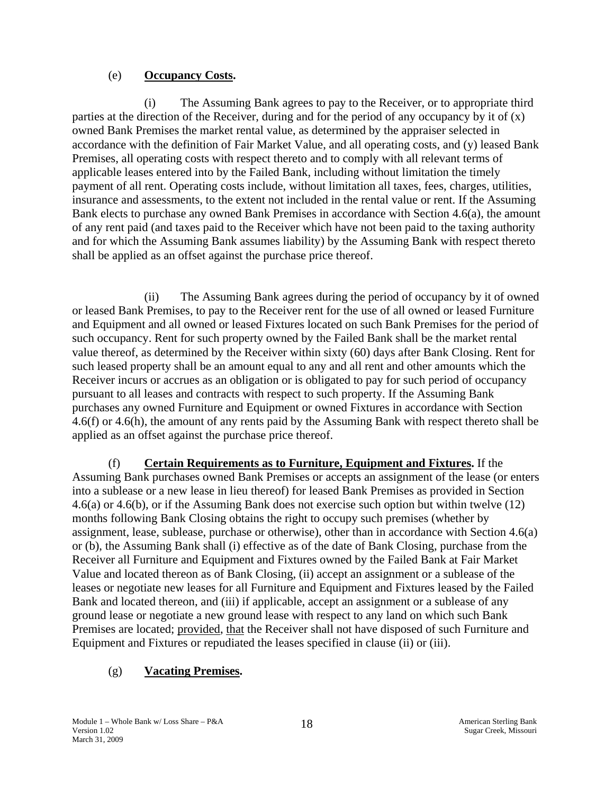### (e) **Occupancy Costs.**

(i) The Assuming Bank agrees to pay to the Receiver, or to appropriate third parties at the direction of the Receiver, during and for the period of any occupancy by it of (x) owned Bank Premises the market rental value, as determined by the appraiser selected in accordance with the definition of Fair Market Value, and all operating costs, and (y) leased Bank Premises, all operating costs with respect thereto and to comply with all relevant terms of applicable leases entered into by the Failed Bank, including without limitation the timely payment of all rent. Operating costs include, without limitation all taxes, fees, charges, utilities, insurance and assessments, to the extent not included in the rental value or rent. If the Assuming Bank elects to purchase any owned Bank Premises in accordance with Section 4.6(a), the amount of any rent paid (and taxes paid to the Receiver which have not been paid to the taxing authority and for which the Assuming Bank assumes liability) by the Assuming Bank with respect thereto shall be applied as an offset against the purchase price thereof.

(ii) The Assuming Bank agrees during the period of occupancy by it of owned or leased Bank Premises, to pay to the Receiver rent for the use of all owned or leased Furniture and Equipment and all owned or leased Fixtures located on such Bank Premises for the period of such occupancy. Rent for such property owned by the Failed Bank shall be the market rental value thereof, as determined by the Receiver within sixty (60) days after Bank Closing. Rent for such leased property shall be an amount equal to any and all rent and other amounts which the Receiver incurs or accrues as an obligation or is obligated to pay for such period of occupancy pursuant to all leases and contracts with respect to such property. If the Assuming Bank purchases any owned Furniture and Equipment or owned Fixtures in accordance with Section 4.6(f) or 4.6(h), the amount of any rents paid by the Assuming Bank with respect thereto shall be applied as an offset against the purchase price thereof.

(f) **Certain Requirements as to Furniture, Equipment and Fixtures.** If the Assuming Bank purchases owned Bank Premises or accepts an assignment of the lease (or enters into a sublease or a new lease in lieu thereof) for leased Bank Premises as provided in Section 4.6(a) or 4.6(b), or if the Assuming Bank does not exercise such option but within twelve (12) months following Bank Closing obtains the right to occupy such premises (whether by assignment, lease, sublease, purchase or otherwise), other than in accordance with Section 4.6(a) or (b), the Assuming Bank shall (i) effective as of the date of Bank Closing, purchase from the Receiver all Furniture and Equipment and Fixtures owned by the Failed Bank at Fair Market Value and located thereon as of Bank Closing, (ii) accept an assignment or a sublease of the leases or negotiate new leases for all Furniture and Equipment and Fixtures leased by the Failed Bank and located thereon, and (iii) if applicable, accept an assignment or a sublease of any ground lease or negotiate a new ground lease with respect to any land on which such Bank Premises are located; provided, that the Receiver shall not have disposed of such Furniture and Equipment and Fixtures or repudiated the leases specified in clause (ii) or (iii).

## (g) **Vacating Premises.**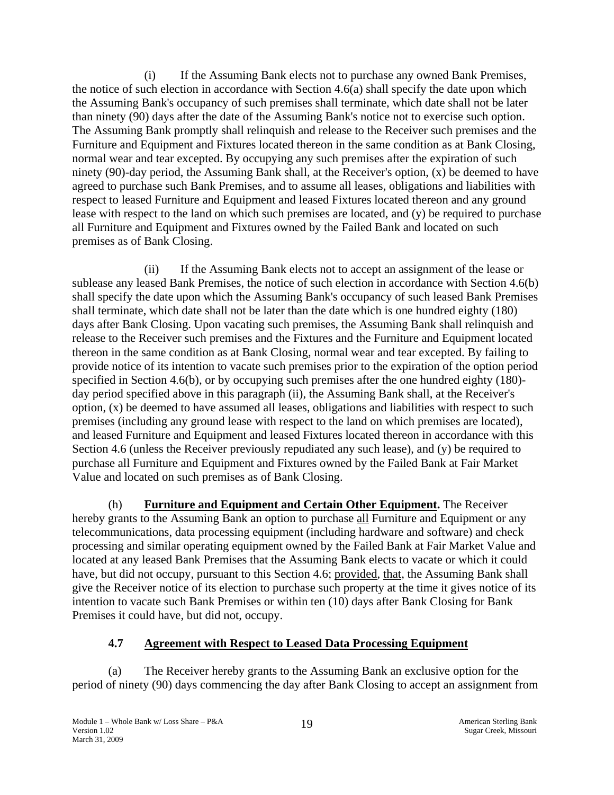<span id="page-22-0"></span>(i) If the Assuming Bank elects not to purchase any owned Bank Premises, the notice of such election in accordance with Section 4.6(a) shall specify the date upon which the Assuming Bank's occupancy of such premises shall terminate, which date shall not be later than ninety (90) days after the date of the Assuming Bank's notice not to exercise such option. The Assuming Bank promptly shall relinquish and release to the Receiver such premises and the Furniture and Equipment and Fixtures located thereon in the same condition as at Bank Closing, normal wear and tear excepted. By occupying any such premises after the expiration of such ninety (90)-day period, the Assuming Bank shall, at the Receiver's option, (x) be deemed to have agreed to purchase such Bank Premises, and to assume all leases, obligations and liabilities with respect to leased Furniture and Equipment and leased Fixtures located thereon and any ground lease with respect to the land on which such premises are located, and (y) be required to purchase all Furniture and Equipment and Fixtures owned by the Failed Bank and located on such premises as of Bank Closing.

(ii) If the Assuming Bank elects not to accept an assignment of the lease or sublease any leased Bank Premises, the notice of such election in accordance with Section 4.6(b) shall specify the date upon which the Assuming Bank's occupancy of such leased Bank Premises shall terminate, which date shall not be later than the date which is one hundred eighty (180) days after Bank Closing. Upon vacating such premises, the Assuming Bank shall relinquish and release to the Receiver such premises and the Fixtures and the Furniture and Equipment located thereon in the same condition as at Bank Closing, normal wear and tear excepted. By failing to provide notice of its intention to vacate such premises prior to the expiration of the option period specified in Section 4.6(b), or by occupying such premises after the one hundred eighty (180) day period specified above in this paragraph (ii), the Assuming Bank shall, at the Receiver's option, (x) be deemed to have assumed all leases, obligations and liabilities with respect to such premises (including any ground lease with respect to the land on which premises are located), and leased Furniture and Equipment and leased Fixtures located thereon in accordance with this Section 4.6 (unless the Receiver previously repudiated any such lease), and (y) be required to purchase all Furniture and Equipment and Fixtures owned by the Failed Bank at Fair Market Value and located on such premises as of Bank Closing.

(h) **Furniture and Equipment and Certain Other Equipment.** The Receiver hereby grants to the Assuming Bank an option to purchase all Furniture and Equipment or any telecommunications, data processing equipment (including hardware and software) and check processing and similar operating equipment owned by the Failed Bank at Fair Market Value and located at any leased Bank Premises that the Assuming Bank elects to vacate or which it could have, but did not occupy, pursuant to this Section 4.6; provided, that, the Assuming Bank shall give the Receiver notice of its election to purchase such property at the time it gives notice of its intention to vacate such Bank Premises or within ten (10) days after Bank Closing for Bank Premises it could have, but did not, occupy.

# **4.7 Agreement with Respect to Leased Data Processing Equipment**

(a) The Receiver hereby grants to the Assuming Bank an exclusive option for the period of ninety (90) days commencing the day after Bank Closing to accept an assignment from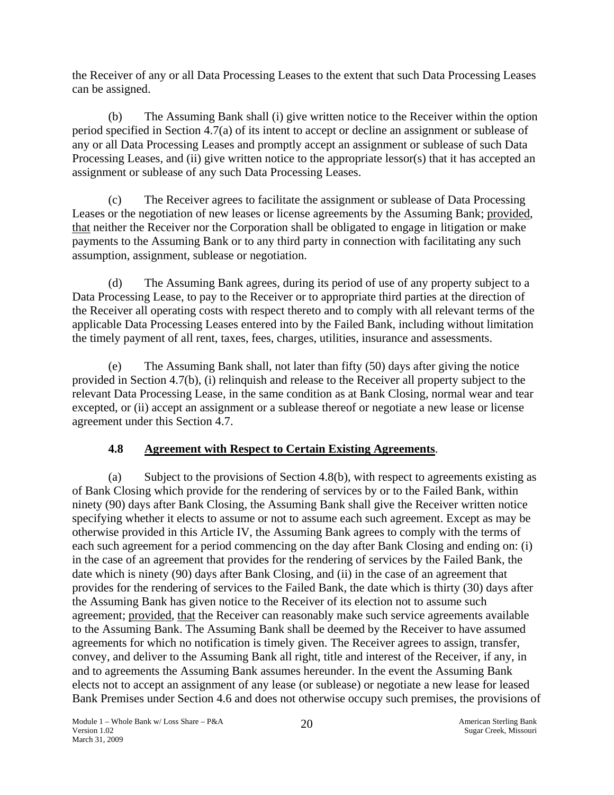<span id="page-23-0"></span>the Receiver of any or all Data Processing Leases to the extent that such Data Processing Leases can be assigned.

(b) The Assuming Bank shall (i) give written notice to the Receiver within the option period specified in Section 4.7(a) of its intent to accept or decline an assignment or sublease of any or all Data Processing Leases and promptly accept an assignment or sublease of such Data Processing Leases, and (ii) give written notice to the appropriate lessor(s) that it has accepted an assignment or sublease of any such Data Processing Leases.

(c) The Receiver agrees to facilitate the assignment or sublease of Data Processing Leases or the negotiation of new leases or license agreements by the Assuming Bank; provided, that neither the Receiver nor the Corporation shall be obligated to engage in litigation or make payments to the Assuming Bank or to any third party in connection with facilitating any such assumption, assignment, sublease or negotiation.

(d) The Assuming Bank agrees, during its period of use of any property subject to a Data Processing Lease, to pay to the Receiver or to appropriate third parties at the direction of the Receiver all operating costs with respect thereto and to comply with all relevant terms of the applicable Data Processing Leases entered into by the Failed Bank, including without limitation the timely payment of all rent, taxes, fees, charges, utilities, insurance and assessments.

(e) The Assuming Bank shall, not later than fifty (50) days after giving the notice provided in Section 4.7(b), (i) relinquish and release to the Receiver all property subject to the relevant Data Processing Lease, in the same condition as at Bank Closing, normal wear and tear excepted, or (ii) accept an assignment or a sublease thereof or negotiate a new lease or license agreement under this Section 4.7.

## **4.8 Agreement with Respect to Certain Existing Agreements**.

(a) Subject to the provisions of Section 4.8(b), with respect to agreements existing as of Bank Closing which provide for the rendering of services by or to the Failed Bank, within ninety (90) days after Bank Closing, the Assuming Bank shall give the Receiver written notice specifying whether it elects to assume or not to assume each such agreement. Except as may be otherwise provided in this Article IV, the Assuming Bank agrees to comply with the terms of each such agreement for a period commencing on the day after Bank Closing and ending on: (i) in the case of an agreement that provides for the rendering of services by the Failed Bank, the date which is ninety (90) days after Bank Closing, and (ii) in the case of an agreement that provides for the rendering of services to the Failed Bank, the date which is thirty (30) days after the Assuming Bank has given notice to the Receiver of its election not to assume such agreement; provided, that the Receiver can reasonably make such service agreements available to the Assuming Bank. The Assuming Bank shall be deemed by the Receiver to have assumed agreements for which no notification is timely given. The Receiver agrees to assign, transfer, convey, and deliver to the Assuming Bank all right, title and interest of the Receiver, if any, in and to agreements the Assuming Bank assumes hereunder. In the event the Assuming Bank elects not to accept an assignment of any lease (or sublease) or negotiate a new lease for leased Bank Premises under Section 4.6 and does not otherwise occupy such premises, the provisions of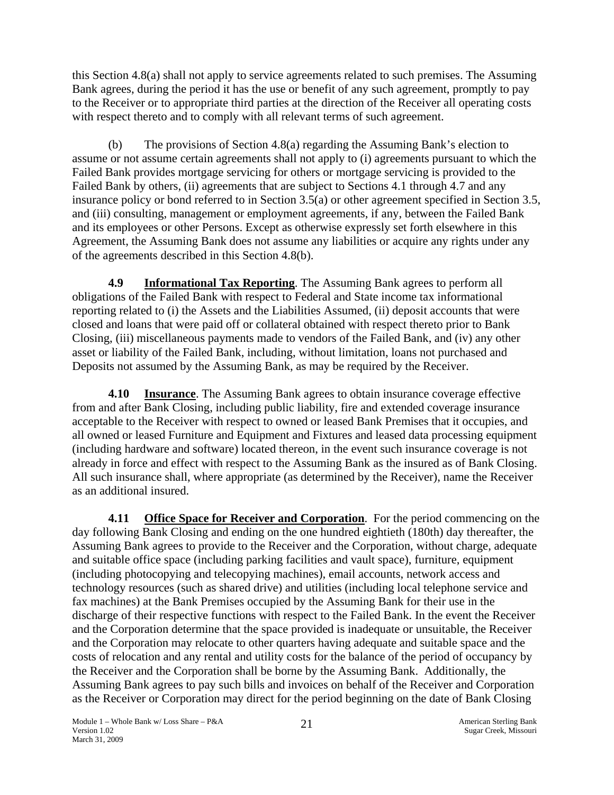<span id="page-24-0"></span>this Section 4.8(a) shall not apply to service agreements related to such premises. The Assuming Bank agrees, during the period it has the use or benefit of any such agreement, promptly to pay to the Receiver or to appropriate third parties at the direction of the Receiver all operating costs with respect thereto and to comply with all relevant terms of such agreement.

(b) The provisions of Section 4.8(a) regarding the Assuming Bank's election to assume or not assume certain agreements shall not apply to (i) agreements pursuant to which the Failed Bank provides mortgage servicing for others or mortgage servicing is provided to the Failed Bank by others, (ii) agreements that are subject to Sections 4.1 through 4.7 and any insurance policy or bond referred to in Section 3.5(a) or other agreement specified in Section 3.5, and (iii) consulting, management or employment agreements, if any, between the Failed Bank and its employees or other Persons. Except as otherwise expressly set forth elsewhere in this Agreement, the Assuming Bank does not assume any liabilities or acquire any rights under any of the agreements described in this Section 4.8(b).

**4.9** Informational Tax Reporting. The Assuming Bank agrees to perform all obligations of the Failed Bank with respect to Federal and State income tax informational reporting related to (i) the Assets and the Liabilities Assumed, (ii) deposit accounts that were closed and loans that were paid off or collateral obtained with respect thereto prior to Bank Closing, (iii) miscellaneous payments made to vendors of the Failed Bank, and (iv) any other asset or liability of the Failed Bank, including, without limitation, loans not purchased and Deposits not assumed by the Assuming Bank, as may be required by the Receiver.

**4.10 Insurance**. The Assuming Bank agrees to obtain insurance coverage effective from and after Bank Closing, including public liability, fire and extended coverage insurance acceptable to the Receiver with respect to owned or leased Bank Premises that it occupies, and all owned or leased Furniture and Equipment and Fixtures and leased data processing equipment (including hardware and software) located thereon, in the event such insurance coverage is not already in force and effect with respect to the Assuming Bank as the insured as of Bank Closing. All such insurance shall, where appropriate (as determined by the Receiver), name the Receiver as an additional insured.

**4.11** Office Space for Receiver and Corporation. For the period commencing on the day following Bank Closing and ending on the one hundred eightieth (180th) day thereafter, the Assuming Bank agrees to provide to the Receiver and the Corporation, without charge, adequate and suitable office space (including parking facilities and vault space), furniture, equipment (including photocopying and telecopying machines), email accounts, network access and technology resources (such as shared drive) and utilities (including local telephone service and fax machines) at the Bank Premises occupied by the Assuming Bank for their use in the discharge of their respective functions with respect to the Failed Bank. In the event the Receiver and the Corporation determine that the space provided is inadequate or unsuitable, the Receiver and the Corporation may relocate to other quarters having adequate and suitable space and the costs of relocation and any rental and utility costs for the balance of the period of occupancy by the Receiver and the Corporation shall be borne by the Assuming Bank. Additionally, the Assuming Bank agrees to pay such bills and invoices on behalf of the Receiver and Corporation as the Receiver or Corporation may direct for the period beginning on the date of Bank Closing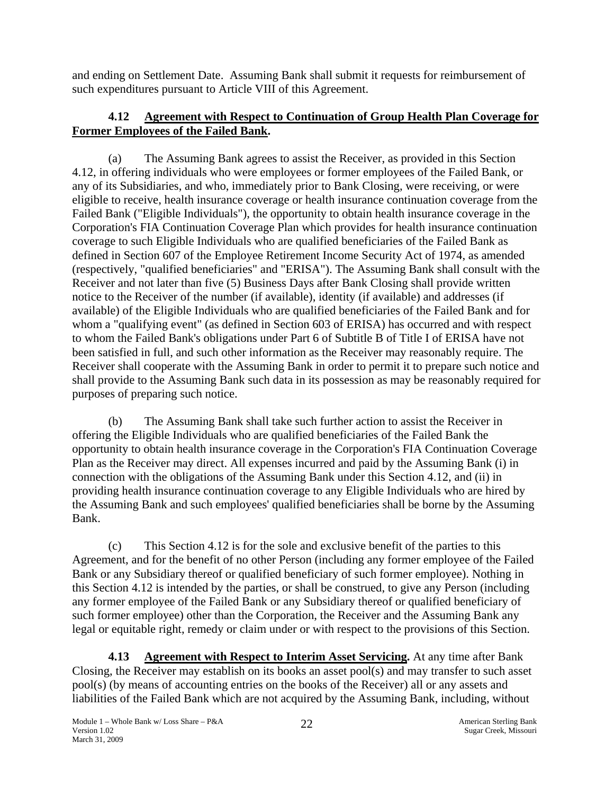<span id="page-25-0"></span>and ending on Settlement Date. Assuming Bank shall submit it requests for reimbursement of such expenditures pursuant to Article VIII of this Agreement.

## **4.12 Agreement with Respect to Continuation of Group Health Plan Coverage for Former Employees of the Failed Bank.**

(a) The Assuming Bank agrees to assist the Receiver, as provided in this Section 4.12, in offering individuals who were employees or former employees of the Failed Bank, or any of its Subsidiaries, and who, immediately prior to Bank Closing, were receiving, or were eligible to receive, health insurance coverage or health insurance continuation coverage from the Failed Bank ("Eligible Individuals"), the opportunity to obtain health insurance coverage in the Corporation's FIA Continuation Coverage Plan which provides for health insurance continuation coverage to such Eligible Individuals who are qualified beneficiaries of the Failed Bank as defined in Section 607 of the Employee Retirement Income Security Act of 1974, as amended (respectively, "qualified beneficiaries" and "ERISA"). The Assuming Bank shall consult with the Receiver and not later than five (5) Business Days after Bank Closing shall provide written notice to the Receiver of the number (if available), identity (if available) and addresses (if available) of the Eligible Individuals who are qualified beneficiaries of the Failed Bank and for whom a "qualifying event" (as defined in Section 603 of ERISA) has occurred and with respect to whom the Failed Bank's obligations under Part 6 of Subtitle B of Title I of ERISA have not been satisfied in full, and such other information as the Receiver may reasonably require. The Receiver shall cooperate with the Assuming Bank in order to permit it to prepare such notice and shall provide to the Assuming Bank such data in its possession as may be reasonably required for purposes of preparing such notice.

(b) The Assuming Bank shall take such further action to assist the Receiver in offering the Eligible Individuals who are qualified beneficiaries of the Failed Bank the opportunity to obtain health insurance coverage in the Corporation's FIA Continuation Coverage Plan as the Receiver may direct. All expenses incurred and paid by the Assuming Bank (i) in connection with the obligations of the Assuming Bank under this Section 4.12, and (ii) in providing health insurance continuation coverage to any Eligible Individuals who are hired by the Assuming Bank and such employees' qualified beneficiaries shall be borne by the Assuming Bank.

(c) This Section 4.12 is for the sole and exclusive benefit of the parties to this Agreement, and for the benefit of no other Person (including any former employee of the Failed Bank or any Subsidiary thereof or qualified beneficiary of such former employee). Nothing in this Section 4.12 is intended by the parties, or shall be construed, to give any Person (including any former employee of the Failed Bank or any Subsidiary thereof or qualified beneficiary of such former employee) other than the Corporation, the Receiver and the Assuming Bank any legal or equitable right, remedy or claim under or with respect to the provisions of this Section.

**4.13 Agreement with Respect to Interim Asset Servicing.** At any time after Bank Closing, the Receiver may establish on its books an asset pool(s) and may transfer to such asset pool(s) (by means of accounting entries on the books of the Receiver) all or any assets and liabilities of the Failed Bank which are not acquired by the Assuming Bank, including, without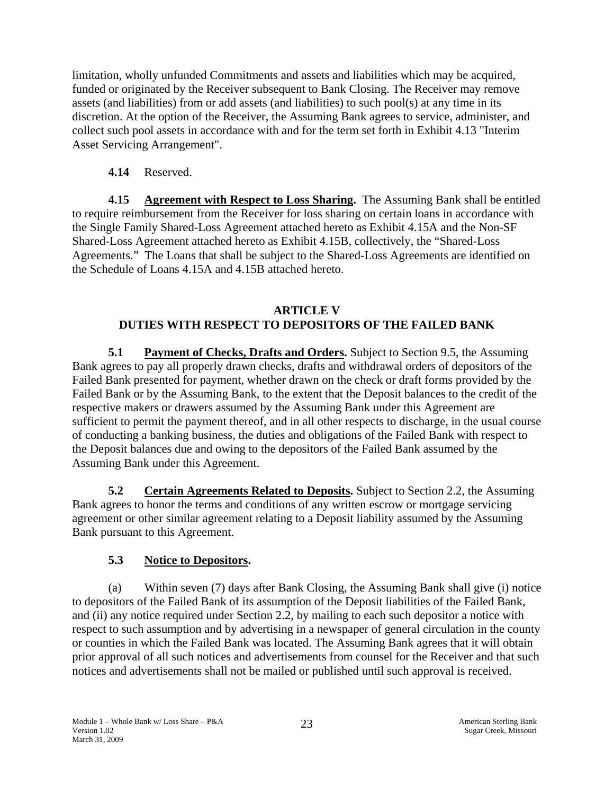<span id="page-26-0"></span>limitation, wholly unfunded Commitments and assets and liabilities which may be acquired, funded or originated by the Receiver subsequent to Bank Closing. The Receiver may remove assets (and liabilities) from or add assets (and liabilities) to such pool(s) at any time in its discretion. At the option of the Receiver, the Assuming Bank agrees to service, administer, and collect such pool assets in accordance with and for the term set forth in Exhibit 4.13 "Interim Asset Servicing Arrangement".

## **4.14** Reserved.

**4.15 Agreement with Respect to Loss Sharing.** The Assuming Bank shall be entitled to require reimbursement from the Receiver for loss sharing on certain loans in accordance with the Single Family Shared-Loss Agreement attached hereto as Exhibit 4.15A and the Non-SF Shared-Loss Agreement attached hereto as Exhibit 4.15B, collectively, the "Shared-Loss Agreements." The Loans that shall be subject to the Shared-Loss Agreements are identified on the Schedule of Loans 4.15A and 4.15B attached hereto.

### **ARTICLE V DUTIES WITH RESPECT TO DEPOSITORS OF THE FAILED BANK**

**5.1 Payment of Checks, Drafts and Orders.** Subject to Section 9.5, the Assuming Bank agrees to pay all properly drawn checks, drafts and withdrawal orders of depositors of the Failed Bank presented for payment, whether drawn on the check or draft forms provided by the Failed Bank or by the Assuming Bank, to the extent that the Deposit balances to the credit of the respective makers or drawers assumed by the Assuming Bank under this Agreement are sufficient to permit the payment thereof, and in all other respects to discharge, in the usual course of conducting a banking business, the duties and obligations of the Failed Bank with respect to the Deposit balances due and owing to the depositors of the Failed Bank assumed by the Assuming Bank under this Agreement.

**5.2** Certain Agreements Related to Deposits. Subject to Section 2.2, the Assuming Bank agrees to honor the terms and conditions of any written escrow or mortgage servicing agreement or other similar agreement relating to a Deposit liability assumed by the Assuming Bank pursuant to this Agreement.

# **5.3 Notice to Depositors.**

(a) Within seven (7) days after Bank Closing, the Assuming Bank shall give (i) notice to depositors of the Failed Bank of its assumption of the Deposit liabilities of the Failed Bank, and (ii) any notice required under Section 2.2, by mailing to each such depositor a notice with respect to such assumption and by advertising in a newspaper of general circulation in the county or counties in which the Failed Bank was located. The Assuming Bank agrees that it will obtain prior approval of all such notices and advertisements from counsel for the Receiver and that such notices and advertisements shall not be mailed or published until such approval is received.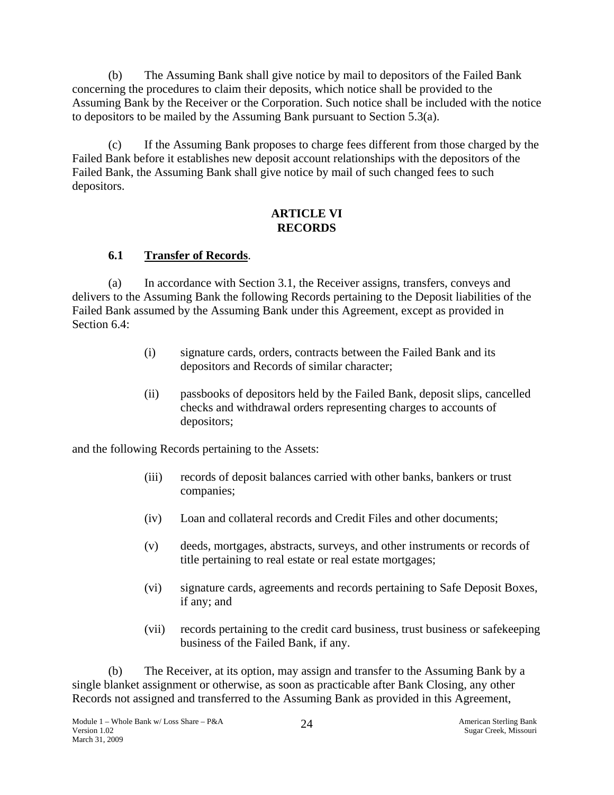<span id="page-27-0"></span>(b) The Assuming Bank shall give notice by mail to depositors of the Failed Bank concerning the procedures to claim their deposits, which notice shall be provided to the Assuming Bank by the Receiver or the Corporation. Such notice shall be included with the notice to depositors to be mailed by the Assuming Bank pursuant to Section 5.3(a).

(c) If the Assuming Bank proposes to charge fees different from those charged by the Failed Bank before it establishes new deposit account relationships with the depositors of the Failed Bank, the Assuming Bank shall give notice by mail of such changed fees to such depositors.

#### **ARTICLE VI RECORDS**

## **6.1 Transfer of Records**.

(a) In accordance with Section 3.1, the Receiver assigns, transfers, conveys and delivers to the Assuming Bank the following Records pertaining to the Deposit liabilities of the Failed Bank assumed by the Assuming Bank under this Agreement, except as provided in Section 6.4:

- (i) signature cards, orders, contracts between the Failed Bank and its depositors and Records of similar character;
- (ii) passbooks of depositors held by the Failed Bank, deposit slips, cancelled checks and withdrawal orders representing charges to accounts of depositors;

and the following Records pertaining to the Assets:

- (iii) records of deposit balances carried with other banks, bankers or trust companies;
- (iv) Loan and collateral records and Credit Files and other documents;
- (v) deeds, mortgages, abstracts, surveys, and other instruments or records of title pertaining to real estate or real estate mortgages;
- (vi) signature cards, agreements and records pertaining to Safe Deposit Boxes, if any; and
- (vii) records pertaining to the credit card business, trust business or safekeeping business of the Failed Bank, if any.

(b) The Receiver, at its option, may assign and transfer to the Assuming Bank by a single blanket assignment or otherwise, as soon as practicable after Bank Closing, any other Records not assigned and transferred to the Assuming Bank as provided in this Agreement,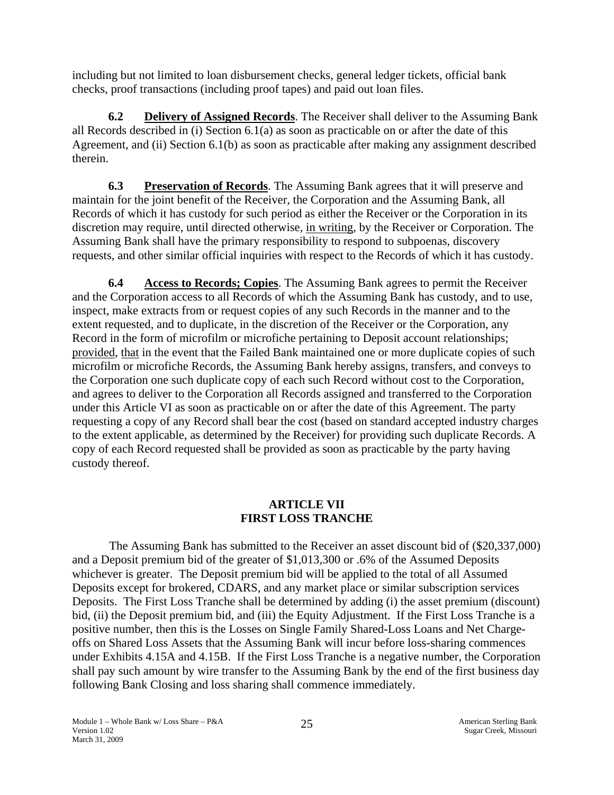<span id="page-28-0"></span>including but not limited to loan disbursement checks, general ledger tickets, official bank checks, proof transactions (including proof tapes) and paid out loan files.

**6.2 Delivery of Assigned Records**. The Receiver shall deliver to the Assuming Bank all Records described in (i) Section 6.1(a) as soon as practicable on or after the date of this Agreement, and (ii) Section 6.1(b) as soon as practicable after making any assignment described therein.

**6.3 Preservation of Records**. The Assuming Bank agrees that it will preserve and maintain for the joint benefit of the Receiver, the Corporation and the Assuming Bank, all Records of which it has custody for such period as either the Receiver or the Corporation in its discretion may require, until directed otherwise, in writing, by the Receiver or Corporation. The Assuming Bank shall have the primary responsibility to respond to subpoenas, discovery requests, and other similar official inquiries with respect to the Records of which it has custody.

**6.4** Access to Records; Copies. The Assuming Bank agrees to permit the Receiver and the Corporation access to all Records of which the Assuming Bank has custody, and to use, inspect, make extracts from or request copies of any such Records in the manner and to the extent requested, and to duplicate, in the discretion of the Receiver or the Corporation, any Record in the form of microfilm or microfiche pertaining to Deposit account relationships; provided, that in the event that the Failed Bank maintained one or more duplicate copies of such microfilm or microfiche Records, the Assuming Bank hereby assigns, transfers, and conveys to the Corporation one such duplicate copy of each such Record without cost to the Corporation, and agrees to deliver to the Corporation all Records assigned and transferred to the Corporation under this Article VI as soon as practicable on or after the date of this Agreement. The party requesting a copy of any Record shall bear the cost (based on standard accepted industry charges to the extent applicable, as determined by the Receiver) for providing such duplicate Records. A copy of each Record requested shall be provided as soon as practicable by the party having custody thereof.

#### **ARTICLE VII FIRST LOSS TRANCHE**

 The Assuming Bank has submitted to the Receiver an asset discount bid of (\$20,337,000) and a Deposit premium bid of the greater of \$1,013,300 or .6% of the Assumed Deposits whichever is greater. The Deposit premium bid will be applied to the total of all Assumed Deposits except for brokered, CDARS, and any market place or similar subscription services Deposits. The First Loss Tranche shall be determined by adding (i) the asset premium (discount) bid, (ii) the Deposit premium bid, and (iii) the Equity Adjustment. If the First Loss Tranche is a positive number, then this is the Losses on Single Family Shared-Loss Loans and Net Chargeoffs on Shared Loss Assets that the Assuming Bank will incur before loss-sharing commences under Exhibits 4.15A and 4.15B. If the First Loss Tranche is a negative number, the Corporation shall pay such amount by wire transfer to the Assuming Bank by the end of the first business day following Bank Closing and loss sharing shall commence immediately.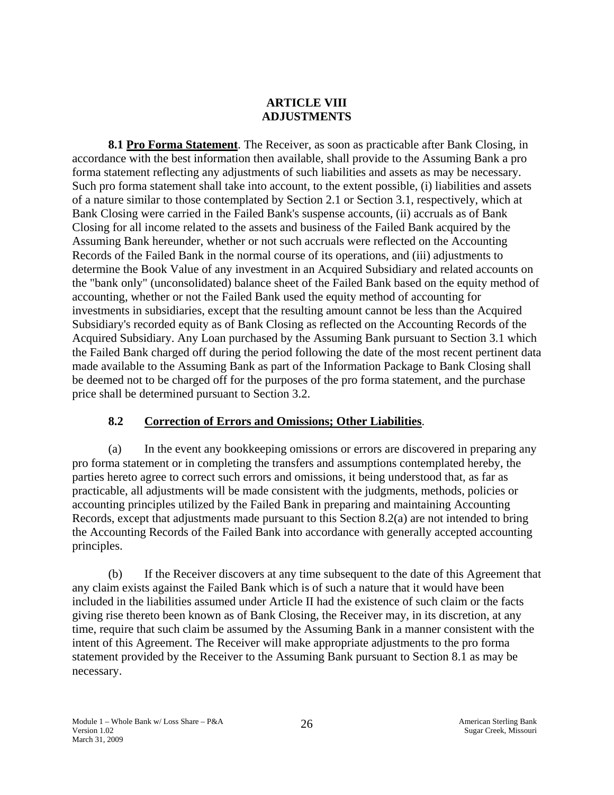#### **ARTICLE VIII ADJUSTMENTS**

<span id="page-29-0"></span>**8.1 Pro Forma Statement**. The Receiver, as soon as practicable after Bank Closing, in accordance with the best information then available, shall provide to the Assuming Bank a pro forma statement reflecting any adjustments of such liabilities and assets as may be necessary. Such pro forma statement shall take into account, to the extent possible, (i) liabilities and assets of a nature similar to those contemplated by Section 2.1 or Section 3.1, respectively, which at Bank Closing were carried in the Failed Bank's suspense accounts, (ii) accruals as of Bank Closing for all income related to the assets and business of the Failed Bank acquired by the Assuming Bank hereunder, whether or not such accruals were reflected on the Accounting Records of the Failed Bank in the normal course of its operations, and (iii) adjustments to determine the Book Value of any investment in an Acquired Subsidiary and related accounts on the "bank only" (unconsolidated) balance sheet of the Failed Bank based on the equity method of accounting, whether or not the Failed Bank used the equity method of accounting for investments in subsidiaries, except that the resulting amount cannot be less than the Acquired Subsidiary's recorded equity as of Bank Closing as reflected on the Accounting Records of the Acquired Subsidiary. Any Loan purchased by the Assuming Bank pursuant to Section 3.1 which the Failed Bank charged off during the period following the date of the most recent pertinent data made available to the Assuming Bank as part of the Information Package to Bank Closing shall be deemed not to be charged off for the purposes of the pro forma statement, and the purchase price shall be determined pursuant to Section 3.2.

## **8.2 Correction of Errors and Omissions; Other Liabilities**.

(a) In the event any bookkeeping omissions or errors are discovered in preparing any pro forma statement or in completing the transfers and assumptions contemplated hereby, the parties hereto agree to correct such errors and omissions, it being understood that, as far as practicable, all adjustments will be made consistent with the judgments, methods, policies or accounting principles utilized by the Failed Bank in preparing and maintaining Accounting Records, except that adjustments made pursuant to this Section 8.2(a) are not intended to bring the Accounting Records of the Failed Bank into accordance with generally accepted accounting principles.

(b) If the Receiver discovers at any time subsequent to the date of this Agreement that any claim exists against the Failed Bank which is of such a nature that it would have been included in the liabilities assumed under Article II had the existence of such claim or the facts giving rise thereto been known as of Bank Closing, the Receiver may, in its discretion, at any time, require that such claim be assumed by the Assuming Bank in a manner consistent with the intent of this Agreement. The Receiver will make appropriate adjustments to the pro forma statement provided by the Receiver to the Assuming Bank pursuant to Section 8.1 as may be necessary.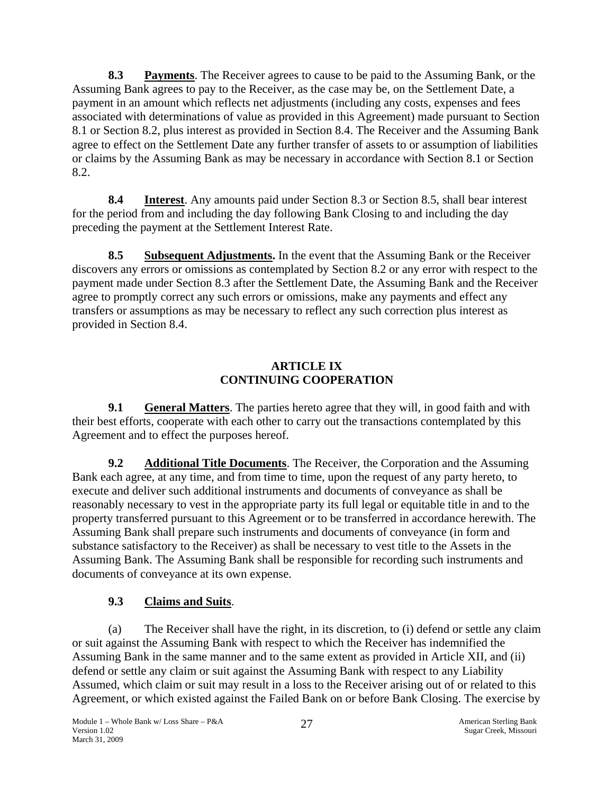<span id="page-30-0"></span>**8.3 Payments**. The Receiver agrees to cause to be paid to the Assuming Bank, or the Assuming Bank agrees to pay to the Receiver, as the case may be, on the Settlement Date, a payment in an amount which reflects net adjustments (including any costs, expenses and fees associated with determinations of value as provided in this Agreement) made pursuant to Section 8.1 or Section 8.2, plus interest as provided in Section 8.4. The Receiver and the Assuming Bank agree to effect on the Settlement Date any further transfer of assets to or assumption of liabilities or claims by the Assuming Bank as may be necessary in accordance with Section 8.1 or Section 8.2.

**8.4 Interest**. Any amounts paid under Section 8.3 or Section 8.5, shall bear interest for the period from and including the day following Bank Closing to and including the day preceding the payment at the Settlement Interest Rate.

**8.5 Subsequent Adjustments.** In the event that the Assuming Bank or the Receiver discovers any errors or omissions as contemplated by Section 8.2 or any error with respect to the payment made under Section 8.3 after the Settlement Date, the Assuming Bank and the Receiver agree to promptly correct any such errors or omissions, make any payments and effect any transfers or assumptions as may be necessary to reflect any such correction plus interest as provided in Section 8.4.

#### **ARTICLE IX CONTINUING COOPERATION**

**9.1** General Matters. The parties hereto agree that they will, in good faith and with their best efforts, cooperate with each other to carry out the transactions contemplated by this Agreement and to effect the purposes hereof.

**9.2 Additional Title Documents**. The Receiver, the Corporation and the Assuming Bank each agree, at any time, and from time to time, upon the request of any party hereto, to execute and deliver such additional instruments and documents of conveyance as shall be reasonably necessary to vest in the appropriate party its full legal or equitable title in and to the property transferred pursuant to this Agreement or to be transferred in accordance herewith. The Assuming Bank shall prepare such instruments and documents of conveyance (in form and substance satisfactory to the Receiver) as shall be necessary to vest title to the Assets in the Assuming Bank. The Assuming Bank shall be responsible for recording such instruments and documents of conveyance at its own expense.

# **9.3 Claims and Suits**.

(a) The Receiver shall have the right, in its discretion, to (i) defend or settle any claim or suit against the Assuming Bank with respect to which the Receiver has indemnified the Assuming Bank in the same manner and to the same extent as provided in Article XII, and (ii) defend or settle any claim or suit against the Assuming Bank with respect to any Liability Assumed, which claim or suit may result in a loss to the Receiver arising out of or related to this Agreement, or which existed against the Failed Bank on or before Bank Closing. The exercise by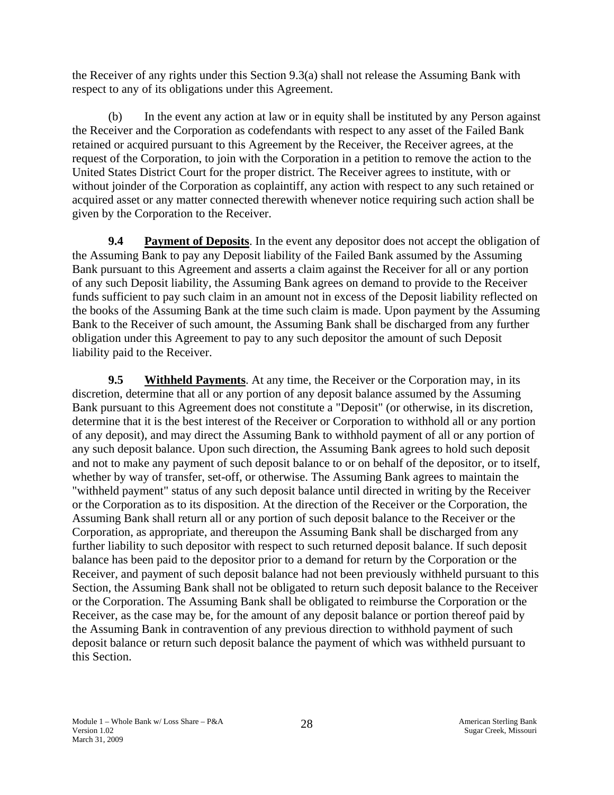<span id="page-31-0"></span>the Receiver of any rights under this Section 9.3(a) shall not release the Assuming Bank with respect to any of its obligations under this Agreement.

(b) In the event any action at law or in equity shall be instituted by any Person against the Receiver and the Corporation as codefendants with respect to any asset of the Failed Bank retained or acquired pursuant to this Agreement by the Receiver, the Receiver agrees, at the request of the Corporation, to join with the Corporation in a petition to remove the action to the United States District Court for the proper district. The Receiver agrees to institute, with or without joinder of the Corporation as coplaintiff, any action with respect to any such retained or acquired asset or any matter connected therewith whenever notice requiring such action shall be given by the Corporation to the Receiver.

**9.4** Payment of Deposits. In the event any depositor does not accept the obligation of the Assuming Bank to pay any Deposit liability of the Failed Bank assumed by the Assuming Bank pursuant to this Agreement and asserts a claim against the Receiver for all or any portion of any such Deposit liability, the Assuming Bank agrees on demand to provide to the Receiver funds sufficient to pay such claim in an amount not in excess of the Deposit liability reflected on the books of the Assuming Bank at the time such claim is made. Upon payment by the Assuming Bank to the Receiver of such amount, the Assuming Bank shall be discharged from any further obligation under this Agreement to pay to any such depositor the amount of such Deposit liability paid to the Receiver.

**9.5 Withheld Payments**. At any time, the Receiver or the Corporation may, in its discretion, determine that all or any portion of any deposit balance assumed by the Assuming Bank pursuant to this Agreement does not constitute a "Deposit" (or otherwise, in its discretion, determine that it is the best interest of the Receiver or Corporation to withhold all or any portion of any deposit), and may direct the Assuming Bank to withhold payment of all or any portion of any such deposit balance. Upon such direction, the Assuming Bank agrees to hold such deposit and not to make any payment of such deposit balance to or on behalf of the depositor, or to itself, whether by way of transfer, set-off, or otherwise. The Assuming Bank agrees to maintain the "withheld payment" status of any such deposit balance until directed in writing by the Receiver or the Corporation as to its disposition. At the direction of the Receiver or the Corporation, the Assuming Bank shall return all or any portion of such deposit balance to the Receiver or the Corporation, as appropriate, and thereupon the Assuming Bank shall be discharged from any further liability to such depositor with respect to such returned deposit balance. If such deposit balance has been paid to the depositor prior to a demand for return by the Corporation or the Receiver, and payment of such deposit balance had not been previously withheld pursuant to this Section, the Assuming Bank shall not be obligated to return such deposit balance to the Receiver or the Corporation. The Assuming Bank shall be obligated to reimburse the Corporation or the Receiver, as the case may be, for the amount of any deposit balance or portion thereof paid by the Assuming Bank in contravention of any previous direction to withhold payment of such deposit balance or return such deposit balance the payment of which was withheld pursuant to this Section.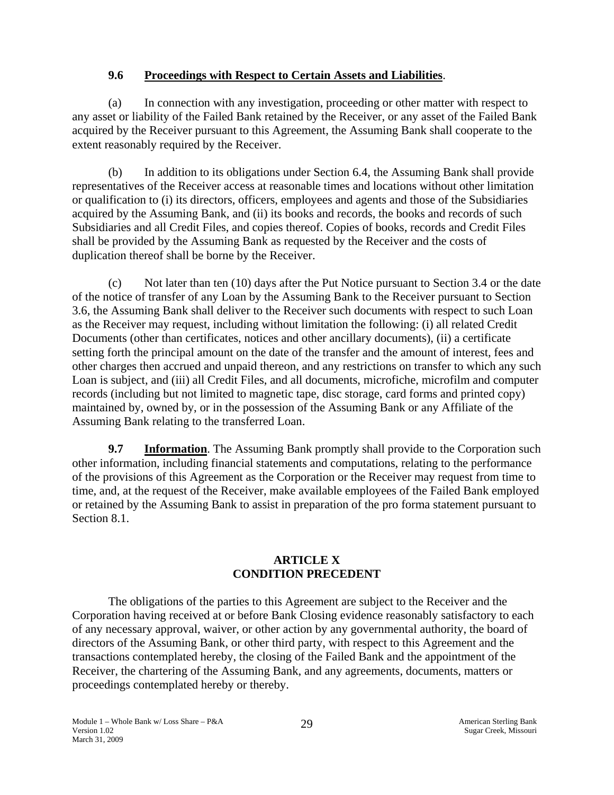### **9.6 Proceedings with Respect to Certain Assets and Liabilities**.

<span id="page-32-0"></span>(a) In connection with any investigation, proceeding or other matter with respect to any asset or liability of the Failed Bank retained by the Receiver, or any asset of the Failed Bank acquired by the Receiver pursuant to this Agreement, the Assuming Bank shall cooperate to the extent reasonably required by the Receiver.

(b) In addition to its obligations under Section 6.4, the Assuming Bank shall provide representatives of the Receiver access at reasonable times and locations without other limitation or qualification to (i) its directors, officers, employees and agents and those of the Subsidiaries acquired by the Assuming Bank, and (ii) its books and records, the books and records of such Subsidiaries and all Credit Files, and copies thereof. Copies of books, records and Credit Files shall be provided by the Assuming Bank as requested by the Receiver and the costs of duplication thereof shall be borne by the Receiver.

(c) Not later than ten (10) days after the Put Notice pursuant to Section 3.4 or the date of the notice of transfer of any Loan by the Assuming Bank to the Receiver pursuant to Section 3.6, the Assuming Bank shall deliver to the Receiver such documents with respect to such Loan as the Receiver may request, including without limitation the following: (i) all related Credit Documents (other than certificates, notices and other ancillary documents), (ii) a certificate setting forth the principal amount on the date of the transfer and the amount of interest, fees and other charges then accrued and unpaid thereon, and any restrictions on transfer to which any such Loan is subject, and (iii) all Credit Files, and all documents, microfiche, microfilm and computer records (including but not limited to magnetic tape, disc storage, card forms and printed copy) maintained by, owned by, or in the possession of the Assuming Bank or any Affiliate of the Assuming Bank relating to the transferred Loan.

**9.7 Information**. The Assuming Bank promptly shall provide to the Corporation such other information, including financial statements and computations, relating to the performance of the provisions of this Agreement as the Corporation or the Receiver may request from time to time, and, at the request of the Receiver, make available employees of the Failed Bank employed or retained by the Assuming Bank to assist in preparation of the pro forma statement pursuant to Section 8.1.

### **ARTICLE X CONDITION PRECEDENT**

The obligations of the parties to this Agreement are subject to the Receiver and the Corporation having received at or before Bank Closing evidence reasonably satisfactory to each of any necessary approval, waiver, or other action by any governmental authority, the board of directors of the Assuming Bank, or other third party, with respect to this Agreement and the transactions contemplated hereby, the closing of the Failed Bank and the appointment of the Receiver, the chartering of the Assuming Bank, and any agreements, documents, matters or proceedings contemplated hereby or thereby.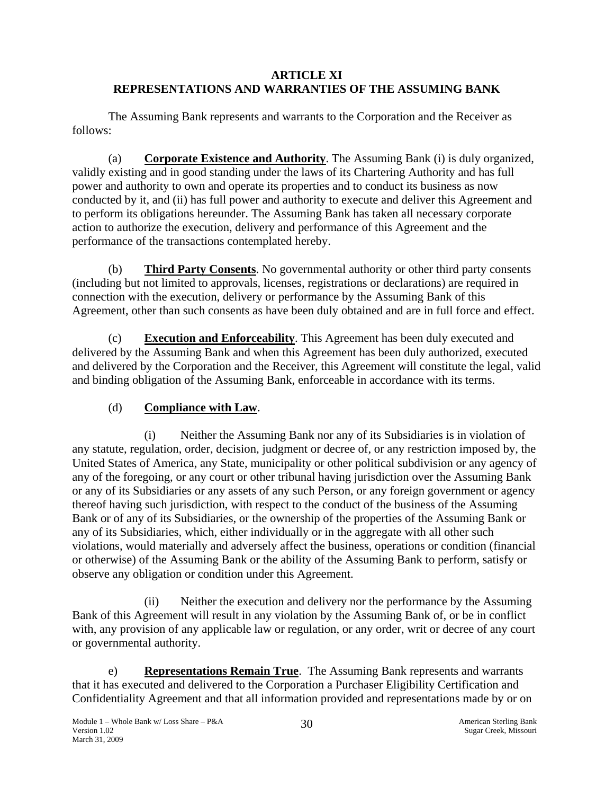### **ARTICLE XI REPRESENTATIONS AND WARRANTIES OF THE ASSUMING BANK**

<span id="page-33-0"></span>The Assuming Bank represents and warrants to the Corporation and the Receiver as follows:

(a) **Corporate Existence and Authority**. The Assuming Bank (i) is duly organized, validly existing and in good standing under the laws of its Chartering Authority and has full power and authority to own and operate its properties and to conduct its business as now conducted by it, and (ii) has full power and authority to execute and deliver this Agreement and to perform its obligations hereunder. The Assuming Bank has taken all necessary corporate action to authorize the execution, delivery and performance of this Agreement and the performance of the transactions contemplated hereby.

(b) **Third Party Consents**. No governmental authority or other third party consents (including but not limited to approvals, licenses, registrations or declarations) are required in connection with the execution, delivery or performance by the Assuming Bank of this Agreement, other than such consents as have been duly obtained and are in full force and effect.

(c) **Execution and Enforceability**. This Agreement has been duly executed and delivered by the Assuming Bank and when this Agreement has been duly authorized, executed and delivered by the Corporation and the Receiver, this Agreement will constitute the legal, valid and binding obligation of the Assuming Bank, enforceable in accordance with its terms.

# (d) **Compliance with Law**.

(i) Neither the Assuming Bank nor any of its Subsidiaries is in violation of any statute, regulation, order, decision, judgment or decree of, or any restriction imposed by, the United States of America, any State, municipality or other political subdivision or any agency of any of the foregoing, or any court or other tribunal having jurisdiction over the Assuming Bank or any of its Subsidiaries or any assets of any such Person, or any foreign government or agency thereof having such jurisdiction, with respect to the conduct of the business of the Assuming Bank or of any of its Subsidiaries, or the ownership of the properties of the Assuming Bank or any of its Subsidiaries, which, either individually or in the aggregate with all other such violations, would materially and adversely affect the business, operations or condition (financial or otherwise) of the Assuming Bank or the ability of the Assuming Bank to perform, satisfy or observe any obligation or condition under this Agreement.

(ii) Neither the execution and delivery nor the performance by the Assuming Bank of this Agreement will result in any violation by the Assuming Bank of, or be in conflict with, any provision of any applicable law or regulation, or any order, writ or decree of any court or governmental authority.

e) **Representations Remain True**. The Assuming Bank represents and warrants that it has executed and delivered to the Corporation a Purchaser Eligibility Certification and Confidentiality Agreement and that all information provided and representations made by or on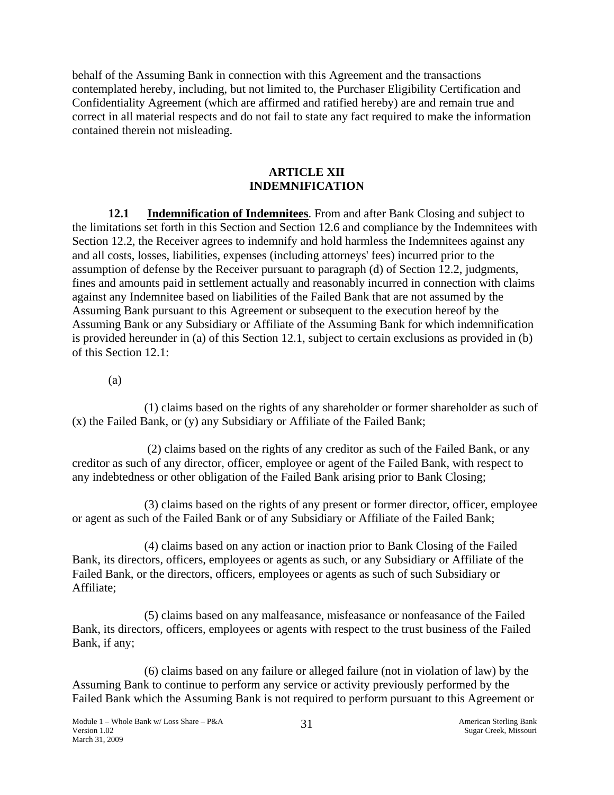<span id="page-34-0"></span>behalf of the Assuming Bank in connection with this Agreement and the transactions contemplated hereby, including, but not limited to, the Purchaser Eligibility Certification and Confidentiality Agreement (which are affirmed and ratified hereby) are and remain true and correct in all material respects and do not fail to state any fact required to make the information contained therein not misleading.

#### **ARTICLE XII INDEMNIFICATION**

**12.1** Indemnification of Indemnitees. From and after Bank Closing and subject to the limitations set forth in this Section and Section 12.6 and compliance by the Indemnitees with Section 12.2, the Receiver agrees to indemnify and hold harmless the Indemnitees against any and all costs, losses, liabilities, expenses (including attorneys' fees) incurred prior to the assumption of defense by the Receiver pursuant to paragraph (d) of Section 12.2, judgments, fines and amounts paid in settlement actually and reasonably incurred in connection with claims against any Indemnitee based on liabilities of the Failed Bank that are not assumed by the Assuming Bank pursuant to this Agreement or subsequent to the execution hereof by the Assuming Bank or any Subsidiary or Affiliate of the Assuming Bank for which indemnification is provided hereunder in (a) of this Section 12.1, subject to certain exclusions as provided in (b) of this Section 12.1:

(a)

(1) claims based on the rights of any shareholder or former shareholder as such of (x) the Failed Bank, or (y) any Subsidiary or Affiliate of the Failed Bank;

(2) claims based on the rights of any creditor as such of the Failed Bank, or any creditor as such of any director, officer, employee or agent of the Failed Bank, with respect to any indebtedness or other obligation of the Failed Bank arising prior to Bank Closing;

(3) claims based on the rights of any present or former director, officer, employee or agent as such of the Failed Bank or of any Subsidiary or Affiliate of the Failed Bank;

(4) claims based on any action or inaction prior to Bank Closing of the Failed Bank, its directors, officers, employees or agents as such, or any Subsidiary or Affiliate of the Failed Bank, or the directors, officers, employees or agents as such of such Subsidiary or Affiliate;

(5) claims based on any malfeasance, misfeasance or nonfeasance of the Failed Bank, its directors, officers, employees or agents with respect to the trust business of the Failed Bank, if any;

(6) claims based on any failure or alleged failure (not in violation of law) by the Assuming Bank to continue to perform any service or activity previously performed by the Failed Bank which the Assuming Bank is not required to perform pursuant to this Agreement or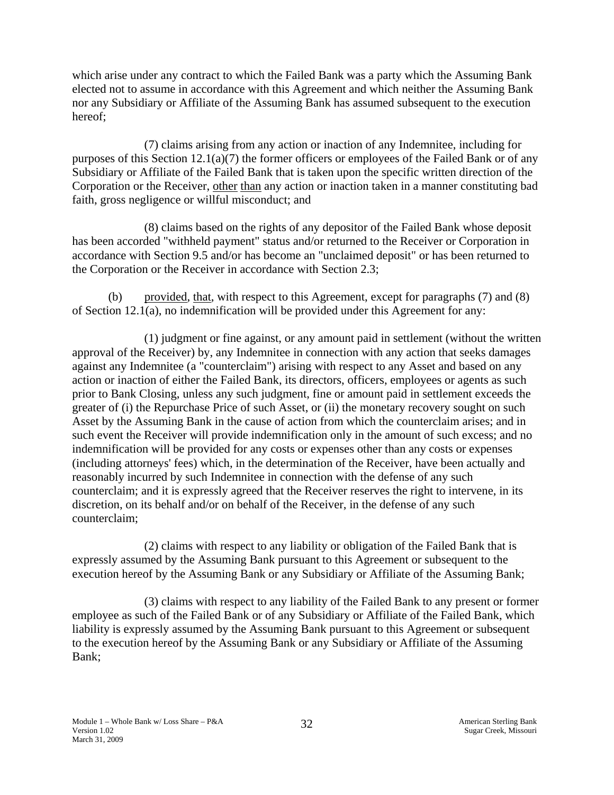which arise under any contract to which the Failed Bank was a party which the Assuming Bank elected not to assume in accordance with this Agreement and which neither the Assuming Bank nor any Subsidiary or Affiliate of the Assuming Bank has assumed subsequent to the execution hereof;

(7) claims arising from any action or inaction of any Indemnitee, including for purposes of this Section 12.1(a)(7) the former officers or employees of the Failed Bank or of any Subsidiary or Affiliate of the Failed Bank that is taken upon the specific written direction of the Corporation or the Receiver, other than any action or inaction taken in a manner constituting bad faith, gross negligence or willful misconduct; and

(8) claims based on the rights of any depositor of the Failed Bank whose deposit has been accorded "withheld payment" status and/or returned to the Receiver or Corporation in accordance with Section 9.5 and/or has become an "unclaimed deposit" or has been returned to the Corporation or the Receiver in accordance with Section 2.3;

(b) provided, that, with respect to this Agreement, except for paragraphs (7) and (8) of Section 12.1(a), no indemnification will be provided under this Agreement for any:

(1) judgment or fine against, or any amount paid in settlement (without the written approval of the Receiver) by, any Indemnitee in connection with any action that seeks damages against any Indemnitee (a "counterclaim") arising with respect to any Asset and based on any action or inaction of either the Failed Bank, its directors, officers, employees or agents as such prior to Bank Closing, unless any such judgment, fine or amount paid in settlement exceeds the greater of (i) the Repurchase Price of such Asset, or (ii) the monetary recovery sought on such Asset by the Assuming Bank in the cause of action from which the counterclaim arises; and in such event the Receiver will provide indemnification only in the amount of such excess; and no indemnification will be provided for any costs or expenses other than any costs or expenses (including attorneys' fees) which, in the determination of the Receiver, have been actually and reasonably incurred by such Indemnitee in connection with the defense of any such counterclaim; and it is expressly agreed that the Receiver reserves the right to intervene, in its discretion, on its behalf and/or on behalf of the Receiver, in the defense of any such counterclaim;

(2) claims with respect to any liability or obligation of the Failed Bank that is expressly assumed by the Assuming Bank pursuant to this Agreement or subsequent to the execution hereof by the Assuming Bank or any Subsidiary or Affiliate of the Assuming Bank;

(3) claims with respect to any liability of the Failed Bank to any present or former employee as such of the Failed Bank or of any Subsidiary or Affiliate of the Failed Bank, which liability is expressly assumed by the Assuming Bank pursuant to this Agreement or subsequent to the execution hereof by the Assuming Bank or any Subsidiary or Affiliate of the Assuming Bank;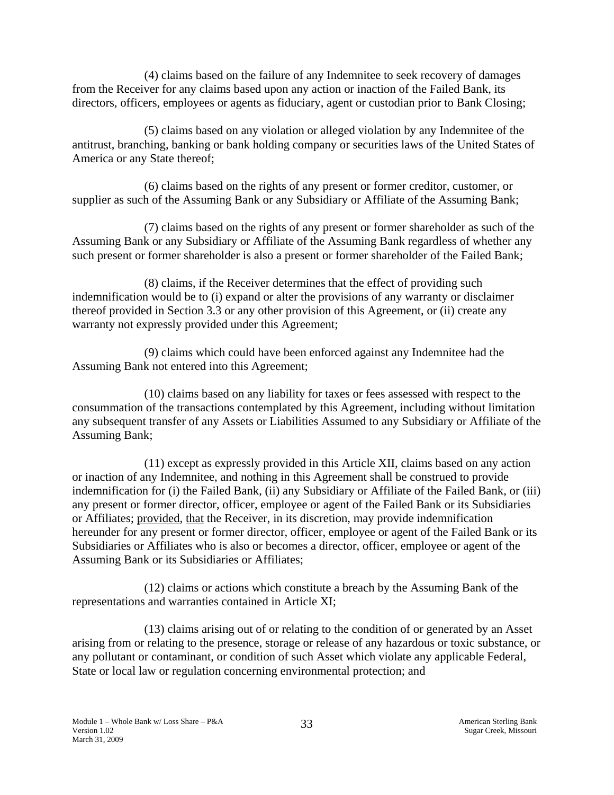(4) claims based on the failure of any Indemnitee to seek recovery of damages from the Receiver for any claims based upon any action or inaction of the Failed Bank, its directors, officers, employees or agents as fiduciary, agent or custodian prior to Bank Closing;

(5) claims based on any violation or alleged violation by any Indemnitee of the antitrust, branching, banking or bank holding company or securities laws of the United States of America or any State thereof;

(6) claims based on the rights of any present or former creditor, customer, or supplier as such of the Assuming Bank or any Subsidiary or Affiliate of the Assuming Bank;

(7) claims based on the rights of any present or former shareholder as such of the Assuming Bank or any Subsidiary or Affiliate of the Assuming Bank regardless of whether any such present or former shareholder is also a present or former shareholder of the Failed Bank;

(8) claims, if the Receiver determines that the effect of providing such indemnification would be to (i) expand or alter the provisions of any warranty or disclaimer thereof provided in Section 3.3 or any other provision of this Agreement, or (ii) create any warranty not expressly provided under this Agreement;

(9) claims which could have been enforced against any Indemnitee had the Assuming Bank not entered into this Agreement;

(10) claims based on any liability for taxes or fees assessed with respect to the consummation of the transactions contemplated by this Agreement, including without limitation any subsequent transfer of any Assets or Liabilities Assumed to any Subsidiary or Affiliate of the Assuming Bank;

(11) except as expressly provided in this Article XII, claims based on any action or inaction of any Indemnitee, and nothing in this Agreement shall be construed to provide indemnification for (i) the Failed Bank, (ii) any Subsidiary or Affiliate of the Failed Bank, or (iii) any present or former director, officer, employee or agent of the Failed Bank or its Subsidiaries or Affiliates; provided, that the Receiver, in its discretion, may provide indemnification hereunder for any present or former director, officer, employee or agent of the Failed Bank or its Subsidiaries or Affiliates who is also or becomes a director, officer, employee or agent of the Assuming Bank or its Subsidiaries or Affiliates;

(12) claims or actions which constitute a breach by the Assuming Bank of the representations and warranties contained in Article XI;

(13) claims arising out of or relating to the condition of or generated by an Asset arising from or relating to the presence, storage or release of any hazardous or toxic substance, or any pollutant or contaminant, or condition of such Asset which violate any applicable Federal, State or local law or regulation concerning environmental protection; and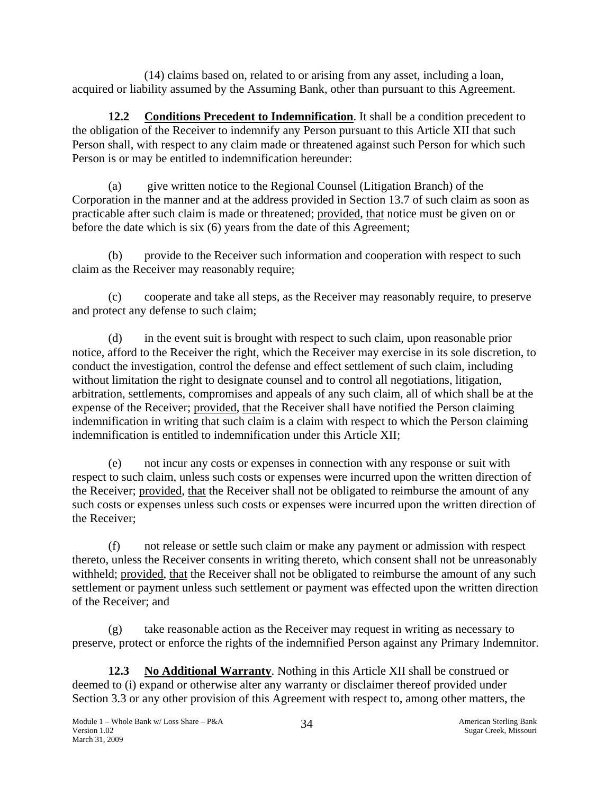(14) claims based on, related to or arising from any asset, including a loan, acquired or liability assumed by the Assuming Bank, other than pursuant to this Agreement.

**12.2 Conditions Precedent to Indemnification**. It shall be a condition precedent to the obligation of the Receiver to indemnify any Person pursuant to this Article XII that such Person shall, with respect to any claim made or threatened against such Person for which such Person is or may be entitled to indemnification hereunder:

(a) give written notice to the Regional Counsel (Litigation Branch) of the Corporation in the manner and at the address provided in Section 13.7 of such claim as soon as practicable after such claim is made or threatened; provided, that notice must be given on or before the date which is six (6) years from the date of this Agreement;

(b) provide to the Receiver such information and cooperation with respect to such claim as the Receiver may reasonably require;

(c) cooperate and take all steps, as the Receiver may reasonably require, to preserve and protect any defense to such claim;

(d) in the event suit is brought with respect to such claim, upon reasonable prior notice, afford to the Receiver the right, which the Receiver may exercise in its sole discretion, to conduct the investigation, control the defense and effect settlement of such claim, including without limitation the right to designate counsel and to control all negotiations, litigation, arbitration, settlements, compromises and appeals of any such claim, all of which shall be at the expense of the Receiver; provided, that the Receiver shall have notified the Person claiming indemnification in writing that such claim is a claim with respect to which the Person claiming indemnification is entitled to indemnification under this Article XII;

(e) not incur any costs or expenses in connection with any response or suit with respect to such claim, unless such costs or expenses were incurred upon the written direction of the Receiver; provided, that the Receiver shall not be obligated to reimburse the amount of any such costs or expenses unless such costs or expenses were incurred upon the written direction of the Receiver;

(f) not release or settle such claim or make any payment or admission with respect thereto, unless the Receiver consents in writing thereto, which consent shall not be unreasonably withheld; provided, that the Receiver shall not be obligated to reimburse the amount of any such settlement or payment unless such settlement or payment was effected upon the written direction of the Receiver; and

(g) take reasonable action as the Receiver may request in writing as necessary to preserve, protect or enforce the rights of the indemnified Person against any Primary Indemnitor.

**12.3 No Additional Warranty**. Nothing in this Article XII shall be construed or deemed to (i) expand or otherwise alter any warranty or disclaimer thereof provided under Section 3.3 or any other provision of this Agreement with respect to, among other matters, the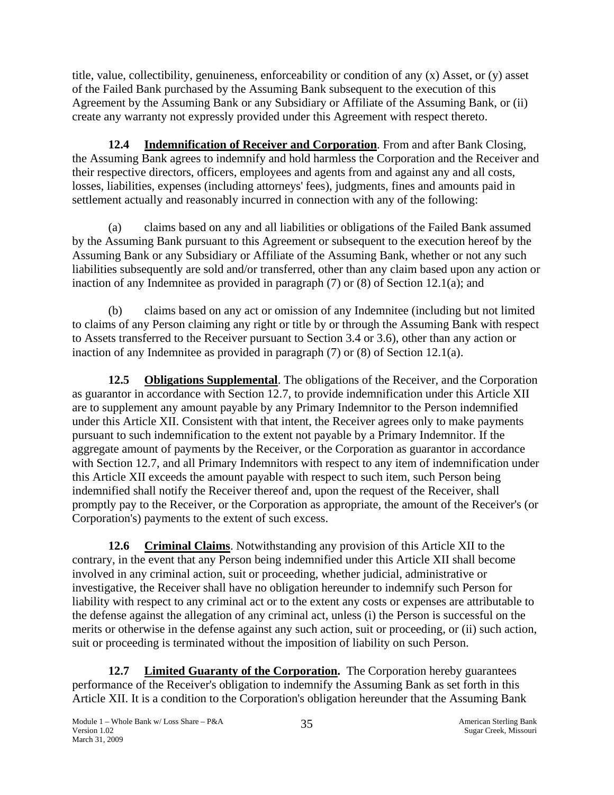title, value, collectibility, genuineness, enforceability or condition of any (x) Asset, or (y) asset of the Failed Bank purchased by the Assuming Bank subsequent to the execution of this Agreement by the Assuming Bank or any Subsidiary or Affiliate of the Assuming Bank, or (ii) create any warranty not expressly provided under this Agreement with respect thereto.

**12.4 Indemnification of Receiver and Corporation**. From and after Bank Closing, the Assuming Bank agrees to indemnify and hold harmless the Corporation and the Receiver and their respective directors, officers, employees and agents from and against any and all costs, losses, liabilities, expenses (including attorneys' fees), judgments, fines and amounts paid in settlement actually and reasonably incurred in connection with any of the following:

(a) claims based on any and all liabilities or obligations of the Failed Bank assumed by the Assuming Bank pursuant to this Agreement or subsequent to the execution hereof by the Assuming Bank or any Subsidiary or Affiliate of the Assuming Bank, whether or not any such liabilities subsequently are sold and/or transferred, other than any claim based upon any action or inaction of any Indemnitee as provided in paragraph (7) or (8) of Section 12.1(a); and

(b) claims based on any act or omission of any Indemnitee (including but not limited to claims of any Person claiming any right or title by or through the Assuming Bank with respect to Assets transferred to the Receiver pursuant to Section 3.4 or 3.6), other than any action or inaction of any Indemnitee as provided in paragraph (7) or (8) of Section 12.1(a).

**12.5 Obligations Supplemental**. The obligations of the Receiver, and the Corporation as guarantor in accordance with Section 12.7, to provide indemnification under this Article XII are to supplement any amount payable by any Primary Indemnitor to the Person indemnified under this Article XII. Consistent with that intent, the Receiver agrees only to make payments pursuant to such indemnification to the extent not payable by a Primary Indemnitor. If the aggregate amount of payments by the Receiver, or the Corporation as guarantor in accordance with Section 12.7, and all Primary Indemnitors with respect to any item of indemnification under this Article XII exceeds the amount payable with respect to such item, such Person being indemnified shall notify the Receiver thereof and, upon the request of the Receiver, shall promptly pay to the Receiver, or the Corporation as appropriate, the amount of the Receiver's (or Corporation's) payments to the extent of such excess.

**12.6 Criminal Claims**. Notwithstanding any provision of this Article XII to the contrary, in the event that any Person being indemnified under this Article XII shall become involved in any criminal action, suit or proceeding, whether judicial, administrative or investigative, the Receiver shall have no obligation hereunder to indemnify such Person for liability with respect to any criminal act or to the extent any costs or expenses are attributable to the defense against the allegation of any criminal act, unless (i) the Person is successful on the merits or otherwise in the defense against any such action, suit or proceeding, or (ii) such action, suit or proceeding is terminated without the imposition of liability on such Person.

**12.7 Limited Guaranty of the Corporation.** The Corporation hereby guarantees performance of the Receiver's obligation to indemnify the Assuming Bank as set forth in this Article XII. It is a condition to the Corporation's obligation hereunder that the Assuming Bank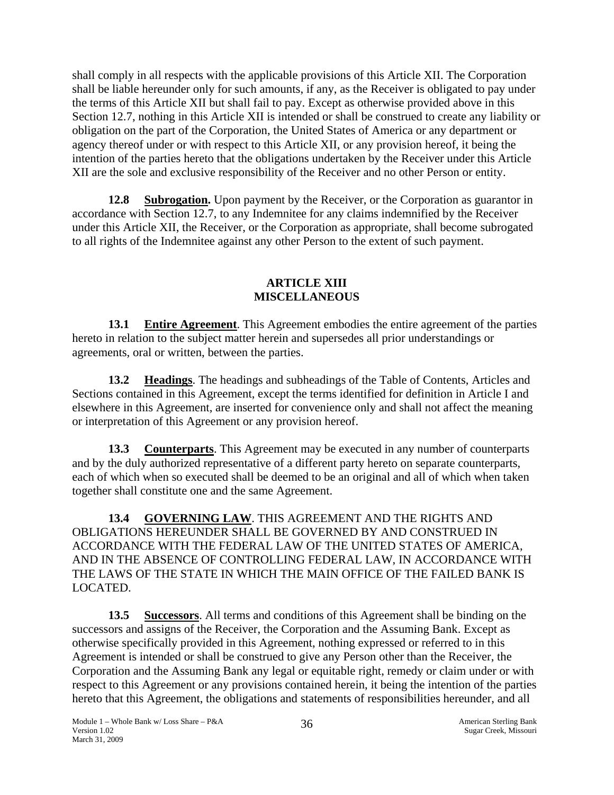shall comply in all respects with the applicable provisions of this Article XII. The Corporation shall be liable hereunder only for such amounts, if any, as the Receiver is obligated to pay under the terms of this Article XII but shall fail to pay. Except as otherwise provided above in this Section 12.7, nothing in this Article XII is intended or shall be construed to create any liability or obligation on the part of the Corporation, the United States of America or any department or agency thereof under or with respect to this Article XII, or any provision hereof, it being the intention of the parties hereto that the obligations undertaken by the Receiver under this Article XII are the sole and exclusive responsibility of the Receiver and no other Person or entity.

**12.8 Subrogation.** Upon payment by the Receiver, or the Corporation as guarantor in accordance with Section 12.7, to any Indemnitee for any claims indemnified by the Receiver under this Article XII, the Receiver, or the Corporation as appropriate, shall become subrogated to all rights of the Indemnitee against any other Person to the extent of such payment.

### **ARTICLE XIII MISCELLANEOUS**

**13.1 Entire Agreement**. This Agreement embodies the entire agreement of the parties hereto in relation to the subject matter herein and supersedes all prior understandings or agreements, oral or written, between the parties.

**13.2 Headings**. The headings and subheadings of the Table of Contents, Articles and Sections contained in this Agreement, except the terms identified for definition in Article I and elsewhere in this Agreement, are inserted for convenience only and shall not affect the meaning or interpretation of this Agreement or any provision hereof.

**13.3 Counterparts**. This Agreement may be executed in any number of counterparts and by the duly authorized representative of a different party hereto on separate counterparts, each of which when so executed shall be deemed to be an original and all of which when taken together shall constitute one and the same Agreement.

**13.4 GOVERNING LAW**. THIS AGREEMENT AND THE RIGHTS AND OBLIGATIONS HEREUNDER SHALL BE GOVERNED BY AND CONSTRUED IN ACCORDANCE WITH THE FEDERAL LAW OF THE UNITED STATES OF AMERICA, AND IN THE ABSENCE OF CONTROLLING FEDERAL LAW, IN ACCORDANCE WITH THE LAWS OF THE STATE IN WHICH THE MAIN OFFICE OF THE FAILED BANK IS LOCATED.

 **13.5 Successors**. All terms and conditions of this Agreement shall be binding on the successors and assigns of the Receiver, the Corporation and the Assuming Bank. Except as otherwise specifically provided in this Agreement, nothing expressed or referred to in this Agreement is intended or shall be construed to give any Person other than the Receiver, the Corporation and the Assuming Bank any legal or equitable right, remedy or claim under or with respect to this Agreement or any provisions contained herein, it being the intention of the parties hereto that this Agreement, the obligations and statements of responsibilities hereunder, and all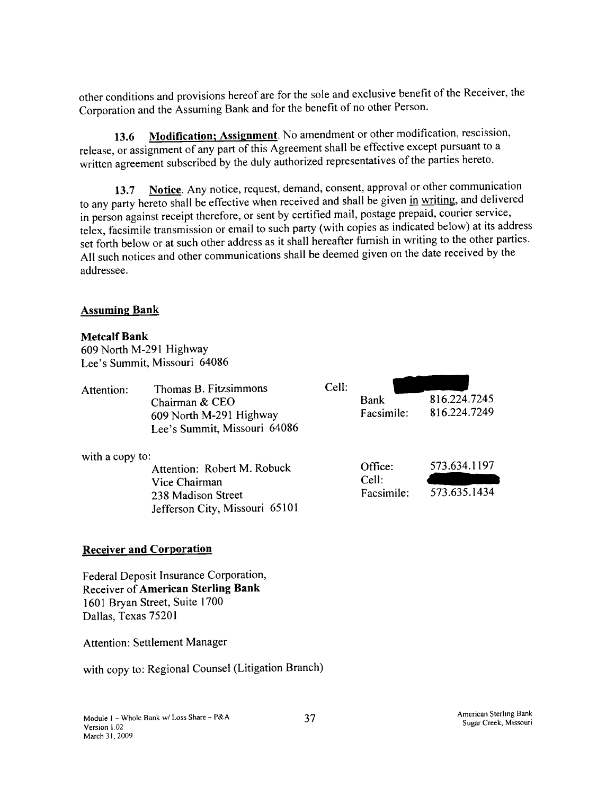other conditions and provisions hereof are for the sole and exclusive benefit of the Receiver, the Corporation and the Assuming Bank and for the benefit of no other Person.

13.6 Modification; Assignment. No amendment or other modification, rescission, any part of this Agreement shall be effective except pursuant to a tenease, or assignment of any part of any regressment share is been any parties hereto.

13.7 Notice. Any notice, request, demand, consent, approval or other communication to any party hereto shall be effective when received and shall be given in writing, and delivered in person against receipt therefore, or sent by certified mail, postage prepaid, courier service, telex, facsimile transmission or email to such party (with copies as indicated below) at its address set forth below or at such other address as it shall hereafter furnish in writing to the other parties. All such notices and other communications shall be deemed given on the date received by the addressee.

#### Assuming Bank

#### Metcalf Bank

609 North M-291 Highway Lee's Summit, Missouri 64086

| Attention:      | Thomas B. Fitzsimmons<br>Chairman & CEO<br>609 North M-291 Highway<br>Lee's Summit, Missouri 64086   | Cell: | <b>Bank</b><br>Facsimile:      | 816.224.7245<br>816.224.7249 |
|-----------------|------------------------------------------------------------------------------------------------------|-------|--------------------------------|------------------------------|
| with a copy to: | Attention: Robert M. Robuck<br>Vice Chairman<br>238 Madison Street<br>Jefferson City, Missouri 65101 |       | Office:<br>Cell:<br>Facsimile: | 573.634.1197<br>573.635.1434 |

#### Receiver and Corporation

Federal Deposit Insurance Corporation, Receiver of American Sterling Bank 1601 Bryan Street, Suite 1700 Dallas, Texas 75201

Attention: Settlement Manager

with copy to: Regional Counsel (Litigation Branch)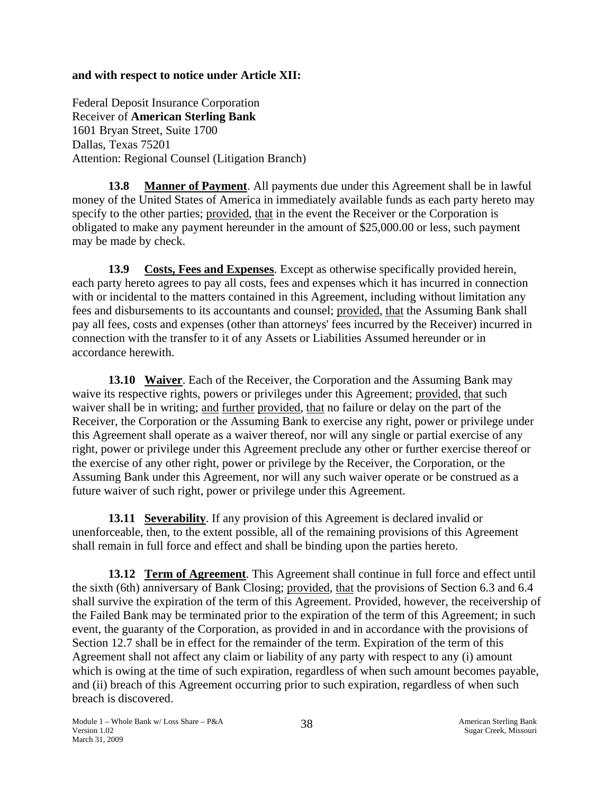### **and with respect to notice under Article XII:**

Federal Deposit Insurance Corporation Receiver of **American Sterling Bank**  1601 Bryan Street, Suite 1700 Dallas, Texas 75201 Attention: Regional Counsel (Litigation Branch)

 **13.8 Manner of Payment**. All payments due under this Agreement shall be in lawful money of the United States of America in immediately available funds as each party hereto may specify to the other parties; provided, that in the event the Receiver or the Corporation is obligated to make any payment hereunder in the amount of \$25,000.00 or less, such payment may be made by check.

**13.9 Costs, Fees and Expenses**. Except as otherwise specifically provided herein, each party hereto agrees to pay all costs, fees and expenses which it has incurred in connection with or incidental to the matters contained in this Agreement, including without limitation any fees and disbursements to its accountants and counsel; provided, that the Assuming Bank shall pay all fees, costs and expenses (other than attorneys' fees incurred by the Receiver) incurred in connection with the transfer to it of any Assets or Liabilities Assumed hereunder or in accordance herewith.

**13.10 Waiver**. Each of the Receiver, the Corporation and the Assuming Bank may waive its respective rights, powers or privileges under this Agreement; provided, that such waiver shall be in writing; and further provided, that no failure or delay on the part of the Receiver, the Corporation or the Assuming Bank to exercise any right, power or privilege under this Agreement shall operate as a waiver thereof, nor will any single or partial exercise of any right, power or privilege under this Agreement preclude any other or further exercise thereof or the exercise of any other right, power or privilege by the Receiver, the Corporation, or the Assuming Bank under this Agreement, nor will any such waiver operate or be construed as a future waiver of such right, power or privilege under this Agreement.

**13.11 Severability**. If any provision of this Agreement is declared invalid or unenforceable, then, to the extent possible, all of the remaining provisions of this Agreement shall remain in full force and effect and shall be binding upon the parties hereto.

**13.12 Term of Agreement**. This Agreement shall continue in full force and effect until the sixth (6th) anniversary of Bank Closing; provided, that the provisions of Section 6.3 and 6.4 shall survive the expiration of the term of this Agreement. Provided, however, the receivership of the Failed Bank may be terminated prior to the expiration of the term of this Agreement; in such event, the guaranty of the Corporation, as provided in and in accordance with the provisions of Section 12.7 shall be in effect for the remainder of the term. Expiration of the term of this Agreement shall not affect any claim or liability of any party with respect to any (i) amount which is owing at the time of such expiration, regardless of when such amount becomes payable, and (ii) breach of this Agreement occurring prior to such expiration, regardless of when such breach is discovered.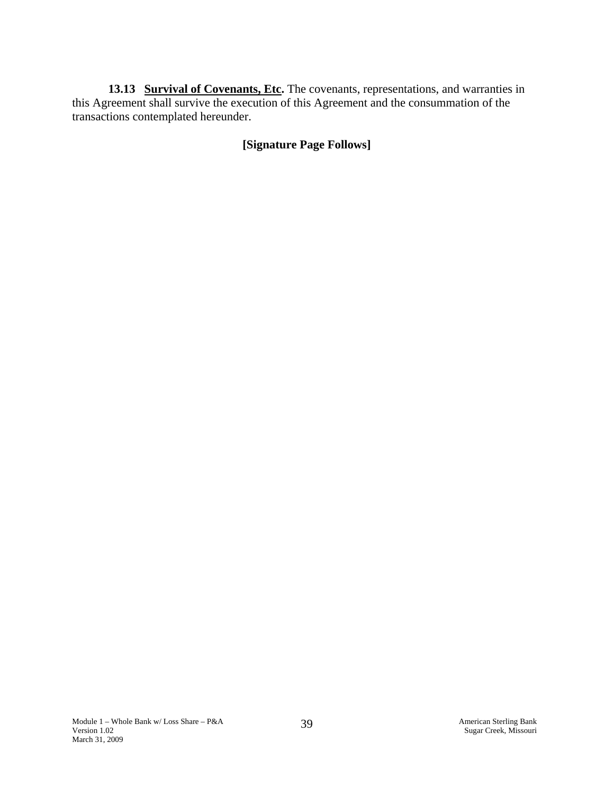**13.13 Survival of Covenants, Etc.** The covenants, representations, and warranties in this Agreement shall survive the execution of this Agreement and the consummation of the transactions contemplated hereunder.

## **[Signature Page Follows]**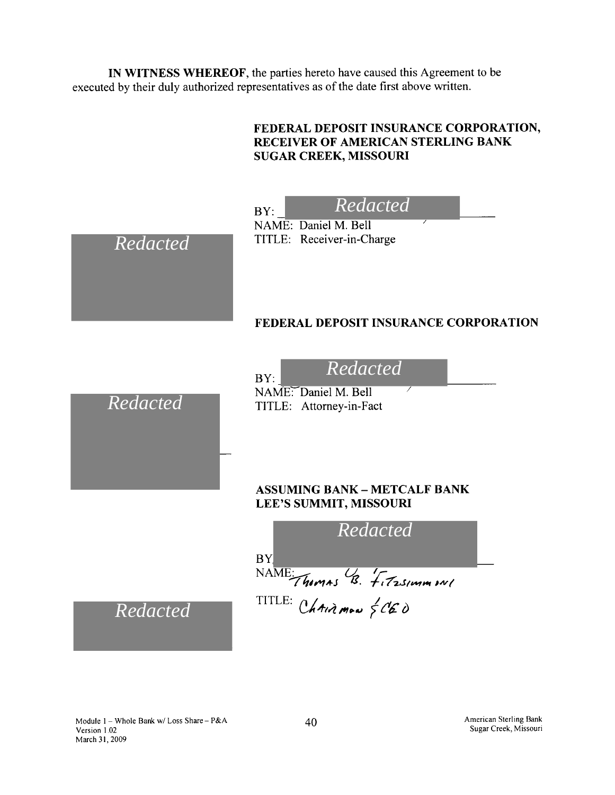IN WITNESS WHEREOF, the parties hereto have caused this Agreement to be executed by their duly authorized representatives as of the date first above written.

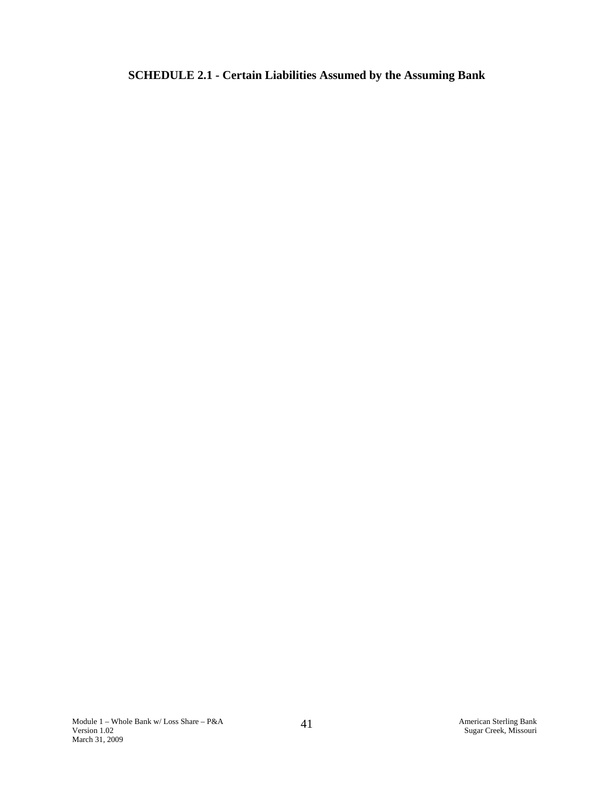**SCHEDULE 2.1 - Certain Liabilities Assumed by the Assuming Bank**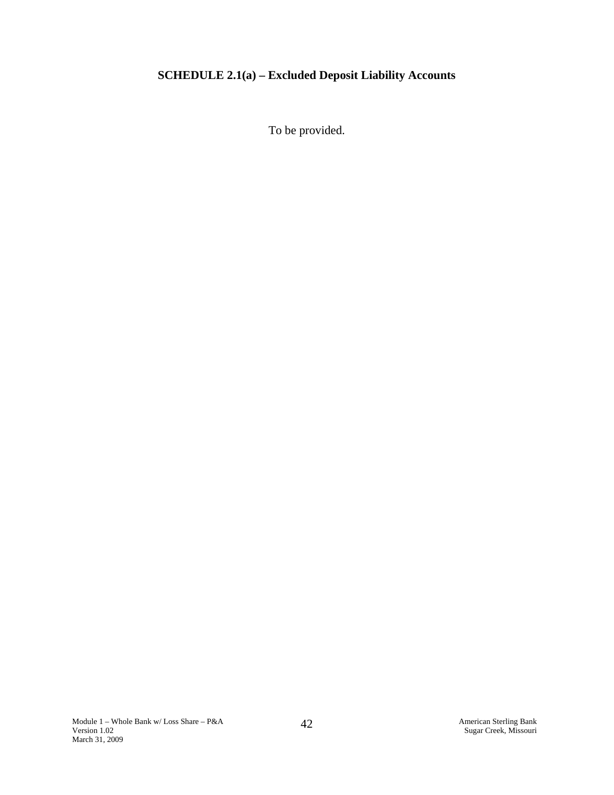## **SCHEDULE 2.1(a) – Excluded Deposit Liability Accounts**

To be provided.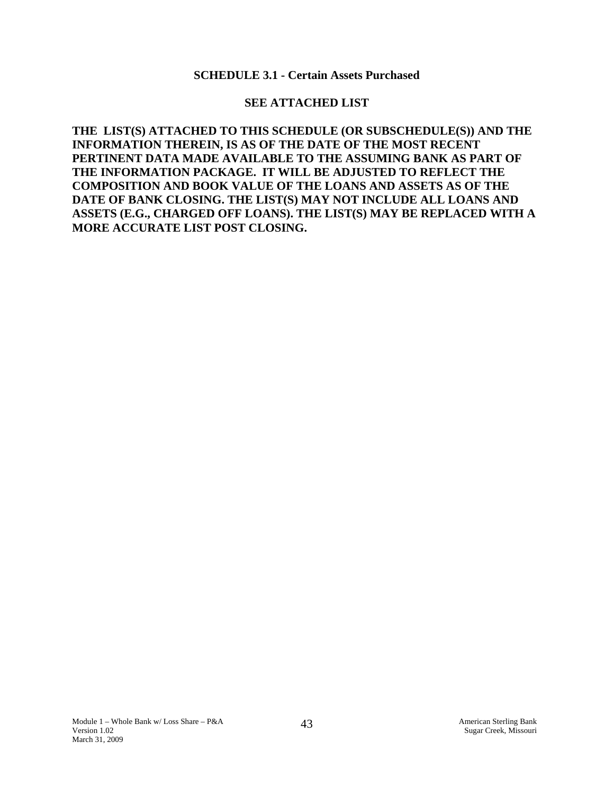#### **SCHEDULE 3.1 - Certain Assets Purchased**

#### **SEE ATTACHED LIST**

THE LIST(S) ATTACHED TO THIS SCHEDULE (OR SUBSCHEDULE(S)) AND THE **INFORMATION THEREIN, IS AS OF THE DATE OF THE MOST RECENT PERTINENT DATA MADE AVAILABLE TO THE ASSUMING BANK AS PART OF THE INFORMATION PACKAGE. IT WILL BE ADJUSTED TO REFLECT THE COMPOSITION AND BOOK VALUE OF THE LOANS AND ASSETS AS OF THE DATE OF BANK CLOSING. THE LIST(S) MAY NOT INCLUDE ALL LOANS AND ASSETS (E.G., CHARGED OFF LOANS). THE LIST(S) MAY BE REPLACED WITH A MORE ACCURATE LIST POST CLOSING.**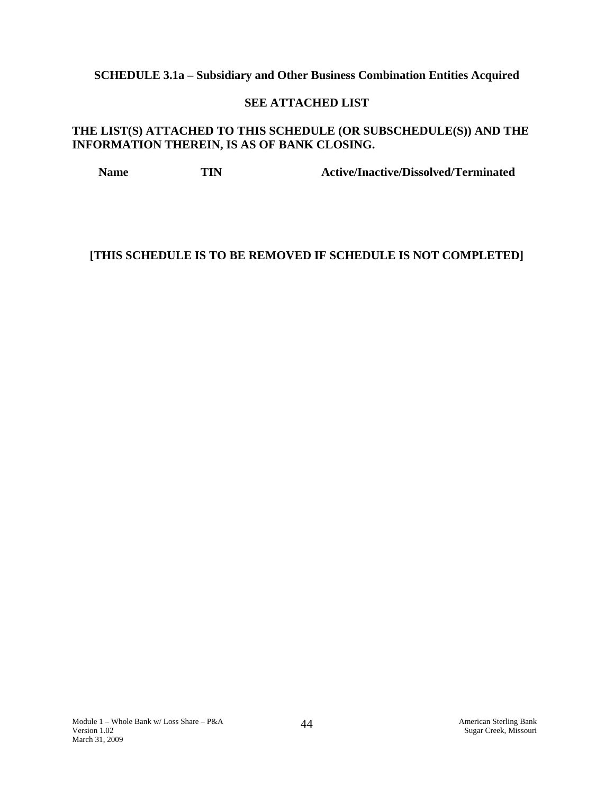#### **SCHEDULE 3.1a – Subsidiary and Other Business Combination Entities Acquired**

#### **SEE ATTACHED LIST**

### **THE LIST(S) ATTACHED TO THIS SCHEDULE (OR SUBSCHEDULE(S)) AND THE INFORMATION THEREIN, IS AS OF BANK CLOSING.**

**Name TIN Active/Inactive/Dissolved/Terminated** 

#### **[THIS SCHEDULE IS TO BE REMOVED IF SCHEDULE IS NOT COMPLETED]**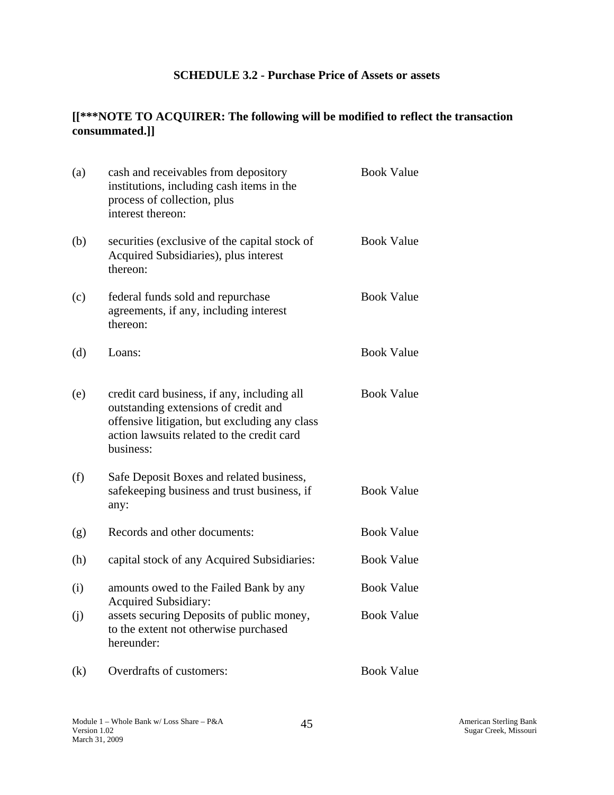## **SCHEDULE 3.2 - Purchase Price of Assets or assets**

## **[[\*\*\*NOTE TO ACQUIRER: The following will be modified to reflect the transaction consummated.]]**

| (a) | cash and receivables from depository<br>institutions, including cash items in the<br>process of collection, plus<br>interest thereon:                                                           | <b>Book Value</b> |
|-----|-------------------------------------------------------------------------------------------------------------------------------------------------------------------------------------------------|-------------------|
| (b) | securities (exclusive of the capital stock of<br>Acquired Subsidiaries), plus interest<br>thereon:                                                                                              | <b>Book Value</b> |
| (c) | federal funds sold and repurchase<br>agreements, if any, including interest<br>thereon:                                                                                                         | <b>Book Value</b> |
| (d) | Loans:                                                                                                                                                                                          | <b>Book Value</b> |
| (e) | credit card business, if any, including all<br>outstanding extensions of credit and<br>offensive litigation, but excluding any class<br>action lawsuits related to the credit card<br>business: | <b>Book Value</b> |
| (f) | Safe Deposit Boxes and related business,<br>safekeeping business and trust business, if<br>any:                                                                                                 | <b>Book Value</b> |
| (g) | Records and other documents:                                                                                                                                                                    | <b>Book Value</b> |
| (h) | capital stock of any Acquired Subsidiaries:                                                                                                                                                     | <b>Book Value</b> |
| (i) | amounts owed to the Failed Bank by any<br><b>Acquired Subsidiary:</b>                                                                                                                           | <b>Book Value</b> |
| (i) | assets securing Deposits of public money,<br>to the extent not otherwise purchased<br>hereunder:                                                                                                | <b>Book Value</b> |
| (k) | Overdrafts of customers:                                                                                                                                                                        | <b>Book Value</b> |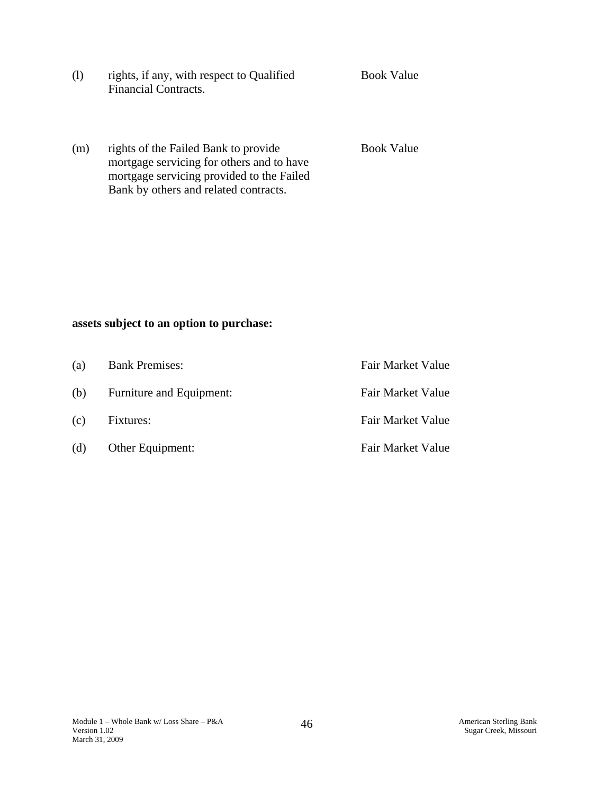- (1) rights, if any, with respect to Qualified Book Value Financial Contracts.
- (m) rights of the Failed Bank to provide Book Value mortgage servicing for others and to have mortgage servicing provided to the Failed Bank by others and related contracts.

### **assets subject to an option to purchase:**

| (a) | <b>Bank Premises:</b>    | Fair Market Value        |
|-----|--------------------------|--------------------------|
| (b) | Furniture and Equipment: | Fair Market Value        |
| (c) | Fixtures:                | Fair Market Value        |
| (d) | Other Equipment:         | <b>Fair Market Value</b> |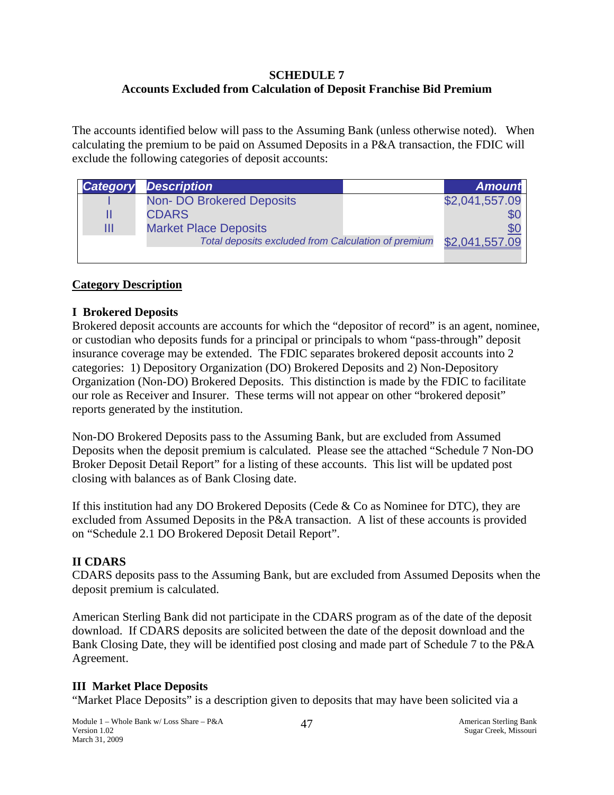## **SCHEDULE 7 Accounts Excluded from Calculation of Deposit Franchise Bid Premium**

The accounts identified below will pass to the Assuming Bank (unless otherwise noted). When calculating the premium to be paid on Assumed Deposits in a P&A transaction, the FDIC will exclude the following categories of deposit accounts:

| <b>Category</b> | <b>Description</b>                                  | Amount         |
|-----------------|-----------------------------------------------------|----------------|
|                 | <b>Non-DO Brokered Deposits</b>                     | \$2,041,557.09 |
|                 | <b>CDARS</b>                                        | \$0            |
| Ш               | <b>Market Place Deposits</b>                        | \$0            |
|                 | Total deposits excluded from Calculation of premium | .041.557.09    |
|                 |                                                     |                |

## **Category Description**

## **I Brokered Deposits**

Brokered deposit accounts are accounts for which the "depositor of record" is an agent, nominee, or custodian who deposits funds for a principal or principals to whom "pass-through" deposit insurance coverage may be extended. The FDIC separates brokered deposit accounts into 2 categories: 1) Depository Organization (DO) Brokered Deposits and 2) Non-Depository Organization (Non-DO) Brokered Deposits. This distinction is made by the FDIC to facilitate our role as Receiver and Insurer. These terms will not appear on other "brokered deposit" reports generated by the institution.

Non-DO Brokered Deposits pass to the Assuming Bank, but are excluded from Assumed Deposits when the deposit premium is calculated. Please see the attached "Schedule 7 Non-DO Broker Deposit Detail Report" for a listing of these accounts. This list will be updated post closing with balances as of Bank Closing date.

If this institution had any DO Brokered Deposits (Cede & Co as Nominee for DTC), they are excluded from Assumed Deposits in the P&A transaction. A list of these accounts is provided on "Schedule 2.1 DO Brokered Deposit Detail Report".

## **II CDARS**

CDARS deposits pass to the Assuming Bank, but are excluded from Assumed Deposits when the deposit premium is calculated.

American Sterling Bank did not participate in the CDARS program as of the date of the deposit download. If CDARS deposits are solicited between the date of the deposit download and the Bank Closing Date, they will be identified post closing and made part of Schedule 7 to the P&A Agreement.

### **III Market Place Deposits**

"Market Place Deposits" is a description given to deposits that may have been solicited via a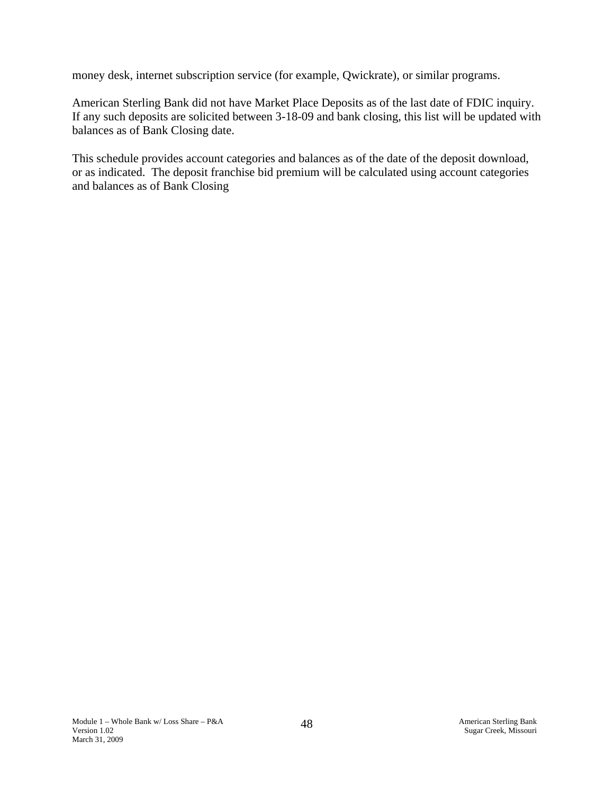money desk, internet subscription service (for example, Qwickrate), or similar programs.

American Sterling Bank did not have Market Place Deposits as of the last date of FDIC inquiry. If any such deposits are solicited between 3-18-09 and bank closing, this list will be updated with balances as of Bank Closing date.

This schedule provides account categories and balances as of the date of the deposit download, or as indicated. The deposit franchise bid premium will be calculated using account categories and balances as of Bank Closing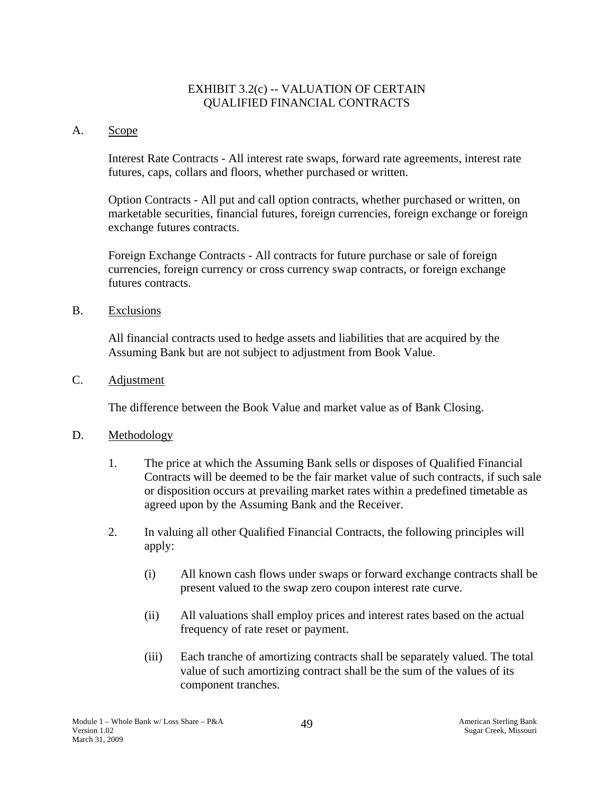#### EXHIBIT 3.2(c) -- VALUATION OF CERTAIN QUALIFIED FINANCIAL CONTRACTS

#### A. Scope

Interest Rate Contracts - All interest rate swaps, forward rate agreements, interest rate futures, caps, collars and floors, whether purchased or written.

Option Contracts - All put and call option contracts, whether purchased or written, on marketable securities, financial futures, foreign currencies, foreign exchange or foreign exchange futures contracts.

Foreign Exchange Contracts - All contracts for future purchase or sale of foreign currencies, foreign currency or cross currency swap contracts, or foreign exchange futures contracts.

#### B. Exclusions

All financial contracts used to hedge assets and liabilities that are acquired by the Assuming Bank but are not subject to adjustment from Book Value.

C. Adjustment

The difference between the Book Value and market value as of Bank Closing.

### D. Methodology

- 1. The price at which the Assuming Bank sells or disposes of Qualified Financial Contracts will be deemed to be the fair market value of such contracts, if such sale or disposition occurs at prevailing market rates within a predefined timetable as agreed upon by the Assuming Bank and the Receiver.
- 2. In valuing all other Qualified Financial Contracts, the following principles will apply:
	- (i) All known cash flows under swaps or forward exchange contracts shall be present valued to the swap zero coupon interest rate curve.
	- (ii) All valuations shall employ prices and interest rates based on the actual frequency of rate reset or payment.
	- (iii) Each tranche of amortizing contracts shall be separately valued. The total value of such amortizing contract shall be the sum of the values of its component tranches.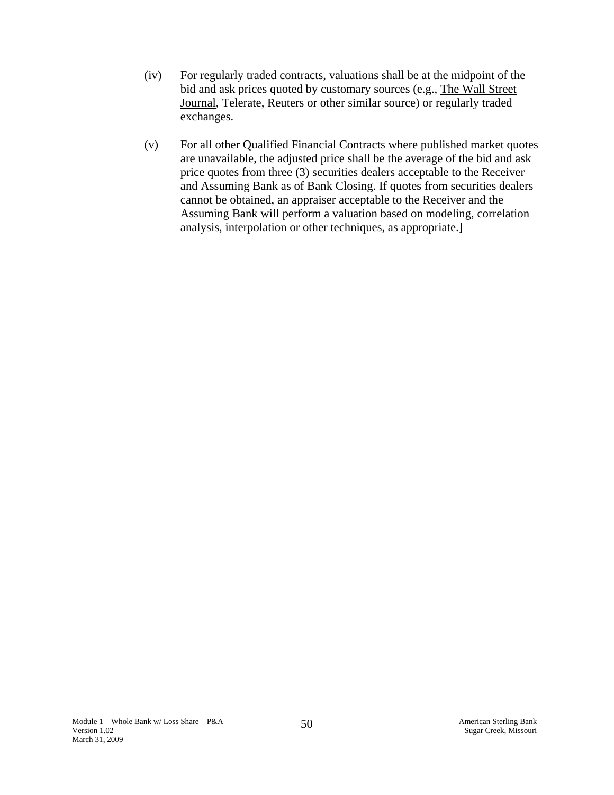- (iv) For regularly traded contracts, valuations shall be at the midpoint of the bid and ask prices quoted by customary sources (e.g., The Wall Street Journal, Telerate, Reuters or other similar source) or regularly traded exchanges.
- (v) For all other Qualified Financial Contracts where published market quotes are unavailable, the adjusted price shall be the average of the bid and ask price quotes from three (3) securities dealers acceptable to the Receiver and Assuming Bank as of Bank Closing. If quotes from securities dealers cannot be obtained, an appraiser acceptable to the Receiver and the Assuming Bank will perform a valuation based on modeling, correlation analysis, interpolation or other techniques, as appropriate.]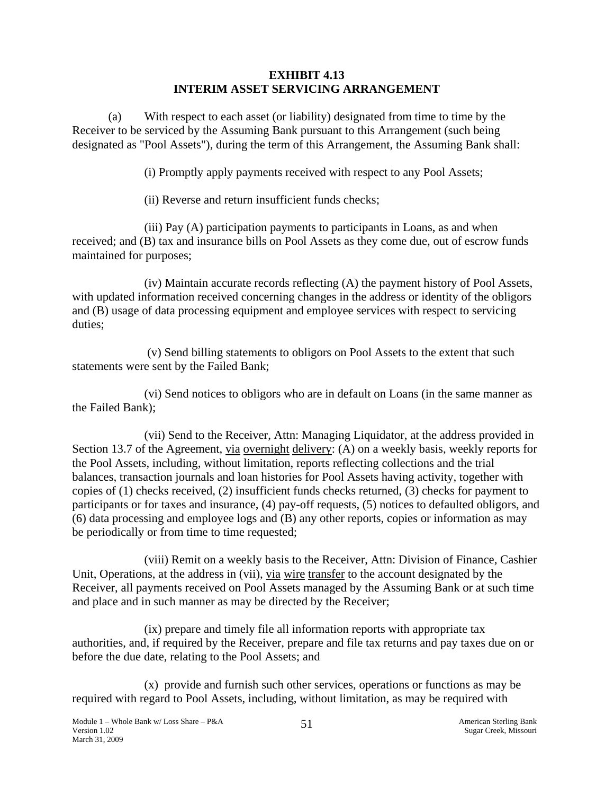### **EXHIBIT 4.13 INTERIM ASSET SERVICING ARRANGEMENT**

(a) With respect to each asset (or liability) designated from time to time by the Receiver to be serviced by the Assuming Bank pursuant to this Arrangement (such being designated as "Pool Assets"), during the term of this Arrangement, the Assuming Bank shall:

(i) Promptly apply payments received with respect to any Pool Assets;

(ii) Reverse and return insufficient funds checks;

(iii) Pay (A) participation payments to participants in Loans, as and when received; and (B) tax and insurance bills on Pool Assets as they come due, out of escrow funds maintained for purposes;

(iv) Maintain accurate records reflecting (A) the payment history of Pool Assets, with updated information received concerning changes in the address or identity of the obligors and (B) usage of data processing equipment and employee services with respect to servicing duties;

 (v) Send billing statements to obligors on Pool Assets to the extent that such statements were sent by the Failed Bank;

(vi) Send notices to obligors who are in default on Loans (in the same manner as the Failed Bank);

(vii) Send to the Receiver, Attn: Managing Liquidator, at the address provided in Section 13.7 of the Agreement, via overnight delivery: (A) on a weekly basis, weekly reports for the Pool Assets, including, without limitation, reports reflecting collections and the trial balances, transaction journals and loan histories for Pool Assets having activity, together with copies of (1) checks received, (2) insufficient funds checks returned, (3) checks for payment to participants or for taxes and insurance, (4) pay-off requests, (5) notices to defaulted obligors, and (6) data processing and employee logs and (B) any other reports, copies or information as may be periodically or from time to time requested;

(viii) Remit on a weekly basis to the Receiver, Attn: Division of Finance, Cashier Unit, Operations, at the address in (vii), via wire transfer to the account designated by the Receiver, all payments received on Pool Assets managed by the Assuming Bank or at such time and place and in such manner as may be directed by the Receiver;

(ix) prepare and timely file all information reports with appropriate tax authorities, and, if required by the Receiver, prepare and file tax returns and pay taxes due on or before the due date, relating to the Pool Assets; and

(x) provide and furnish such other services, operations or functions as may be required with regard to Pool Assets, including, without limitation, as may be required with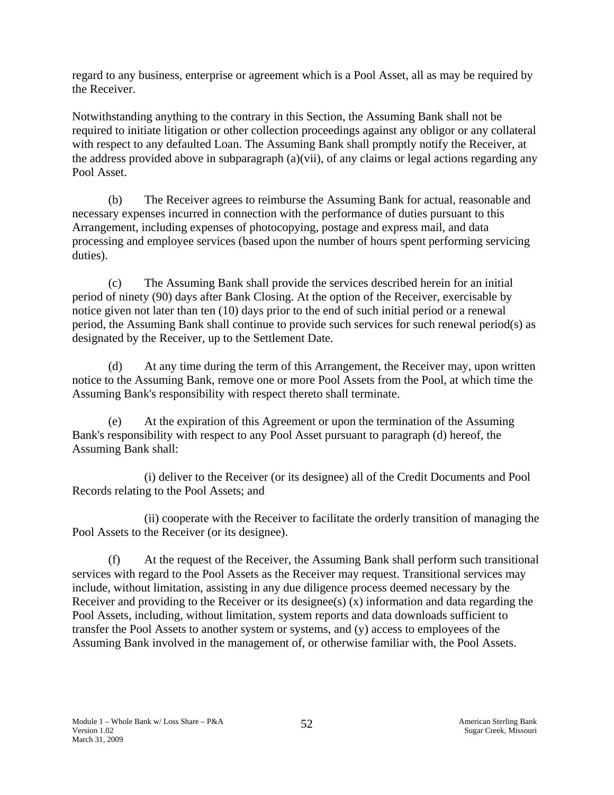regard to any business, enterprise or agreement which is a Pool Asset, all as may be required by the Receiver.

Notwithstanding anything to the contrary in this Section, the Assuming Bank shall not be required to initiate litigation or other collection proceedings against any obligor or any collateral with respect to any defaulted Loan. The Assuming Bank shall promptly notify the Receiver, at the address provided above in subparagraph (a)(vii), of any claims or legal actions regarding any Pool Asset.

(b) The Receiver agrees to reimburse the Assuming Bank for actual, reasonable and necessary expenses incurred in connection with the performance of duties pursuant to this Arrangement, including expenses of photocopying, postage and express mail, and data processing and employee services (based upon the number of hours spent performing servicing duties).

(c) The Assuming Bank shall provide the services described herein for an initial period of ninety (90) days after Bank Closing. At the option of the Receiver, exercisable by notice given not later than ten (10) days prior to the end of such initial period or a renewal period, the Assuming Bank shall continue to provide such services for such renewal period(s) as designated by the Receiver, up to the Settlement Date.

(d) At any time during the term of this Arrangement, the Receiver may, upon written notice to the Assuming Bank, remove one or more Pool Assets from the Pool, at which time the Assuming Bank's responsibility with respect thereto shall terminate.

(e) At the expiration of this Agreement or upon the termination of the Assuming Bank's responsibility with respect to any Pool Asset pursuant to paragraph (d) hereof, the Assuming Bank shall:

(i) deliver to the Receiver (or its designee) all of the Credit Documents and Pool Records relating to the Pool Assets; and

(ii) cooperate with the Receiver to facilitate the orderly transition of managing the Pool Assets to the Receiver (or its designee).

(f) At the request of the Receiver, the Assuming Bank shall perform such transitional services with regard to the Pool Assets as the Receiver may request. Transitional services may include, without limitation, assisting in any due diligence process deemed necessary by the Receiver and providing to the Receiver or its designee(s) (x) information and data regarding the Pool Assets, including, without limitation, system reports and data downloads sufficient to transfer the Pool Assets to another system or systems, and (y) access to employees of the Assuming Bank involved in the management of, or otherwise familiar with, the Pool Assets.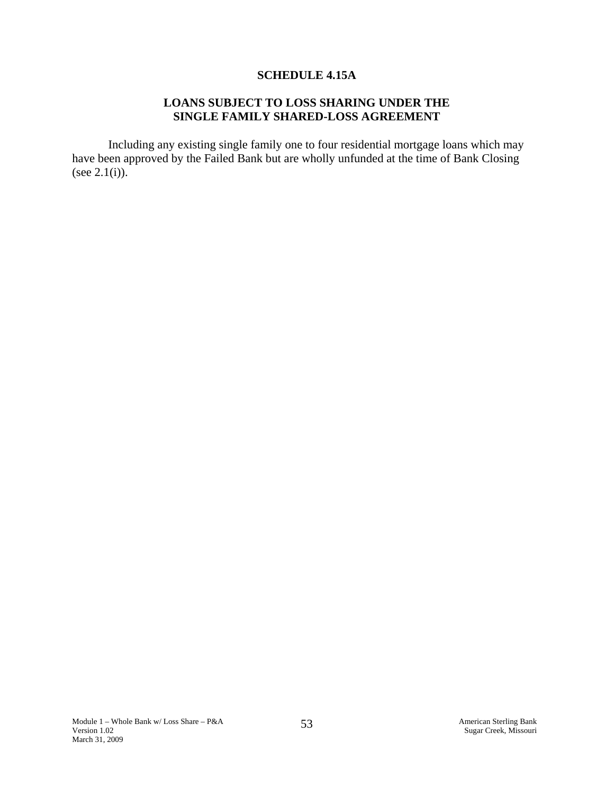#### **SCHEDULE 4.15A**

### **LOANS SUBJECT TO LOSS SHARING UNDER THE SINGLE FAMILY SHARED-LOSS AGREEMENT**

Including any existing single family one to four residential mortgage loans which may have been approved by the Failed Bank but are wholly unfunded at the time of Bank Closing (see  $2.1(i)$ ).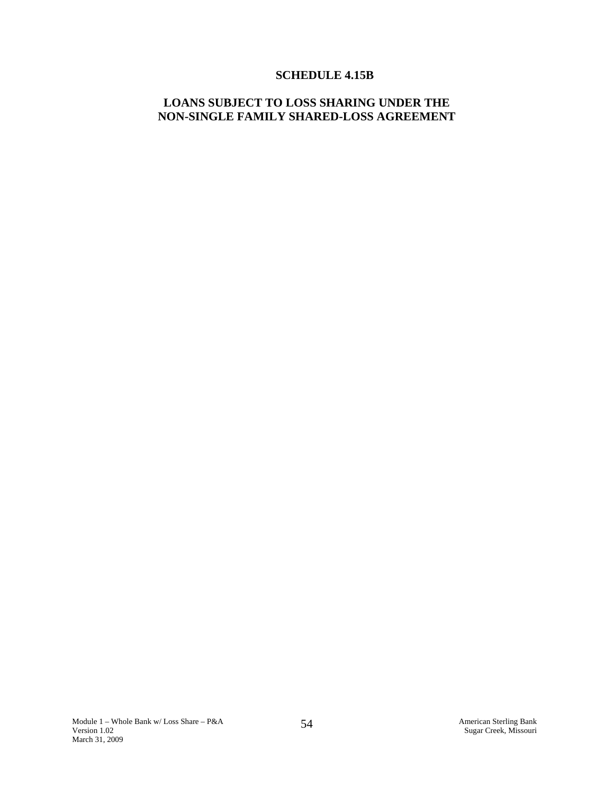#### **SCHEDULE 4.15B**

### **LOANS SUBJECT TO LOSS SHARING UNDER THE NON-SINGLE FAMILY SHARED-LOSS AGREEMENT**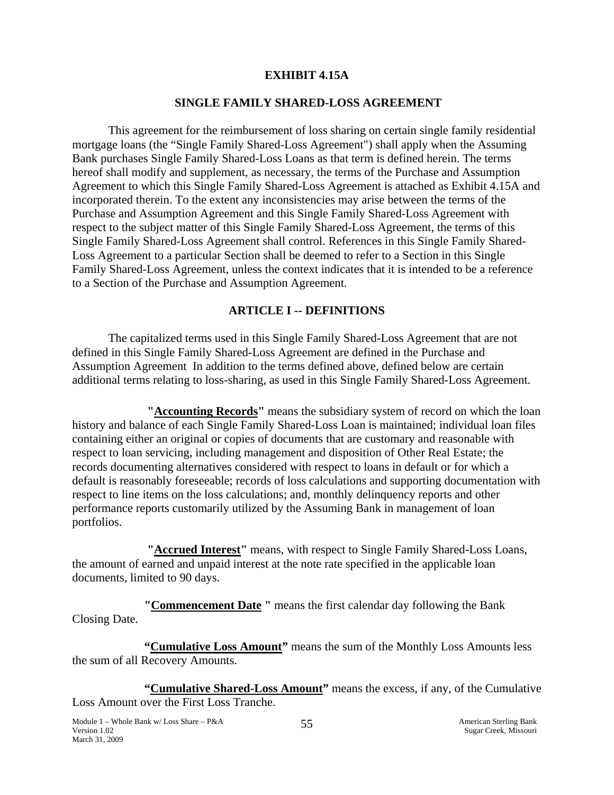#### **EXHIBIT 4.15A**

#### **SINGLE FAMILY SHARED-LOSS AGREEMENT**

This agreement for the reimbursement of loss sharing on certain single family residential mortgage loans (the "Single Family Shared-Loss Agreement") shall apply when the Assuming Bank purchases Single Family Shared-Loss Loans as that term is defined herein. The terms hereof shall modify and supplement, as necessary, the terms of the Purchase and Assumption Agreement to which this Single Family Shared-Loss Agreement is attached as Exhibit 4.15A and incorporated therein. To the extent any inconsistencies may arise between the terms of the Purchase and Assumption Agreement and this Single Family Shared-Loss Agreement with respect to the subject matter of this Single Family Shared-Loss Agreement, the terms of this Single Family Shared-Loss Agreement shall control. References in this Single Family Shared-Loss Agreement to a particular Section shall be deemed to refer to a Section in this Single Family Shared-Loss Agreement, unless the context indicates that it is intended to be a reference to a Section of the Purchase and Assumption Agreement.

#### **ARTICLE I -- DEFINITIONS**

The capitalized terms used in this Single Family Shared-Loss Agreement that are not defined in this Single Family Shared-Loss Agreement are defined in the Purchase and Assumption Agreement In addition to the terms defined above, defined below are certain additional terms relating to loss-sharing, as used in this Single Family Shared-Loss Agreement.

**"Accounting Records"** means the subsidiary system of record on which the loan history and balance of each Single Family Shared-Loss Loan is maintained; individual loan files containing either an original or copies of documents that are customary and reasonable with respect to loan servicing, including management and disposition of Other Real Estate; the records documenting alternatives considered with respect to loans in default or for which a default is reasonably foreseeable; records of loss calculations and supporting documentation with respect to line items on the loss calculations; and, monthly delinquency reports and other performance reports customarily utilized by the Assuming Bank in management of loan portfolios.

**"Accrued Interest"** means, with respect to Single Family Shared-Loss Loans, the amount of earned and unpaid interest at the note rate specified in the applicable loan documents, limited to 90 days.

**"Commencement Date "** means the first calendar day following the Bank Closing Date.

**"Cumulative Loss Amount"** means the sum of the Monthly Loss Amounts less the sum of all Recovery Amounts.

**"Cumulative Shared-Loss Amount"** means the excess, if any, of the Cumulative Loss Amount over the First Loss Tranche.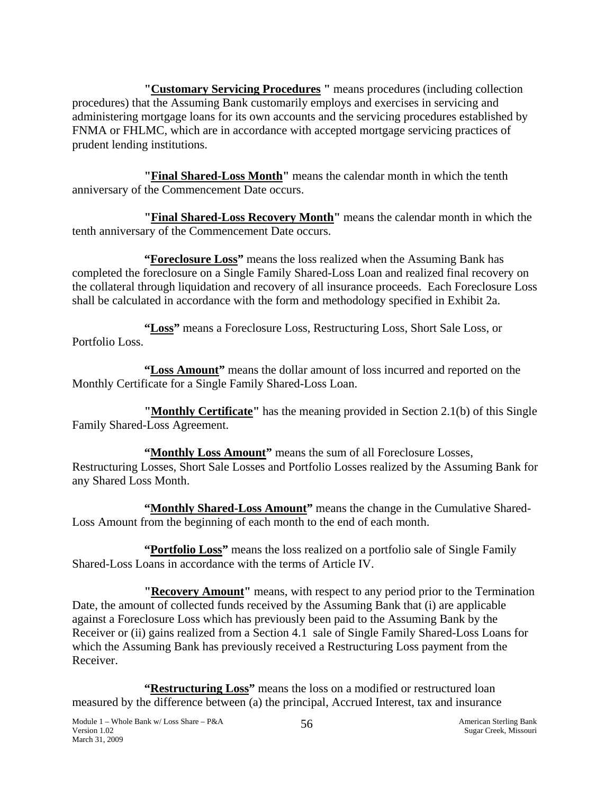**"Customary Servicing Procedures "** means procedures (including collection procedures) that the Assuming Bank customarily employs and exercises in servicing and administering mortgage loans for its own accounts and the servicing procedures established by FNMA or FHLMC, which are in accordance with accepted mortgage servicing practices of prudent lending institutions.

 anniversary of the Commencement Date occurs. **"Final Shared-Loss Month"** means the calendar month in which the tenth

**"Final Shared-Loss Recovery Month"** means the calendar month in which the tenth anniversary of the Commencement Date occurs.

**"Foreclosure Loss"** means the loss realized when the Assuming Bank has completed the foreclosure on a Single Family Shared-Loss Loan and realized final recovery on the collateral through liquidation and recovery of all insurance proceeds. Each Foreclosure Loss shall be calculated in accordance with the form and methodology specified in Exhibit 2a.

**"Loss"** means a Foreclosure Loss, Restructuring Loss, Short Sale Loss, or Portfolio Loss.

**"Loss Amount"** means the dollar amount of loss incurred and reported on the Monthly Certificate for a Single Family Shared-Loss Loan.

**"Monthly Certificate"** has the meaning provided in Section 2.1(b) of this Single Family Shared-Loss Agreement.

**"Monthly Loss Amount"** means the sum of all Foreclosure Losses, Restructuring Losses, Short Sale Losses and Portfolio Losses realized by the Assuming Bank for any Shared Loss Month.

**"Monthly Shared-Loss Amount"** means the change in the Cumulative Shared-Loss Amount from the beginning of each month to the end of each month.

**"Portfolio Loss"** means the loss realized on a portfolio sale of Single Family Shared-Loss Loans in accordance with the terms of Article IV.

**"Recovery Amount"** means, with respect to any period prior to the Termination Date, the amount of collected funds received by the Assuming Bank that (i) are applicable against a Foreclosure Loss which has previously been paid to the Assuming Bank by the Receiver or (ii) gains realized from a Section 4.1 sale of Single Family Shared-Loss Loans for which the Assuming Bank has previously received a Restructuring Loss payment from the Receiver.

"Restructuring Loss" means the loss on a modified or restructured loan measured by the difference between (a) the principal, Accrued Interest, tax and insurance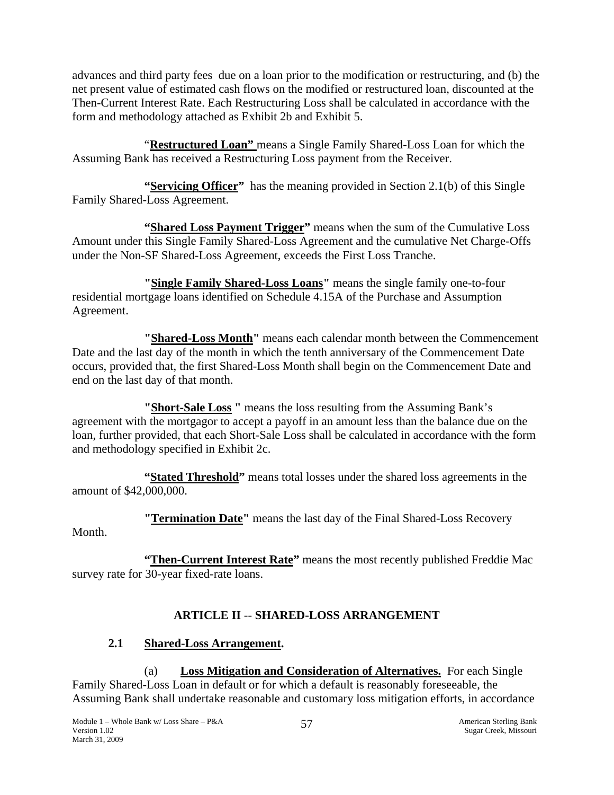advances and third party fees due on a loan prior to the modification or restructuring, and (b) the net present value of estimated cash flows on the modified or restructured loan, discounted at the Then-Current Interest Rate. Each Restructuring Loss shall be calculated in accordance with the form and methodology attached as Exhibit 2b and Exhibit 5.

"**Restructured Loan"** means a Single Family Shared-Loss Loan for which the Assuming Bank has received a Restructuring Loss payment from the Receiver.

**"Servicing Officer"** has the meaning provided in Section 2.1(b) of this Single Family Shared-Loss Agreement.

"Shared Loss Payment Trigger" means when the sum of the Cumulative Loss Amount under this Single Family Shared-Loss Agreement and the cumulative Net Charge-Offs under the Non-SF Shared-Loss Agreement, exceeds the First Loss Tranche.

**"Single Family Shared-Loss Loans"** means the single family one-to-four residential mortgage loans identified on Schedule 4.15A of the Purchase and Assumption Agreement.

**"Shared-Loss Month"** means each calendar month between the Commencement Date and the last day of the month in which the tenth anniversary of the Commencement Date occurs, provided that, the first Shared-Loss Month shall begin on the Commencement Date and end on the last day of that month.

**"Short-Sale Loss "** means the loss resulting from the Assuming Bank's agreement with the mortgagor to accept a payoff in an amount less than the balance due on the loan, further provided, that each Short-Sale Loss shall be calculated in accordance with the form and methodology specified in Exhibit 2c.

**"Stated Threshold"** means total losses under the shared loss agreements in the amount of \$42,000,000.

**"Termination Date"** means the last day of the Final Shared-Loss Recovery

Month.

**"Then-Current Interest Rate"** means the most recently published Freddie Mac survey rate for 30-year fixed-rate loans.

## **ARTICLE II** -- **SHARED-LOSS ARRANGEMENT**

## **2.1 Shared-Loss Arrangement.**

 (a) **Loss Mitigation and Consideration of Alternatives.** For each Single Family Shared-Loss Loan in default or for which a default is reasonably foreseeable, the Assuming Bank shall undertake reasonable and customary loss mitigation efforts, in accordance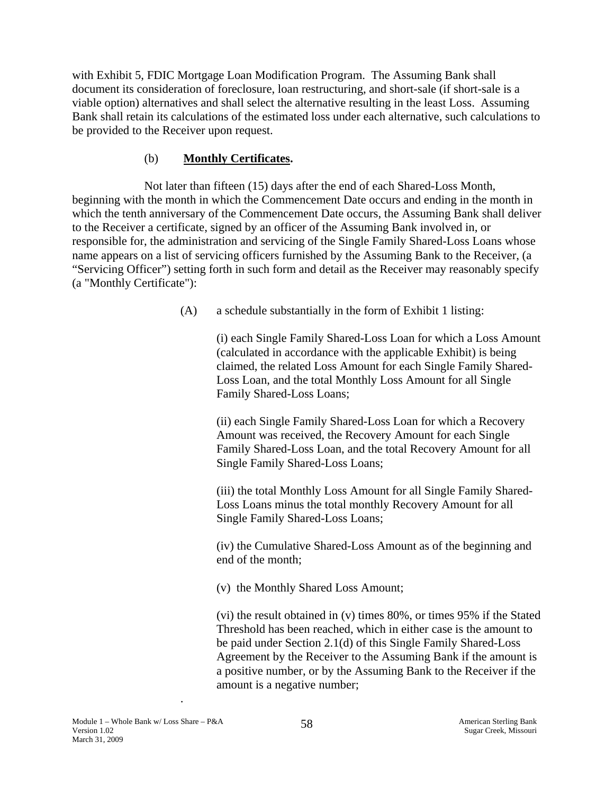with Exhibit 5, FDIC Mortgage Loan Modification Program. The Assuming Bank shall document its consideration of foreclosure, loan restructuring, and short-sale (if short-sale is a viable option) alternatives and shall select the alternative resulting in the least Loss. Assuming Bank shall retain its calculations of the estimated loss under each alternative, such calculations to be provided to the Receiver upon request.

## (b) **Monthly Certificates.**

Not later than fifteen (15) days after the end of each Shared-Loss Month, beginning with the month in which the Commencement Date occurs and ending in the month in which the tenth anniversary of the Commencement Date occurs, the Assuming Bank shall deliver to the Receiver a certificate, signed by an officer of the Assuming Bank involved in, or responsible for, the administration and servicing of the Single Family Shared-Loss Loans whose name appears on a list of servicing officers furnished by the Assuming Bank to the Receiver, (a "Servicing Officer") setting forth in such form and detail as the Receiver may reasonably specify (a "Monthly Certificate"):

(A) a schedule substantially in the form of Exhibit 1 listing:

(i) each Single Family Shared-Loss Loan for which a Loss Amount (calculated in accordance with the applicable Exhibit) is being claimed, the related Loss Amount for each Single Family Shared-Loss Loan, and the total Monthly Loss Amount for all Single Family Shared-Loss Loans;

(ii) each Single Family Shared-Loss Loan for which a Recovery Amount was received, the Recovery Amount for each Single Family Shared-Loss Loan, and the total Recovery Amount for all Single Family Shared-Loss Loans;

(iii) the total Monthly Loss Amount for all Single Family Shared-Loss Loans minus the total monthly Recovery Amount for all Single Family Shared-Loss Loans;

(iv) the Cumulative Shared-Loss Amount as of the beginning and end of the month;

(v) the Monthly Shared Loss Amount;

(vi) the result obtained in (v) times 80%, or times 95% if the Stated Threshold has been reached, which in either case is the amount to be paid under Section 2.1(d) of this Single Family Shared-Loss Agreement by the Receiver to the Assuming Bank if the amount is a positive number, or by the Assuming Bank to the Receiver if the amount is a negative number;

.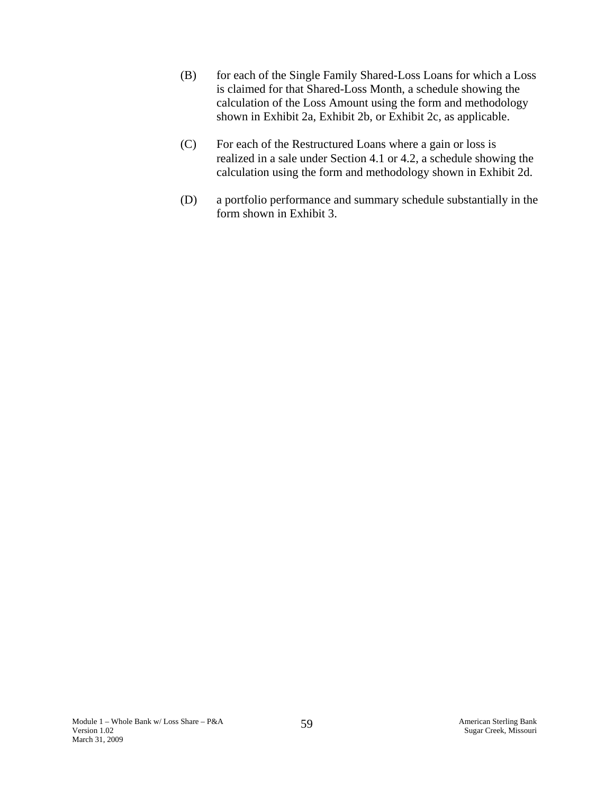- (B) for each of the Single Family Shared-Loss Loans for which a Loss is claimed for that Shared-Loss Month, a schedule showing the calculation of the Loss Amount using the form and methodology shown in Exhibit 2a, Exhibit 2b, or Exhibit 2c, as applicable.
- (C) For each of the Restructured Loans where a gain or loss is realized in a sale under Section 4.1 or 4.2, a schedule showing the calculation using the form and methodology shown in Exhibit 2d.
- (D) a portfolio performance and summary schedule substantially in the form shown in Exhibit 3.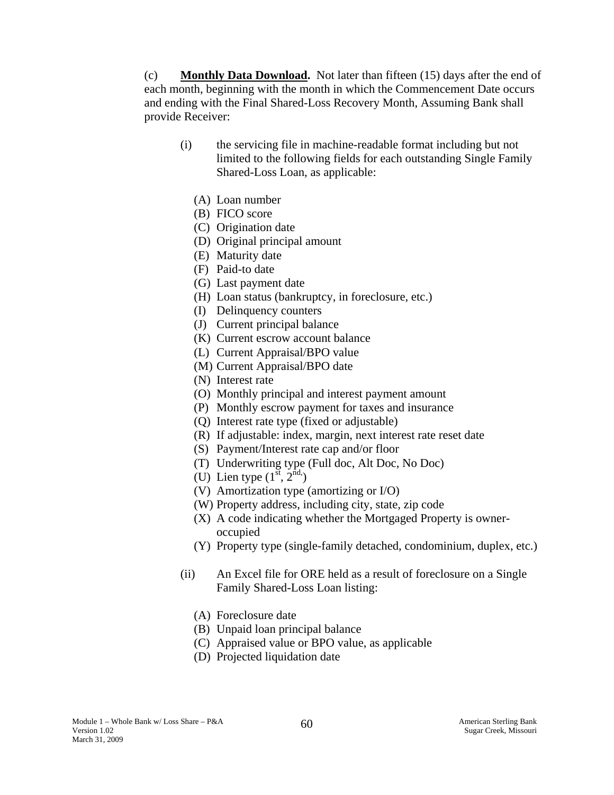(c) **Monthly Data Download.** Not later than fifteen (15) days after the end of each month, beginning with the month in which the Commencement Date occurs and ending with the Final Shared-Loss Recovery Month, Assuming Bank shall provide Receiver:

- (i) the servicing file in machine-readable format including but not limited to the following fields for each outstanding Single Family Shared-Loss Loan, as applicable:
	- (A) Loan number
	- (B) FICO score
	- (C) Origination date
	- (D) Original principal amount
	- (E) Maturity date
	- (F) Paid-to date
	- (G) Last payment date
	- (H) Loan status (bankruptcy, in foreclosure, etc.)
	- (I) Delinquency counters
	- (J) Current principal balance
	- (K) Current escrow account balance
	- (L) Current Appraisal/BPO value
	- (M) Current Appraisal/BPO date
	- (N) Interest rate
	- (O) Monthly principal and interest payment amount
	- (P) Monthly escrow payment for taxes and insurance
	- (Q) Interest rate type (fixed or adjustable)
	- (R) If adjustable: index, margin, next interest rate reset date
	- (S) Payment/Interest rate cap and/or floor
	- (T) Underwriting type (Full doc, Alt Doc, No Doc)
	- (U) Lien type  $(1<sup>st</sup>, 2<sup>nd</sup>)$
	- (V) Amortization type (amortizing or I/O)
	- (W) Property address, including city, state, zip code
	- (X) A code indicating whether the Mortgaged Property is owneroccupied
	- (Y) Property type (single-family detached, condominium, duplex, etc.)
- (ii) An Excel file for ORE held as a result of foreclosure on a Single Family Shared-Loss Loan listing:
	- (A) Foreclosure date
	- (B) Unpaid loan principal balance
	- (C) Appraised value or BPO value, as applicable
	- (D) Projected liquidation date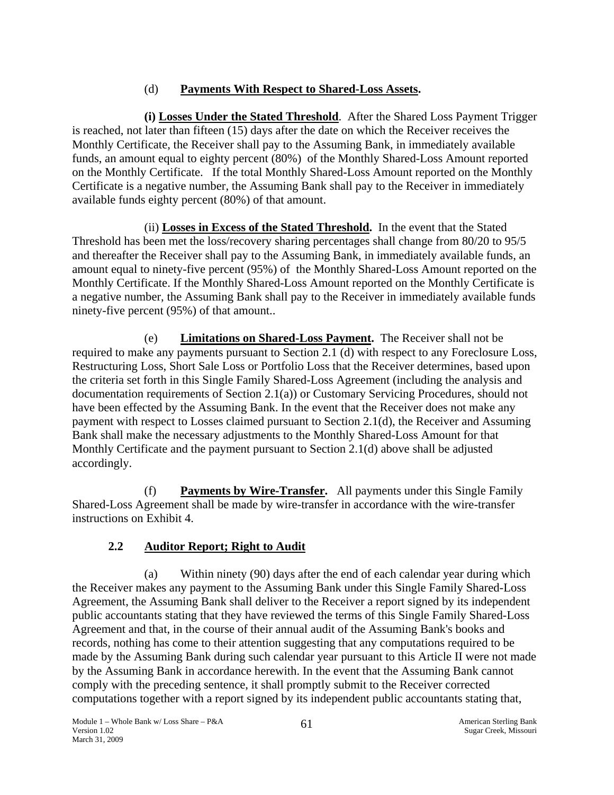## (d) **Payments With Respect to Shared-Loss Assets.**

**(i) Losses Under the Stated Threshold**. After the Shared Loss Payment Trigger is reached, not later than fifteen (15) days after the date on which the Receiver receives the Monthly Certificate, the Receiver shall pay to the Assuming Bank, in immediately available funds, an amount equal to eighty percent (80%) of the Monthly Shared-Loss Amount reported on the Monthly Certificate. If the total Monthly Shared-Loss Amount reported on the Monthly Certificate is a negative number, the Assuming Bank shall pay to the Receiver in immediately available funds eighty percent (80%) of that amount.

(ii) **Losses in Excess of the Stated Threshold.** In the event that the Stated Threshold has been met the loss/recovery sharing percentages shall change from 80/20 to 95/5 and thereafter the Receiver shall pay to the Assuming Bank, in immediately available funds, an amount equal to ninety-five percent (95%) of the Monthly Shared-Loss Amount reported on the Monthly Certificate. If the Monthly Shared-Loss Amount reported on the Monthly Certificate is a negative number, the Assuming Bank shall pay to the Receiver in immediately available funds ninety-five percent (95%) of that amount..

 accordingly. (e) **Limitations on Shared-Loss Payment.** The Receiver shall not be required to make any payments pursuant to Section 2.1 (d) with respect to any Foreclosure Loss, Restructuring Loss, Short Sale Loss or Portfolio Loss that the Receiver determines, based upon the criteria set forth in this Single Family Shared-Loss Agreement (including the analysis and documentation requirements of Section 2.1(a)) or Customary Servicing Procedures, should not have been effected by the Assuming Bank. In the event that the Receiver does not make any payment with respect to Losses claimed pursuant to Section 2.1(d), the Receiver and Assuming Bank shall make the necessary adjustments to the Monthly Shared-Loss Amount for that Monthly Certificate and the payment pursuant to Section 2.1(d) above shall be adjusted

 (f) **Payments by Wire-Transfer.** All payments under this Single Family Shared-Loss Agreement shall be made by wire-transfer in accordance with the wire-transfer instructions on Exhibit 4.

## **2.2 Auditor Report; Right to Audit**

(a) Within ninety (90) days after the end of each calendar year during which the Receiver makes any payment to the Assuming Bank under this Single Family Shared-Loss Agreement, the Assuming Bank shall deliver to the Receiver a report signed by its independent public accountants stating that they have reviewed the terms of this Single Family Shared-Loss Agreement and that, in the course of their annual audit of the Assuming Bank's books and records, nothing has come to their attention suggesting that any computations required to be made by the Assuming Bank during such calendar year pursuant to this Article II were not made by the Assuming Bank in accordance herewith. In the event that the Assuming Bank cannot comply with the preceding sentence, it shall promptly submit to the Receiver corrected computations together with a report signed by its independent public accountants stating that,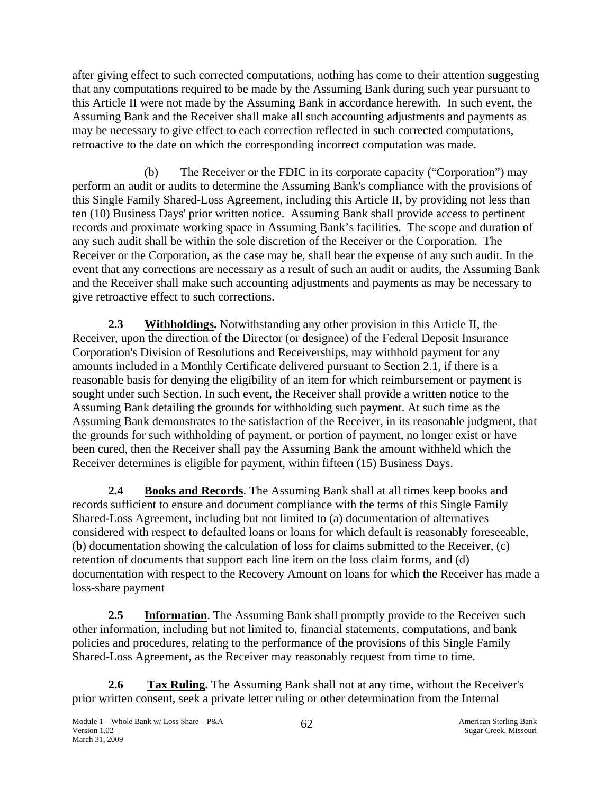after giving effect to such corrected computations, nothing has come to their attention suggesting that any computations required to be made by the Assuming Bank during such year pursuant to this Article II were not made by the Assuming Bank in accordance herewith. In such event, the Assuming Bank and the Receiver shall make all such accounting adjustments and payments as may be necessary to give effect to each correction reflected in such corrected computations, retroactive to the date on which the corresponding incorrect computation was made.

(b) The Receiver or the FDIC in its corporate capacity ("Corporation") may perform an audit or audits to determine the Assuming Bank's compliance with the provisions of this Single Family Shared-Loss Agreement, including this Article II, by providing not less than ten (10) Business Days' prior written notice. Assuming Bank shall provide access to pertinent records and proximate working space in Assuming Bank's facilities. The scope and duration of any such audit shall be within the sole discretion of the Receiver or the Corporation. The Receiver or the Corporation, as the case may be, shall bear the expense of any such audit. In the event that any corrections are necessary as a result of such an audit or audits, the Assuming Bank and the Receiver shall make such accounting adjustments and payments as may be necessary to give retroactive effect to such corrections.

**2.3 Withholdings.** Notwithstanding any other provision in this Article II, the Receiver, upon the direction of the Director (or designee) of the Federal Deposit Insurance Corporation's Division of Resolutions and Receiverships, may withhold payment for any amounts included in a Monthly Certificate delivered pursuant to Section 2.1, if there is a reasonable basis for denying the eligibility of an item for which reimbursement or payment is sought under such Section. In such event, the Receiver shall provide a written notice to the Assuming Bank detailing the grounds for withholding such payment. At such time as the Assuming Bank demonstrates to the satisfaction of the Receiver, in its reasonable judgment, that the grounds for such withholding of payment, or portion of payment, no longer exist or have been cured, then the Receiver shall pay the Assuming Bank the amount withheld which the Receiver determines is eligible for payment, within fifteen (15) Business Days.

**2.4 Books and Records**. The Assuming Bank shall at all times keep books and records sufficient to ensure and document compliance with the terms of this Single Family Shared-Loss Agreement, including but not limited to (a) documentation of alternatives considered with respect to defaulted loans or loans for which default is reasonably foreseeable, (b) documentation showing the calculation of loss for claims submitted to the Receiver, (c) retention of documents that support each line item on the loss claim forms, and (d) documentation with respect to the Recovery Amount on loans for which the Receiver has made a loss-share payment

**2.5 Information**. The Assuming Bank shall promptly provide to the Receiver such other information, including but not limited to, financial statements, computations, and bank policies and procedures, relating to the performance of the provisions of this Single Family Shared-Loss Agreement, as the Receiver may reasonably request from time to time.

**2.6 Tax Ruling.** The Assuming Bank shall not at any time, without the Receiver's prior written consent, seek a private letter ruling or other determination from the Internal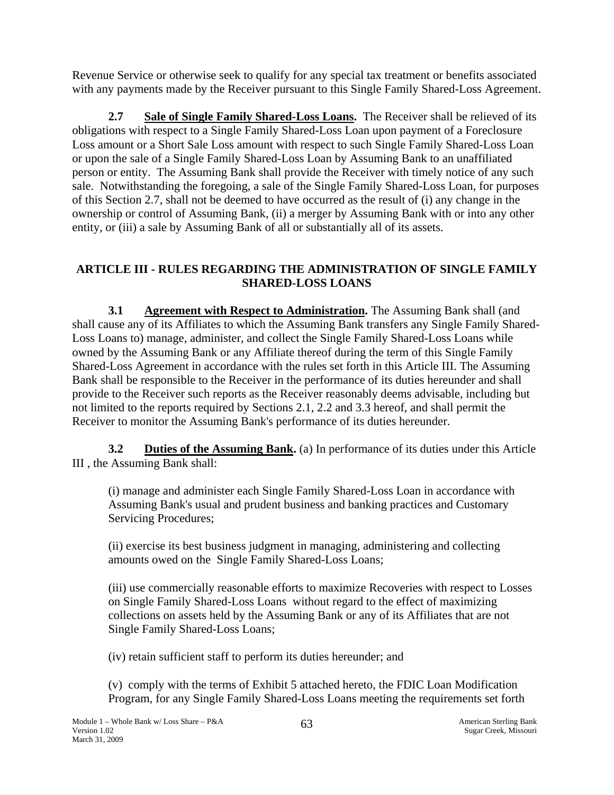Revenue Service or otherwise seek to qualify for any special tax treatment or benefits associated with any payments made by the Receiver pursuant to this Single Family Shared-Loss Agreement.

**2.7 Sale of Single Family Shared-Loss Loans.** The Receiver shall be relieved of its obligations with respect to a Single Family Shared-Loss Loan upon payment of a Foreclosure Loss amount or a Short Sale Loss amount with respect to such Single Family Shared-Loss Loan or upon the sale of a Single Family Shared-Loss Loan by Assuming Bank to an unaffiliated person or entity. The Assuming Bank shall provide the Receiver with timely notice of any such sale. Notwithstanding the foregoing, a sale of the Single Family Shared-Loss Loan, for purposes of this Section 2.7, shall not be deemed to have occurred as the result of (i) any change in the ownership or control of Assuming Bank, (ii) a merger by Assuming Bank with or into any other entity, or (iii) a sale by Assuming Bank of all or substantially all of its assets.

## **ARTICLE III - RULES REGARDING THE ADMINISTRATION OF SINGLE FAMILY SHARED-LOSS LOANS**

**3.1 Agreement with Respect to Administration.** The Assuming Bank shall (and shall cause any of its Affiliates to which the Assuming Bank transfers any Single Family Shared-Loss Loans to) manage, administer, and collect the Single Family Shared-Loss Loans while owned by the Assuming Bank or any Affiliate thereof during the term of this Single Family Shared-Loss Agreement in accordance with the rules set forth in this Article III. The Assuming Bank shall be responsible to the Receiver in the performance of its duties hereunder and shall provide to the Receiver such reports as the Receiver reasonably deems advisable, including but not limited to the reports required by Sections 2.1, 2.2 and 3.3 hereof, and shall permit the Receiver to monitor the Assuming Bank's performance of its duties hereunder.

**3.2 Duties of the Assuming Bank.** (a) In performance of its duties under this Article III , the Assuming Bank shall:

(i) manage and administer each Single Family Shared-Loss Loan in accordance with Assuming Bank's usual and prudent business and banking practices and Customary Servicing Procedures;

(ii) exercise its best business judgment in managing, administering and collecting amounts owed on the Single Family Shared-Loss Loans;

(iii) use commercially reasonable efforts to maximize Recoveries with respect to Losses on Single Family Shared-Loss Loans without regard to the effect of maximizing collections on assets held by the Assuming Bank or any of its Affiliates that are not Single Family Shared-Loss Loans;

(iv) retain sufficient staff to perform its duties hereunder; and

(v) comply with the terms of Exhibit 5 attached hereto, the FDIC Loan Modification Program, for any Single Family Shared-Loss Loans meeting the requirements set forth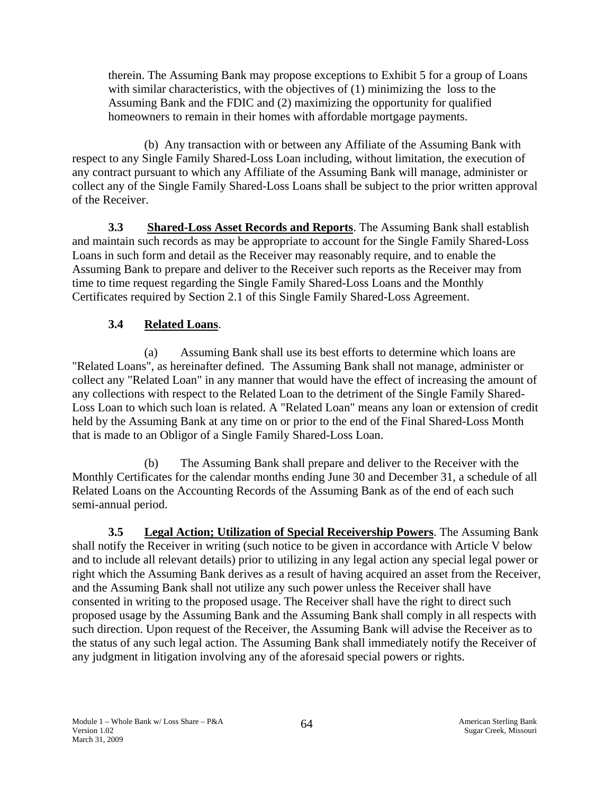therein. The Assuming Bank may propose exceptions to Exhibit 5 for a group of Loans with similar characteristics, with the objectives of (1) minimizing the loss to the Assuming Bank and the FDIC and (2) maximizing the opportunity for qualified homeowners to remain in their homes with affordable mortgage payments.

(b) Any transaction with or between any Affiliate of the Assuming Bank with respect to any Single Family Shared-Loss Loan including, without limitation, the execution of any contract pursuant to which any Affiliate of the Assuming Bank will manage, administer or collect any of the Single Family Shared-Loss Loans shall be subject to the prior written approval of the Receiver.

**3.3 Shared-Loss Asset Records and Reports**. The Assuming Bank shall establish and maintain such records as may be appropriate to account for the Single Family Shared-Loss Loans in such form and detail as the Receiver may reasonably require, and to enable the Assuming Bank to prepare and deliver to the Receiver such reports as the Receiver may from time to time request regarding the Single Family Shared-Loss Loans and the Monthly Certificates required by Section 2.1 of this Single Family Shared-Loss Agreement.

## **3.4 Related Loans**.

(a) Assuming Bank shall use its best efforts to determine which loans are "Related Loans", as hereinafter defined. The Assuming Bank shall not manage, administer or collect any "Related Loan" in any manner that would have the effect of increasing the amount of any collections with respect to the Related Loan to the detriment of the Single Family Shared-Loss Loan to which such loan is related. A "Related Loan" means any loan or extension of credit held by the Assuming Bank at any time on or prior to the end of the Final Shared-Loss Month that is made to an Obligor of a Single Family Shared-Loss Loan.

(b) The Assuming Bank shall prepare and deliver to the Receiver with the Monthly Certificates for the calendar months ending June 30 and December 31, a schedule of all Related Loans on the Accounting Records of the Assuming Bank as of the end of each such semi-annual period.

**3.5 Legal Action; Utilization of Special Receivership Powers**. The Assuming Bank shall notify the Receiver in writing (such notice to be given in accordance with Article V below and to include all relevant details) prior to utilizing in any legal action any special legal power or right which the Assuming Bank derives as a result of having acquired an asset from the Receiver, and the Assuming Bank shall not utilize any such power unless the Receiver shall have consented in writing to the proposed usage. The Receiver shall have the right to direct such proposed usage by the Assuming Bank and the Assuming Bank shall comply in all respects with such direction. Upon request of the Receiver, the Assuming Bank will advise the Receiver as to the status of any such legal action. The Assuming Bank shall immediately notify the Receiver of any judgment in litigation involving any of the aforesaid special powers or rights.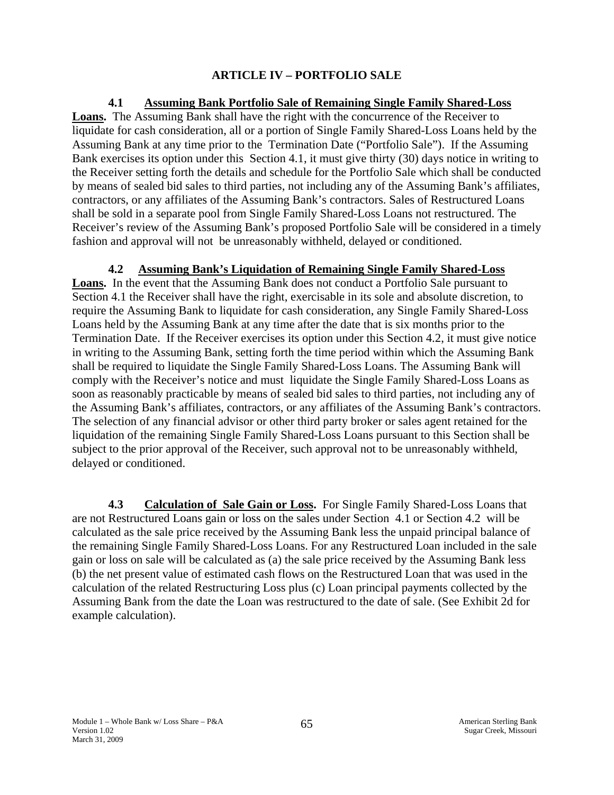## **ARTICLE IV – PORTFOLIO SALE**

**4.1 Assuming Bank Portfolio Sale of Remaining Single Family Shared-Loss Loans.** The Assuming Bank shall have the right with the concurrence of the Receiver to liquidate for cash consideration, all or a portion of Single Family Shared-Loss Loans held by the Assuming Bank at any time prior to the Termination Date ("Portfolio Sale"). If the Assuming Bank exercises its option under this Section 4.1, it must give thirty (30) days notice in writing to the Receiver setting forth the details and schedule for the Portfolio Sale which shall be conducted by means of sealed bid sales to third parties, not including any of the Assuming Bank's affiliates, contractors, or any affiliates of the Assuming Bank's contractors. Sales of Restructured Loans shall be sold in a separate pool from Single Family Shared-Loss Loans not restructured. The Receiver's review of the Assuming Bank's proposed Portfolio Sale will be considered in a timely fashion and approval will not be unreasonably withheld, delayed or conditioned.

#### **4.2 Assuming Bank's Liquidation of Remaining Single Family Shared-Loss**

**Loans.** In the event that the Assuming Bank does not conduct a Portfolio Sale pursuant to Section 4.1 the Receiver shall have the right, exercisable in its sole and absolute discretion, to require the Assuming Bank to liquidate for cash consideration, any Single Family Shared-Loss Loans held by the Assuming Bank at any time after the date that is six months prior to the Termination Date. If the Receiver exercises its option under this Section 4.2, it must give notice in writing to the Assuming Bank, setting forth the time period within which the Assuming Bank shall be required to liquidate the Single Family Shared-Loss Loans. The Assuming Bank will comply with the Receiver's notice and must liquidate the Single Family Shared-Loss Loans as soon as reasonably practicable by means of sealed bid sales to third parties, not including any of the Assuming Bank's affiliates, contractors, or any affiliates of the Assuming Bank's contractors. The selection of any financial advisor or other third party broker or sales agent retained for the liquidation of the remaining Single Family Shared-Loss Loans pursuant to this Section shall be subject to the prior approval of the Receiver, such approval not to be unreasonably withheld, delayed or conditioned.

**4.3 Calculation of Sale Gain or Loss.** For Single Family Shared-Loss Loans that are not Restructured Loans gain or loss on the sales under Section 4.1 or Section 4.2 will be calculated as the sale price received by the Assuming Bank less the unpaid principal balance of the remaining Single Family Shared-Loss Loans. For any Restructured Loan included in the sale gain or loss on sale will be calculated as (a) the sale price received by the Assuming Bank less (b) the net present value of estimated cash flows on the Restructured Loan that was used in the calculation of the related Restructuring Loss plus (c) Loan principal payments collected by the Assuming Bank from the date the Loan was restructured to the date of sale. (See Exhibit 2d for example calculation).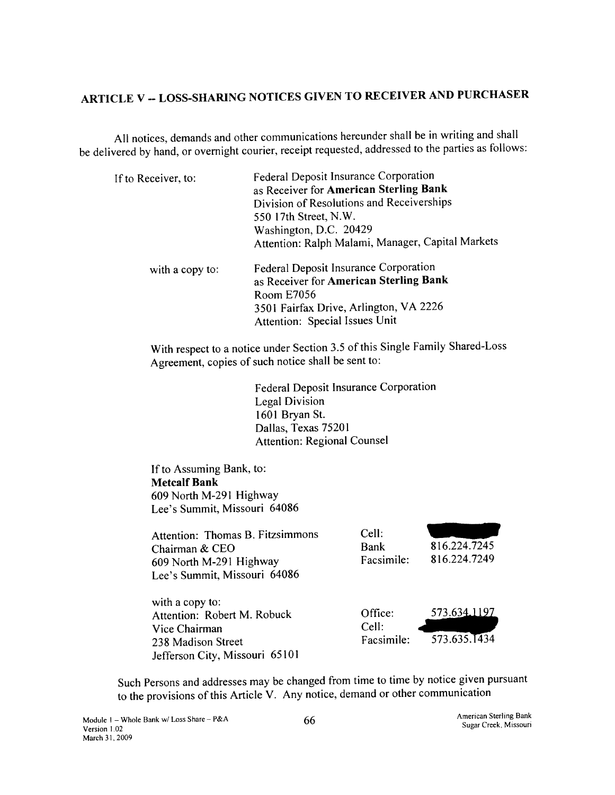# ARTICLE V -- LOSS-SHARING NOTICES GIVEN TO RECEIVER AND PURCHASER

All notices, demands and other communications hereunder shall be in writing and shall be delivered by hand, or overnight courier, receipt requested, addressed to the parties as follows:

| If to Receiver, to: | Federal Deposit Insurance Corporation<br>as Receiver for American Sterling Bank<br>Division of Resolutions and Receiverships<br>550 17th Street, N.W.<br>Washington, D.C. 20429<br>Attention: Ralph Malami, Manager, Capital Markets |
|---------------------|--------------------------------------------------------------------------------------------------------------------------------------------------------------------------------------------------------------------------------------|
| with a copy to:     | Federal Deposit Insurance Corporation<br>as Receiver for American Sterling Bank<br><b>Room E7056</b><br>3501 Fairfax Drive, Arlington, VA 2226<br>Attention: Special Issues Unit                                                     |

With respect to a notice under Section 3.5 of this Single Family Shared-Loss Agreement, copies of such notice shall be sent to:

> Federal Deposit Insurance Corporation Legal Division 1601 Bryan St. Dallas, Texas 75201 Attention: Regional Counsel

If to Assuming Bank, to: Metcalf Bank 609 North M-291 Highway Lee's Summit, Missouri 64086

| Attention: Thomas B. Fitzsimmons<br>Chairman & CEO<br>609 North M-291 Highway<br>Lee's Summit, Missouri 64086           | Cell:<br><b>Bank</b><br>Facsimile: | 816.224.7245<br>816.224.7249 |
|-------------------------------------------------------------------------------------------------------------------------|------------------------------------|------------------------------|
| with a copy to:<br>Attention: Robert M. Robuck<br>Vice Chairman<br>238 Madison Street<br>Jefferson City, Missouri 65101 | Office:<br>Cell:<br>Facsimile:     | 573.634.1197<br>573.635.1434 |

Such Persons and addresses may be changed from time to time by notice given pursuant to the provisions of this Article V. Any notice, demand or other communication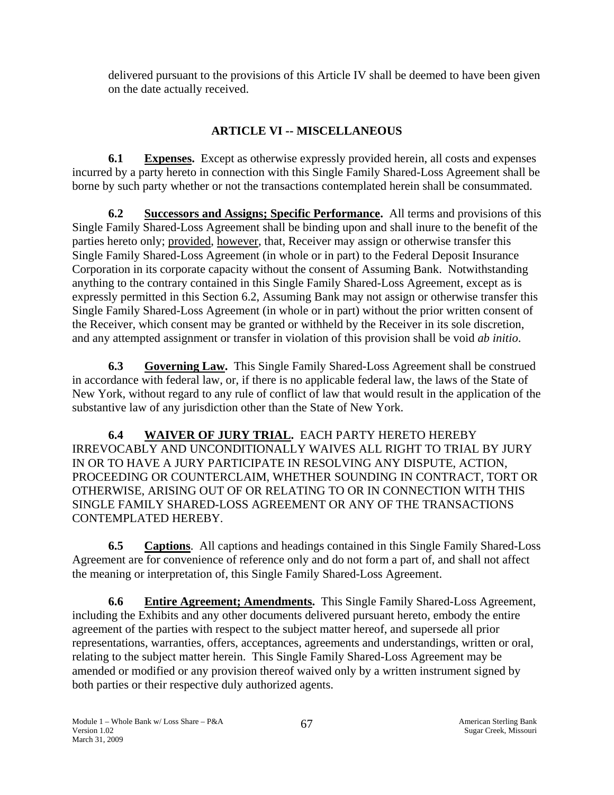delivered pursuant to the provisions of this Article IV shall be deemed to have been given on the date actually received.

## **ARTICLE VI -- MISCELLANEOUS**

**6.1 Expenses.** Except as otherwise expressly provided herein, all costs and expenses incurred by a party hereto in connection with this Single Family Shared-Loss Agreement shall be borne by such party whether or not the transactions contemplated herein shall be consummated.

**6.2 Successors and Assigns; Specific Performance.** All terms and provisions of this Single Family Shared-Loss Agreement shall be binding upon and shall inure to the benefit of the parties hereto only; provided, however, that, Receiver may assign or otherwise transfer this Single Family Shared-Loss Agreement (in whole or in part) to the Federal Deposit Insurance Corporation in its corporate capacity without the consent of Assuming Bank. Notwithstanding anything to the contrary contained in this Single Family Shared-Loss Agreement, except as is expressly permitted in this Section 6.2, Assuming Bank may not assign or otherwise transfer this Single Family Shared-Loss Agreement (in whole or in part) without the prior written consent of the Receiver, which consent may be granted or withheld by the Receiver in its sole discretion, and any attempted assignment or transfer in violation of this provision shall be void *ab initio*.

**6.3 Governing Law.** This Single Family Shared-Loss Agreement shall be construed in accordance with federal law, or, if there is no applicable federal law, the laws of the State of New York, without regard to any rule of conflict of law that would result in the application of the substantive law of any jurisdiction other than the State of New York.

**6.4 WAIVER OF JURY TRIAL.** EACH PARTY HERETO HEREBY IRREVOCABLY AND UNCONDITIONALLY WAIVES ALL RIGHT TO TRIAL BY JURY IN OR TO HAVE A JURY PARTICIPATE IN RESOLVING ANY DISPUTE, ACTION, PROCEEDING OR COUNTERCLAIM, WHETHER SOUNDING IN CONTRACT, TORT OR OTHERWISE, ARISING OUT OF OR RELATING TO OR IN CONNECTION WITH THIS SINGLE FAMILY SHARED-LOSS AGREEMENT OR ANY OF THE TRANSACTIONS CONTEMPLATED HEREBY.

**6.5 Captions**. All captions and headings contained in this Single Family Shared-Loss Agreement are for convenience of reference only and do not form a part of, and shall not affect the meaning or interpretation of, this Single Family Shared-Loss Agreement.

**6.6 Entire Agreement; Amendments.** This Single Family Shared-Loss Agreement, including the Exhibits and any other documents delivered pursuant hereto, embody the entire agreement of the parties with respect to the subject matter hereof, and supersede all prior representations, warranties, offers, acceptances, agreements and understandings, written or oral, relating to the subject matter herein. This Single Family Shared-Loss Agreement may be amended or modified or any provision thereof waived only by a written instrument signed by both parties or their respective duly authorized agents.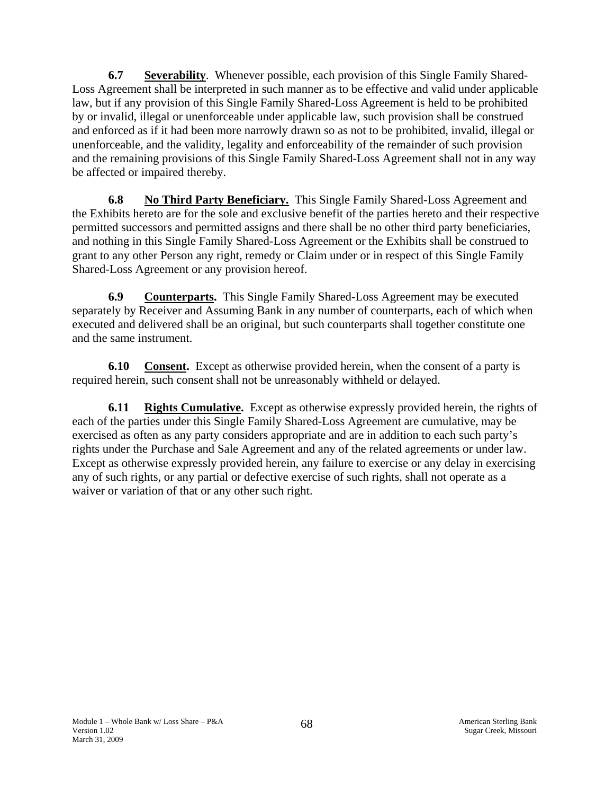**6.7 Severability**. Whenever possible, each provision of this Single Family Shared-Loss Agreement shall be interpreted in such manner as to be effective and valid under applicable law, but if any provision of this Single Family Shared-Loss Agreement is held to be prohibited by or invalid, illegal or unenforceable under applicable law, such provision shall be construed and enforced as if it had been more narrowly drawn so as not to be prohibited, invalid, illegal or unenforceable, and the validity, legality and enforceability of the remainder of such provision and the remaining provisions of this Single Family Shared-Loss Agreement shall not in any way be affected or impaired thereby.

6.8 No Third Party Beneficiary. This Single Family Shared-Loss Agreement and the Exhibits hereto are for the sole and exclusive benefit of the parties hereto and their respective permitted successors and permitted assigns and there shall be no other third party beneficiaries, and nothing in this Single Family Shared-Loss Agreement or the Exhibits shall be construed to grant to any other Person any right, remedy or Claim under or in respect of this Single Family Shared-Loss Agreement or any provision hereof.

**6.9 Counterparts.** This Single Family Shared-Loss Agreement may be executed separately by Receiver and Assuming Bank in any number of counterparts, each of which when executed and delivered shall be an original, but such counterparts shall together constitute one and the same instrument.

**6.10 Consent.** Except as otherwise provided herein, when the consent of a party is required herein, such consent shall not be unreasonably withheld or delayed.

**6.11 Rights Cumulative.** Except as otherwise expressly provided herein, the rights of each of the parties under this Single Family Shared-Loss Agreement are cumulative, may be exercised as often as any party considers appropriate and are in addition to each such party's rights under the Purchase and Sale Agreement and any of the related agreements or under law. Except as otherwise expressly provided herein, any failure to exercise or any delay in exercising any of such rights, or any partial or defective exercise of such rights, shall not operate as a waiver or variation of that or any other such right.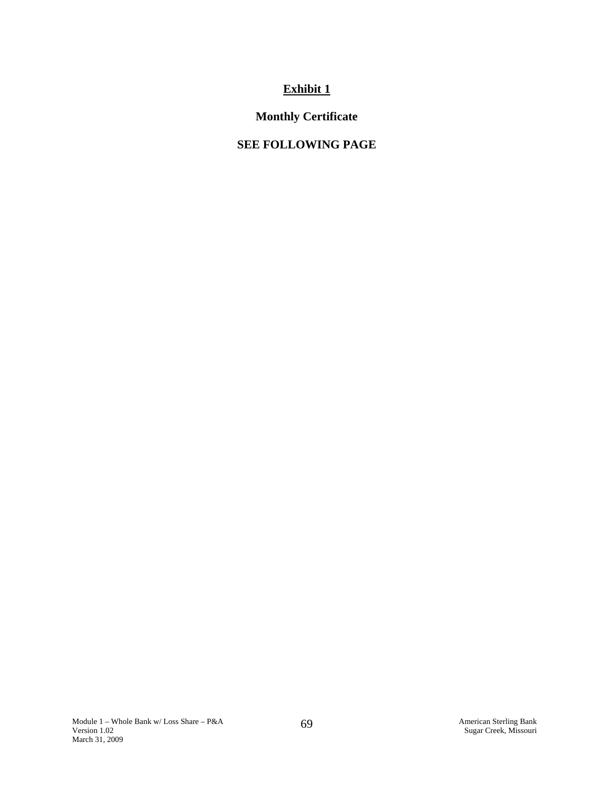# **Exhibit 1**

# **Monthly Certificate**

# **SEE FOLLOWING PAGE**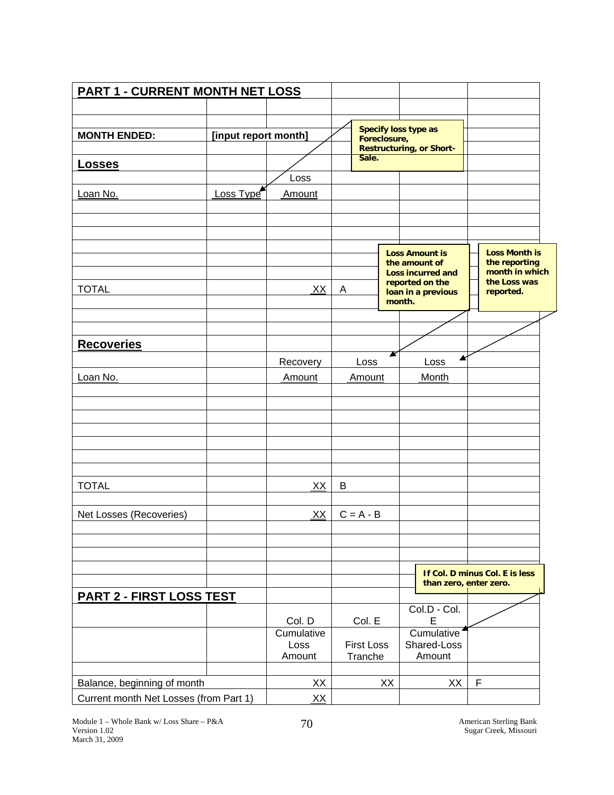| <b>PART 1 - CURRENT MONTH NET LOSS</b> |                      |            |   |                      |    |        |                                        |                                       |
|----------------------------------------|----------------------|------------|---|----------------------|----|--------|----------------------------------------|---------------------------------------|
|                                        |                      |            |   |                      |    |        |                                        |                                       |
|                                        |                      |            |   | Specify loss type as |    |        |                                        |                                       |
| <b>MONTH ENDED:</b>                    | [input report month] |            |   | Foreclosure,         |    |        |                                        |                                       |
|                                        |                      |            |   | Sale.                |    |        | <b>Restructuring, or Short-</b>        |                                       |
| <b>Losses</b>                          |                      |            |   |                      |    |        |                                        |                                       |
|                                        |                      | Loss       |   |                      |    |        |                                        |                                       |
| Loan No.                               | Loss Type            | Amount     |   |                      |    |        |                                        |                                       |
|                                        |                      |            |   |                      |    |        |                                        |                                       |
|                                        |                      |            |   |                      |    |        |                                        |                                       |
|                                        |                      |            |   |                      |    |        |                                        |                                       |
|                                        |                      |            |   |                      |    |        | <b>Loss Amount is</b><br>the amount of | <b>Loss Month is</b><br>the reporting |
|                                        |                      |            |   |                      |    |        | <b>Loss incurred and</b>               | month in which                        |
| <b>TOTAL</b>                           |                      | XX         | Α |                      |    |        | reported on the<br>loan in a previous  | the Loss was<br>reported.             |
|                                        |                      |            |   |                      |    | month. |                                        |                                       |
|                                        |                      |            |   |                      |    |        |                                        |                                       |
|                                        |                      |            |   |                      |    |        |                                        |                                       |
| <b>Recoveries</b>                      |                      |            |   |                      | А  |        |                                        |                                       |
|                                        |                      | Recovery   |   | Loss                 |    |        | Loss                                   |                                       |
| Loan No.                               |                      | Amount     |   | Amount               |    |        | Month                                  |                                       |
|                                        |                      |            |   |                      |    |        |                                        |                                       |
|                                        |                      |            |   |                      |    |        |                                        |                                       |
|                                        |                      |            |   |                      |    |        |                                        |                                       |
|                                        |                      |            |   |                      |    |        |                                        |                                       |
|                                        |                      |            |   |                      |    |        |                                        |                                       |
|                                        |                      |            |   |                      |    |        |                                        |                                       |
| <b>TOTAL</b>                           |                      | XX         | B |                      |    |        |                                        |                                       |
|                                        |                      |            |   |                      |    |        |                                        |                                       |
| Net Losses (Recoveries)                |                      | <u>XX</u>  |   | $C = A - B$          |    |        |                                        |                                       |
|                                        |                      |            |   |                      |    |        |                                        |                                       |
|                                        |                      |            |   |                      |    |        |                                        |                                       |
|                                        |                      |            |   |                      |    |        |                                        |                                       |
|                                        |                      |            |   |                      |    |        |                                        | If Col. D minus Col. E is less        |
|                                        |                      |            |   |                      |    |        | than zero, enter zero.                 |                                       |
| <b>PART 2 - FIRST LOSS TEST</b>        |                      |            |   |                      |    |        |                                        |                                       |
|                                        |                      | Col. D     |   | Col. E               |    |        | Col.D - Col.<br>E                      |                                       |
|                                        |                      | Cumulative |   |                      |    |        | Cumulative                             |                                       |
|                                        |                      | Loss       |   | <b>First Loss</b>    |    |        | Shared-Loss                            |                                       |
|                                        |                      | Amount     |   | Tranche              |    |        | Amount                                 |                                       |
|                                        |                      |            |   |                      |    |        |                                        | F                                     |
| Balance, beginning of month            |                      | XX         |   |                      | XX |        | XX                                     |                                       |
| Current month Net Losses (from Part 1) |                      | XX         |   |                      |    |        |                                        |                                       |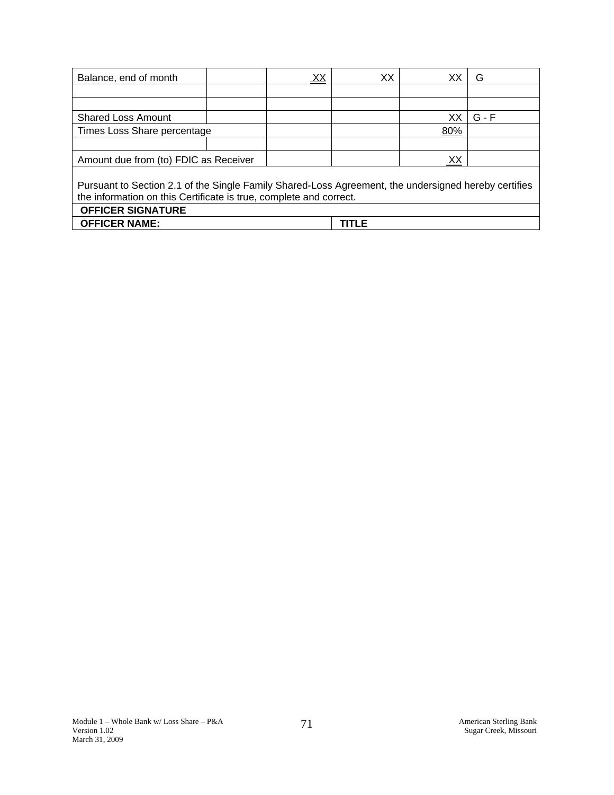| Balance, end of month                                                                                                                                                      |  | XX | XХ |     | G       |  |
|----------------------------------------------------------------------------------------------------------------------------------------------------------------------------|--|----|----|-----|---------|--|
|                                                                                                                                                                            |  |    |    |     |         |  |
|                                                                                                                                                                            |  |    |    |     |         |  |
| <b>Shared Loss Amount</b>                                                                                                                                                  |  |    |    | xх  | $G - F$ |  |
| Times Loss Share percentage                                                                                                                                                |  |    |    | 80% |         |  |
|                                                                                                                                                                            |  |    |    |     |         |  |
| XX<br>Amount due from (to) FDIC as Receiver                                                                                                                                |  |    |    |     |         |  |
| Pursuant to Section 2.1 of the Single Family Shared-Loss Agreement, the undersigned hereby certifies<br>the information on this Certificate is true, complete and correct. |  |    |    |     |         |  |
| <b>OFFICER SIGNATURE</b>                                                                                                                                                   |  |    |    |     |         |  |
| <b>OFFICER NAME:</b><br><b>TITLE</b>                                                                                                                                       |  |    |    |     |         |  |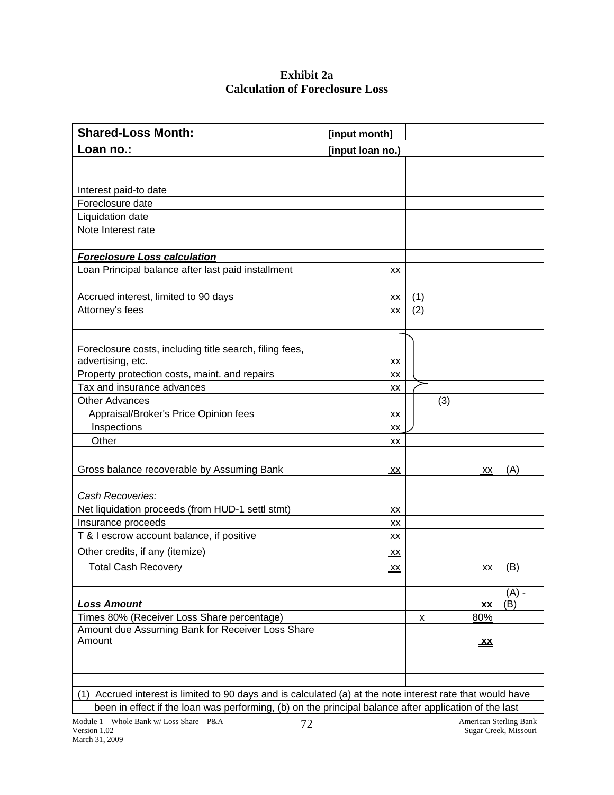# **Exhibit 2a Calculation of Foreclosure Loss**

| <b>Shared-Loss Month:</b>                                                                                  | [input month]    |     |           |                |
|------------------------------------------------------------------------------------------------------------|------------------|-----|-----------|----------------|
| Loan no.:                                                                                                  | [input loan no.) |     |           |                |
|                                                                                                            |                  |     |           |                |
|                                                                                                            |                  |     |           |                |
| Interest paid-to date                                                                                      |                  |     |           |                |
| Foreclosure date                                                                                           |                  |     |           |                |
| Liquidation date                                                                                           |                  |     |           |                |
| Note Interest rate                                                                                         |                  |     |           |                |
|                                                                                                            |                  |     |           |                |
| <b>Foreclosure Loss calculation</b>                                                                        |                  |     |           |                |
| Loan Principal balance after last paid installment                                                         | ХX               |     |           |                |
|                                                                                                            |                  |     |           |                |
| Accrued interest, limited to 90 days                                                                       | XХ               | (1) |           |                |
| Attorney's fees                                                                                            | XX               | (2) |           |                |
|                                                                                                            |                  |     |           |                |
|                                                                                                            |                  |     |           |                |
| Foreclosure costs, including title search, filing fees,                                                    |                  |     |           |                |
| advertising, etc.                                                                                          | XХ               |     |           |                |
| Property protection costs, maint. and repairs                                                              | XX               |     |           |                |
| Tax and insurance advances                                                                                 | XX               |     |           |                |
| <b>Other Advances</b>                                                                                      |                  |     | (3)       |                |
| Appraisal/Broker's Price Opinion fees                                                                      | XX               |     |           |                |
| Inspections                                                                                                | XX               |     |           |                |
| Other                                                                                                      | ХX               |     |           |                |
|                                                                                                            |                  |     |           |                |
| Gross balance recoverable by Assuming Bank                                                                 | <u>xx</u>        |     | ХX        | (A)            |
|                                                                                                            |                  |     |           |                |
| Cash Recoveries:                                                                                           |                  |     |           |                |
| Net liquidation proceeds (from HUD-1 settl stmt)                                                           | XX               |     |           |                |
| Insurance proceeds                                                                                         | XX               |     |           |                |
| T & I escrow account balance, if positive                                                                  | ХX               |     |           |                |
| Other credits, if any (itemize)                                                                            |                  |     |           |                |
|                                                                                                            | xх               |     |           |                |
| <b>Total Cash Recovery</b>                                                                                 | <u>XX</u>        |     | <u>XX</u> | (B)            |
|                                                                                                            |                  |     |           |                |
| <b>Loss Amount</b>                                                                                         |                  |     | XX        | $(A)$ -<br>(B) |
| Times 80% (Receiver Loss Share percentage)                                                                 |                  |     | 80%       |                |
| Amount due Assuming Bank for Receiver Loss Share                                                           |                  | x   |           |                |
| Amount                                                                                                     |                  |     | <u>XX</u> |                |
|                                                                                                            |                  |     |           |                |
|                                                                                                            |                  |     |           |                |
|                                                                                                            |                  |     |           |                |
| (1) Accrued interest is limited to 90 days and is calculated (a) at the note interest rate that would have |                  |     |           |                |
| been in effect if the loan was performing, (b) on the principal balance after application of the last      |                  |     |           |                |

 been in effect if the loan was performing, (b) on the principal balance after application of the last Module 1 – Whole Bank w/Loss Share – P&A  $\overline{72}$  American Sterling Bank Sugar Creek, Missouri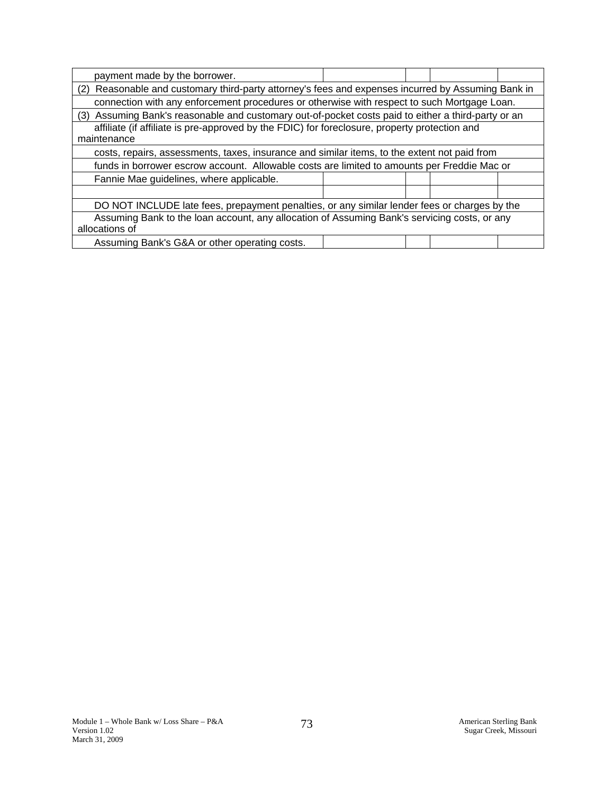| payment made by the borrower.                                                                                |  |  |  |  |  |  |
|--------------------------------------------------------------------------------------------------------------|--|--|--|--|--|--|
| (2) Reasonable and customary third-party attorney's fees and expenses incurred by Assuming Bank in           |  |  |  |  |  |  |
| connection with any enforcement procedures or otherwise with respect to such Mortgage Loan.                  |  |  |  |  |  |  |
| (3) Assuming Bank's reasonable and customary out-of-pocket costs paid to either a third-party or an          |  |  |  |  |  |  |
| affiliate (if affiliate is pre-approved by the FDIC) for foreclosure, property protection and<br>maintenance |  |  |  |  |  |  |
| costs, repairs, assessments, taxes, insurance and similar items, to the extent not paid from                 |  |  |  |  |  |  |
| funds in borrower escrow account. Allowable costs are limited to amounts per Freddie Mac or                  |  |  |  |  |  |  |
| Fannie Mae guidelines, where applicable.                                                                     |  |  |  |  |  |  |
|                                                                                                              |  |  |  |  |  |  |
| DO NOT INCLUDE late fees, prepayment penalties, or any similar lender fees or charges by the                 |  |  |  |  |  |  |
| Assuming Bank to the loan account, any allocation of Assuming Bank's servicing costs, or any                 |  |  |  |  |  |  |
| allocations of                                                                                               |  |  |  |  |  |  |
| Assuming Bank's G&A or other operating costs.                                                                |  |  |  |  |  |  |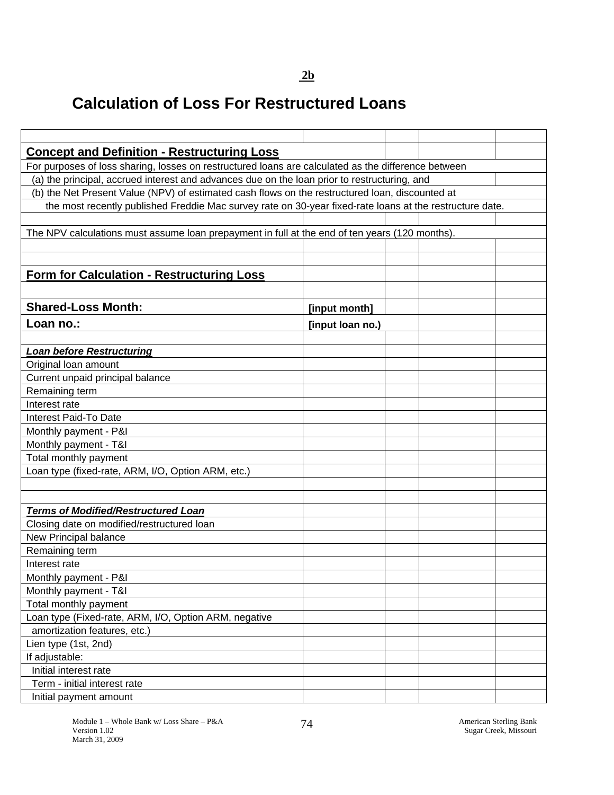# **Calculation of Loss For Restructured Loans**

| <b>Concept and Definition - Restructuring Loss</b>                                                       |                  |  |  |
|----------------------------------------------------------------------------------------------------------|------------------|--|--|
| For purposes of loss sharing, losses on restructured loans are calculated as the difference between      |                  |  |  |
| (a) the principal, accrued interest and advances due on the loan prior to restructuring, and             |                  |  |  |
| (b) the Net Present Value (NPV) of estimated cash flows on the restructured loan, discounted at          |                  |  |  |
| the most recently published Freddie Mac survey rate on 30-year fixed-rate loans at the restructure date. |                  |  |  |
|                                                                                                          |                  |  |  |
| The NPV calculations must assume loan prepayment in full at the end of ten years (120 months).           |                  |  |  |
|                                                                                                          |                  |  |  |
|                                                                                                          |                  |  |  |
| <b>Form for Calculation - Restructuring Loss</b>                                                         |                  |  |  |
|                                                                                                          |                  |  |  |
| <b>Shared-Loss Month:</b>                                                                                | [input month]    |  |  |
| Loan no.:                                                                                                | [input loan no.) |  |  |
|                                                                                                          |                  |  |  |
| <b>Loan before Restructuring</b>                                                                         |                  |  |  |
| Original loan amount                                                                                     |                  |  |  |
| Current unpaid principal balance                                                                         |                  |  |  |
| Remaining term                                                                                           |                  |  |  |
| Interest rate                                                                                            |                  |  |  |
| Interest Paid-To Date                                                                                    |                  |  |  |
| Monthly payment - P&I                                                                                    |                  |  |  |
| Monthly payment - T&I                                                                                    |                  |  |  |
| Total monthly payment                                                                                    |                  |  |  |
| Loan type (fixed-rate, ARM, I/O, Option ARM, etc.)                                                       |                  |  |  |
|                                                                                                          |                  |  |  |
|                                                                                                          |                  |  |  |
| <b>Terms of Modified/Restructured Loan</b>                                                               |                  |  |  |
| Closing date on modified/restructured loan                                                               |                  |  |  |
| New Principal balance                                                                                    |                  |  |  |
| Remaining term                                                                                           |                  |  |  |
| Interest rate                                                                                            |                  |  |  |
| Monthly payment - P&I                                                                                    |                  |  |  |
| Monthly payment - T&I                                                                                    |                  |  |  |
| Total monthly payment                                                                                    |                  |  |  |
| Loan type (Fixed-rate, ARM, I/O, Option ARM, negative                                                    |                  |  |  |
| amortization features, etc.)                                                                             |                  |  |  |
| Lien type (1st, 2nd)                                                                                     |                  |  |  |
| If adjustable:                                                                                           |                  |  |  |
| Initial interest rate                                                                                    |                  |  |  |
| Term - initial interest rate                                                                             |                  |  |  |
| Initial payment amount                                                                                   |                  |  |  |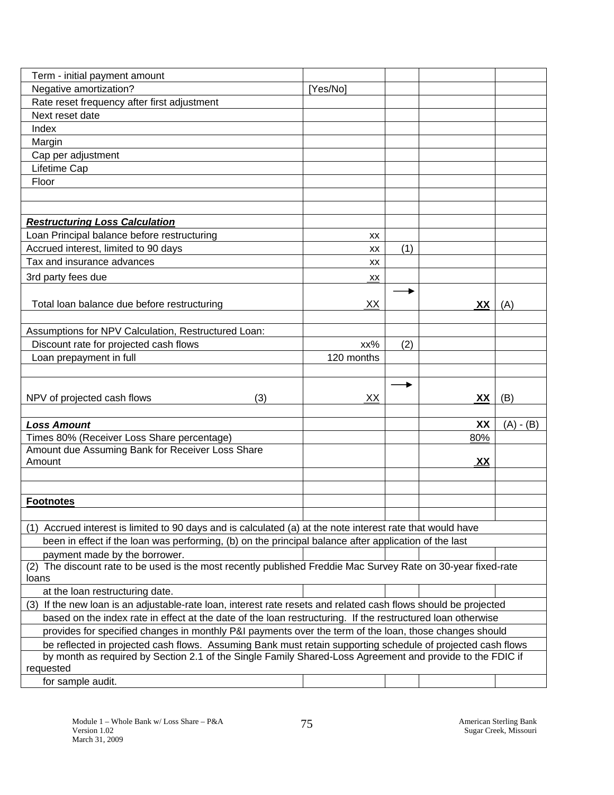| Term - initial payment amount                                                                                                                                                                                         |            |     |     |             |  |  |
|-----------------------------------------------------------------------------------------------------------------------------------------------------------------------------------------------------------------------|------------|-----|-----|-------------|--|--|
| Negative amortization?                                                                                                                                                                                                | [Yes/No]   |     |     |             |  |  |
| Rate reset frequency after first adjustment                                                                                                                                                                           |            |     |     |             |  |  |
| Next reset date                                                                                                                                                                                                       |            |     |     |             |  |  |
| Index                                                                                                                                                                                                                 |            |     |     |             |  |  |
| Margin                                                                                                                                                                                                                |            |     |     |             |  |  |
| Cap per adjustment                                                                                                                                                                                                    |            |     |     |             |  |  |
| Lifetime Cap                                                                                                                                                                                                          |            |     |     |             |  |  |
| Floor                                                                                                                                                                                                                 |            |     |     |             |  |  |
|                                                                                                                                                                                                                       |            |     |     |             |  |  |
|                                                                                                                                                                                                                       |            |     |     |             |  |  |
| <b>Restructuring Loss Calculation</b>                                                                                                                                                                                 |            |     |     |             |  |  |
| Loan Principal balance before restructuring                                                                                                                                                                           | XX         |     |     |             |  |  |
| Accrued interest, limited to 90 days                                                                                                                                                                                  | XX         | (1) |     |             |  |  |
| Tax and insurance advances                                                                                                                                                                                            | XX         |     |     |             |  |  |
|                                                                                                                                                                                                                       |            |     |     |             |  |  |
| 3rd party fees due                                                                                                                                                                                                    | XX         |     |     |             |  |  |
|                                                                                                                                                                                                                       |            |     |     |             |  |  |
| Total loan balance due before restructuring                                                                                                                                                                           | XX         |     | XX  | (A)         |  |  |
|                                                                                                                                                                                                                       |            |     |     |             |  |  |
| Assumptions for NPV Calculation, Restructured Loan:                                                                                                                                                                   |            |     |     |             |  |  |
| Discount rate for projected cash flows                                                                                                                                                                                | xx%        | (2) |     |             |  |  |
| Loan prepayment in full                                                                                                                                                                                               | 120 months |     |     |             |  |  |
|                                                                                                                                                                                                                       |            |     |     |             |  |  |
|                                                                                                                                                                                                                       |            |     |     |             |  |  |
| NPV of projected cash flows<br>(3)                                                                                                                                                                                    | XX         |     | XX  | (B)         |  |  |
|                                                                                                                                                                                                                       |            |     |     |             |  |  |
| <b>Loss Amount</b>                                                                                                                                                                                                    |            |     | XX  | $(A) - (B)$ |  |  |
| Times 80% (Receiver Loss Share percentage)                                                                                                                                                                            |            |     | 80% |             |  |  |
| Amount due Assuming Bank for Receiver Loss Share<br>Amount                                                                                                                                                            |            |     |     |             |  |  |
|                                                                                                                                                                                                                       |            |     | XX  |             |  |  |
|                                                                                                                                                                                                                       |            |     |     |             |  |  |
|                                                                                                                                                                                                                       |            |     |     |             |  |  |
| <b>Footnotes</b>                                                                                                                                                                                                      |            |     |     |             |  |  |
|                                                                                                                                                                                                                       |            |     |     |             |  |  |
| (1) Accrued interest is limited to 90 days and is calculated (a) at the note interest rate that would have                                                                                                            |            |     |     |             |  |  |
| been in effect if the loan was performing, (b) on the principal balance after application of the last                                                                                                                 |            |     |     |             |  |  |
| payment made by the borrower.<br>(2) The discount rate to be used is the most recently published Freddie Mac Survey Rate on 30-year fixed-rate                                                                        |            |     |     |             |  |  |
| loans                                                                                                                                                                                                                 |            |     |     |             |  |  |
| at the loan restructuring date.                                                                                                                                                                                       |            |     |     |             |  |  |
| (3) If the new loan is an adjustable-rate loan, interest rate resets and related cash flows should be projected                                                                                                       |            |     |     |             |  |  |
|                                                                                                                                                                                                                       |            |     |     |             |  |  |
| based on the index rate in effect at the date of the loan restructuring. If the restructured loan otherwise<br>provides for specified changes in monthly P&I payments over the term of the loan, those changes should |            |     |     |             |  |  |
| be reflected in projected cash flows. Assuming Bank must retain supporting schedule of projected cash flows                                                                                                           |            |     |     |             |  |  |
| by month as required by Section 2.1 of the Single Family Shared-Loss Agreement and provide to the FDIC if                                                                                                             |            |     |     |             |  |  |
| requested                                                                                                                                                                                                             |            |     |     |             |  |  |
| for sample audit.                                                                                                                                                                                                     |            |     |     |             |  |  |
|                                                                                                                                                                                                                       |            |     |     |             |  |  |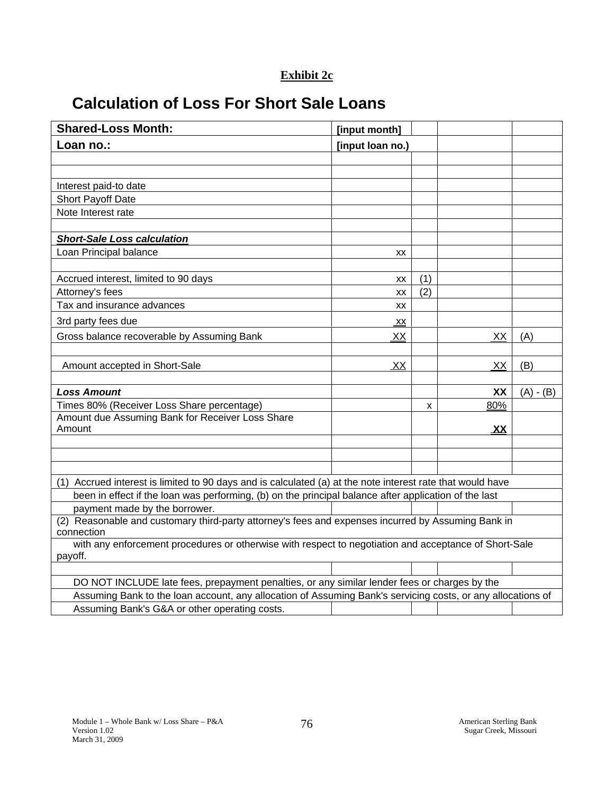| <b>Shared-Loss Month:</b>                                                                                        | [input month]    |     |     |             |
|------------------------------------------------------------------------------------------------------------------|------------------|-----|-----|-------------|
| Loan no.:                                                                                                        | [input loan no.) |     |     |             |
|                                                                                                                  |                  |     |     |             |
|                                                                                                                  |                  |     |     |             |
| Interest paid-to date                                                                                            |                  |     |     |             |
| Short Payoff Date                                                                                                |                  |     |     |             |
| Note Interest rate                                                                                               |                  |     |     |             |
| <b>Short-Sale Loss calculation</b>                                                                               |                  |     |     |             |
| Loan Principal balance                                                                                           | XX               |     |     |             |
| Accrued interest, limited to 90 days                                                                             | XX               | (1) |     |             |
| Attorney's fees                                                                                                  | <b>XX</b>        | (2) |     |             |
| Tax and insurance advances                                                                                       | XX               |     |     |             |
| 3rd party fees due                                                                                               | XX               |     |     |             |
| Gross balance recoverable by Assuming Bank                                                                       | XX               |     | XX  | (A)         |
| Amount accepted in Short-Sale                                                                                    | XX               |     | XX  | (B)         |
| <b>Loss Amount</b>                                                                                               |                  |     | XX  | $(A) - (B)$ |
| Times 80% (Receiver Loss Share percentage)                                                                       |                  | X   | 80% |             |
| Amount due Assuming Bank for Receiver Loss Share<br>Amount                                                       |                  |     | XХ  |             |
|                                                                                                                  |                  |     |     |             |
|                                                                                                                  |                  |     |     |             |
| (1) Accrued interest is limited to 90 days and is calculated (a) at the note interest rate that would have       |                  |     |     |             |
| been in effect if the loan was performing, (b) on the principal balance after application of the last            |                  |     |     |             |
| payment made by the borrower.                                                                                    |                  |     |     |             |
| (2) Reasonable and customary third-party attorney's fees and expenses incurred by Assuming Bank in<br>connection |                  |     |     |             |
| with any enforcement procedures or otherwise with respect to negotiation and acceptance of Short-Sale<br>payoff. |                  |     |     |             |
|                                                                                                                  |                  |     |     |             |
| DO NOT INCLUDE late fees, prepayment penalties, or any similar lender fees or charges by the                     |                  |     |     |             |
| Assuming Bank to the loan account, any allocation of Assuming Bank's servicing costs, or any allocations of      |                  |     |     |             |
| Assuming Bank's G&A or other operating costs.                                                                    |                  |     |     |             |

**Exhibit 2c** 

# **Calculation of Loss For Short Sale Loans**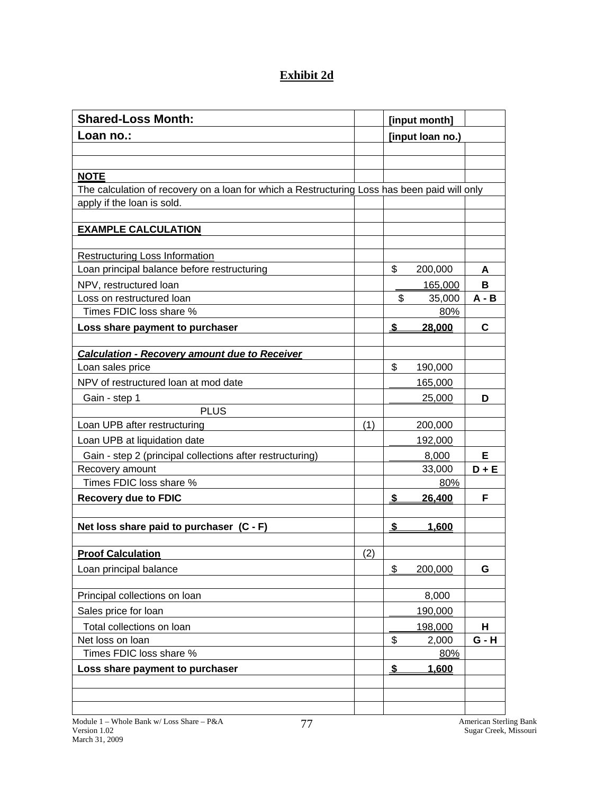# **Exhibit 2d**

| <b>Shared-Loss Month:</b>                                                                    | [input month] |                         |                  |         |
|----------------------------------------------------------------------------------------------|---------------|-------------------------|------------------|---------|
| Loan no.:                                                                                    |               |                         | [input loan no.) |         |
|                                                                                              |               |                         |                  |         |
|                                                                                              |               |                         |                  |         |
| <b>NOTE</b>                                                                                  |               |                         |                  |         |
| The calculation of recovery on a loan for which a Restructuring Loss has been paid will only |               |                         |                  |         |
| apply if the loan is sold.                                                                   |               |                         |                  |         |
|                                                                                              |               |                         |                  |         |
| <b>EXAMPLE CALCULATION</b>                                                                   |               |                         |                  |         |
| Restructuring Loss Information                                                               |               |                         |                  |         |
| Loan principal balance before restructuring                                                  |               | \$                      | 200,000          | A       |
| NPV, restructured loan                                                                       |               |                         | 165,000          | B       |
| Loss on restructured loan                                                                    |               | \$                      | 35,000           | $A - B$ |
| Times FDIC loss share %                                                                      |               |                         | 80%              |         |
| Loss share payment to purchaser                                                              |               | <u>\$</u>               | 28,000           | C       |
|                                                                                              |               |                         |                  |         |
| Calculation - Recovery amount due to Receiver                                                |               |                         |                  |         |
| Loan sales price                                                                             |               | \$                      | 190,000          |         |
| NPV of restructured loan at mod date                                                         |               |                         | 165,000          |         |
| Gain - step 1                                                                                |               |                         | 25,000           | D       |
| <b>PLUS</b>                                                                                  |               |                         |                  |         |
| Loan UPB after restructuring                                                                 | (1)           |                         | 200,000          |         |
| Loan UPB at liquidation date                                                                 |               |                         | 192,000          |         |
| Gain - step 2 (principal collections after restructuring)                                    |               |                         | 8,000            | Е       |
| Recovery amount                                                                              |               |                         | 33,000           | $D + E$ |
| Times FDIC loss share %                                                                      |               |                         | 80%              |         |
| <b>Recovery due to FDIC</b>                                                                  |               | \$                      | 26,400           | F       |
|                                                                                              |               |                         |                  |         |
| Net loss share paid to purchaser (C - F)                                                     |               | $\mathbf{s}$            | 1,600            |         |
| <b>Proof Calculation</b>                                                                     | (2)           |                         |                  |         |
| Loan principal balance                                                                       |               | \$                      | 200,000          | G       |
|                                                                                              |               |                         |                  |         |
| Principal collections on loan                                                                |               |                         | 8,000            |         |
| Sales price for loan                                                                         |               |                         | 190,000          |         |
| Total collections on loan                                                                    |               |                         | 198,000          | н       |
| Net loss on loan                                                                             |               | \$                      | 2,000            | $G - H$ |
| Times FDIC loss share %                                                                      |               |                         | 80%              |         |
| Loss share payment to purchaser                                                              |               | $\mathbf{\mathfrak{p}}$ | 1,600            |         |
|                                                                                              |               |                         |                  |         |
|                                                                                              |               |                         |                  |         |
|                                                                                              |               |                         |                  |         |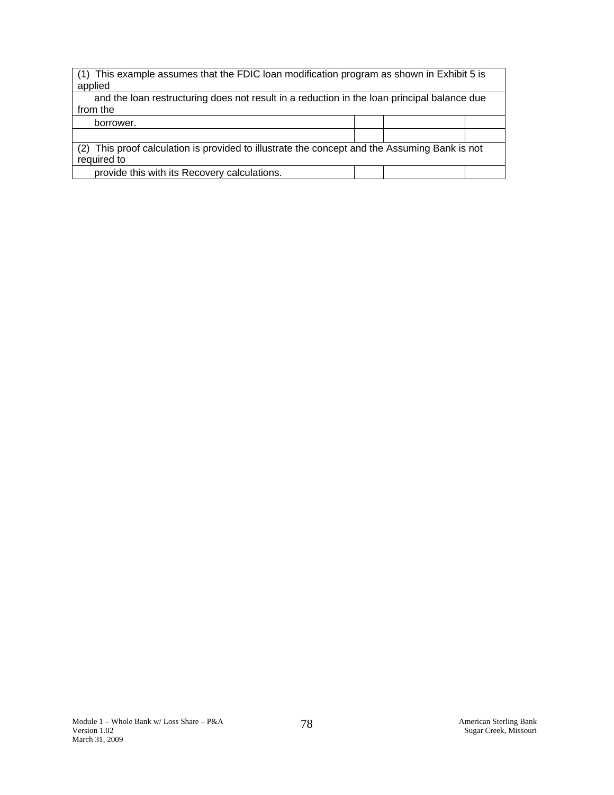| (1) This example assumes that the FDIC loan modification program as shown in Exhibit 5 is<br>applied         |  |  |  |  |  |
|--------------------------------------------------------------------------------------------------------------|--|--|--|--|--|
| and the loan restructuring does not result in a reduction in the loan principal balance due                  |  |  |  |  |  |
| from the                                                                                                     |  |  |  |  |  |
| borrower.                                                                                                    |  |  |  |  |  |
|                                                                                                              |  |  |  |  |  |
| (2) This proof calculation is provided to illustrate the concept and the Assuming Bank is not<br>required to |  |  |  |  |  |
| provide this with its Recovery calculations.                                                                 |  |  |  |  |  |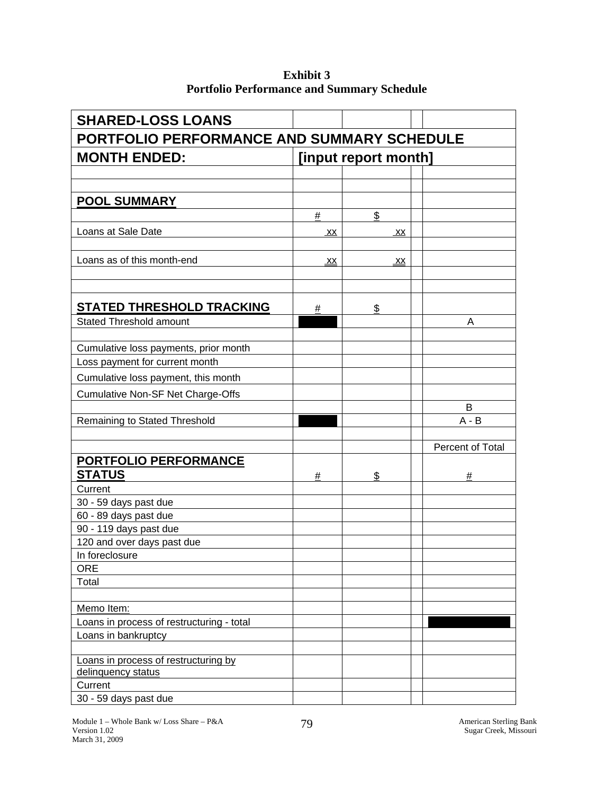| <b>Exhibit 3</b>                                  |
|---------------------------------------------------|
| <b>Portfolio Performance and Summary Schedule</b> |

| <b>SHARED-LOSS LOANS</b>                   |           |                      |                  |
|--------------------------------------------|-----------|----------------------|------------------|
| PORTFOLIO PERFORMANCE AND SUMMARY SCHEDULE |           |                      |                  |
| <b>MONTH ENDED:</b>                        |           |                      |                  |
|                                            |           | [input report month] |                  |
|                                            |           |                      |                  |
| <b>POOL SUMMARY</b>                        |           |                      |                  |
|                                            | #         | $\frac{1}{2}$        |                  |
|                                            |           |                      |                  |
| Loans at Sale Date                         | <u>XX</u> | XX                   |                  |
|                                            |           |                      |                  |
| Loans as of this month-end                 | XX        | xх                   |                  |
|                                            |           |                      |                  |
|                                            |           |                      |                  |
| STATED THRESHOLD TRACKING                  | #         | \$                   |                  |
| <b>Stated Threshold amount</b>             |           |                      | A                |
|                                            |           |                      |                  |
| Cumulative loss payments, prior month      |           |                      |                  |
| Loss payment for current month             |           |                      |                  |
| Cumulative loss payment, this month        |           |                      |                  |
| <b>Cumulative Non-SF Net Charge-Offs</b>   |           |                      |                  |
|                                            |           |                      | B                |
| Remaining to Stated Threshold              |           |                      | $A - B$          |
|                                            |           |                      |                  |
|                                            |           |                      | Percent of Total |
| PORTFOLIO PERFORMANCE                      |           |                      |                  |
| <b>STATUS</b>                              | #         | \$                   | #                |
| Current                                    |           |                      |                  |
| 30 - 59 days past due                      |           |                      |                  |
| 60 - 89 days past due                      |           |                      |                  |
| 90 - 119 days past due                     |           |                      |                  |
| 120 and over days past due                 |           |                      |                  |
| In foreclosure                             |           |                      |                  |
| <b>ORE</b>                                 |           |                      |                  |
| Total                                      |           |                      |                  |
|                                            |           |                      |                  |
| Memo Item:                                 |           |                      |                  |
| Loans in process of restructuring - total  |           |                      |                  |
| Loans in bankruptcy                        |           |                      |                  |
| Loans in process of restructuring by       |           |                      |                  |
| delinquency status                         |           |                      |                  |
| Current                                    |           |                      |                  |
| 30 - 59 days past due                      |           |                      |                  |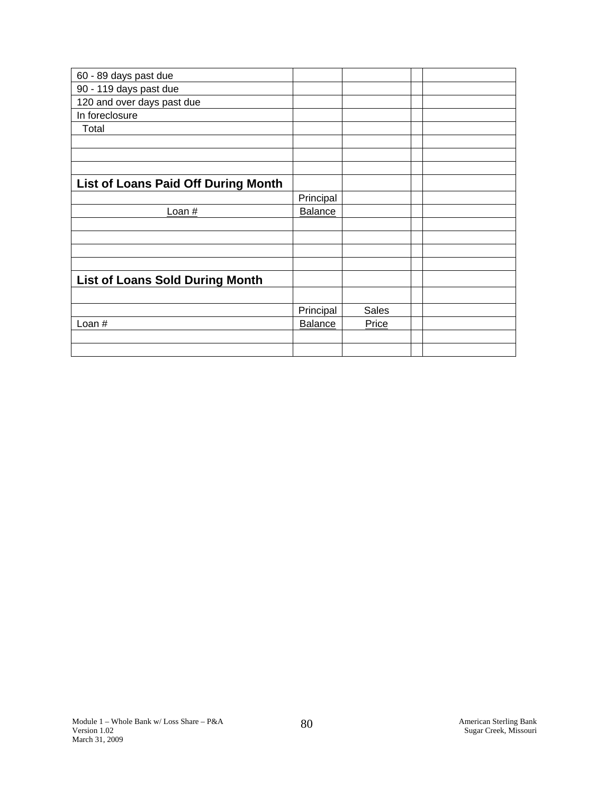| 60 - 89 days past due                      |           |              |  |
|--------------------------------------------|-----------|--------------|--|
| 90 - 119 days past due                     |           |              |  |
| 120 and over days past due                 |           |              |  |
| In foreclosure                             |           |              |  |
| Total                                      |           |              |  |
|                                            |           |              |  |
|                                            |           |              |  |
|                                            |           |              |  |
| <b>List of Loans Paid Off During Month</b> |           |              |  |
|                                            | Principal |              |  |
| Loan $#$                                   | Balance   |              |  |
|                                            |           |              |  |
|                                            |           |              |  |
|                                            |           |              |  |
|                                            |           |              |  |
| <b>List of Loans Sold During Month</b>     |           |              |  |
|                                            |           |              |  |
|                                            | Principal | <b>Sales</b> |  |
| Loan $#$                                   | Balance   | Price        |  |
|                                            |           |              |  |
|                                            |           |              |  |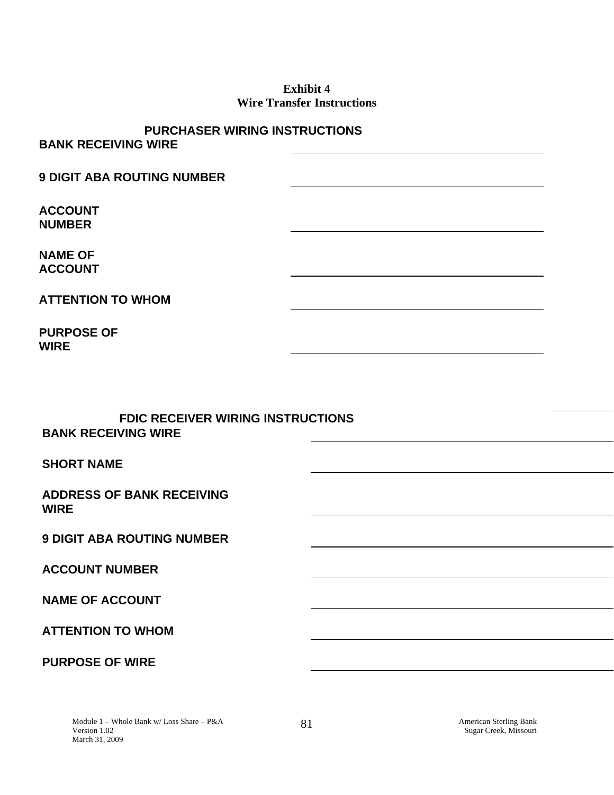#### **Exhibit 4 Wire Transfer Instructions**

#### **PURCHASER WIRING INSTRUCTIONS BANK RECEIVING WIRE**

**9 DIGIT ABA ROUTING NUMBER ACCOUNT NUMBER NAME OF ACCOUNT** 

**ATTENTION TO WHOM** 

**PURPOSE OF WIRE** 

#### **FDIC RECEIVER WIRING INSTRUCTIONS BANK RECEIVING WIRE**

**SHORT NAME** 

**ADDRESS OF BANK RECEIVING WIRE** 

**9 DIGIT ABA ROUTING NUMBER** 

**ACCOUNT NUMBER** 

**NAME OF ACCOUNT** 

**ATTENTION TO WHOM** 

**PURPOSE OF WIRE**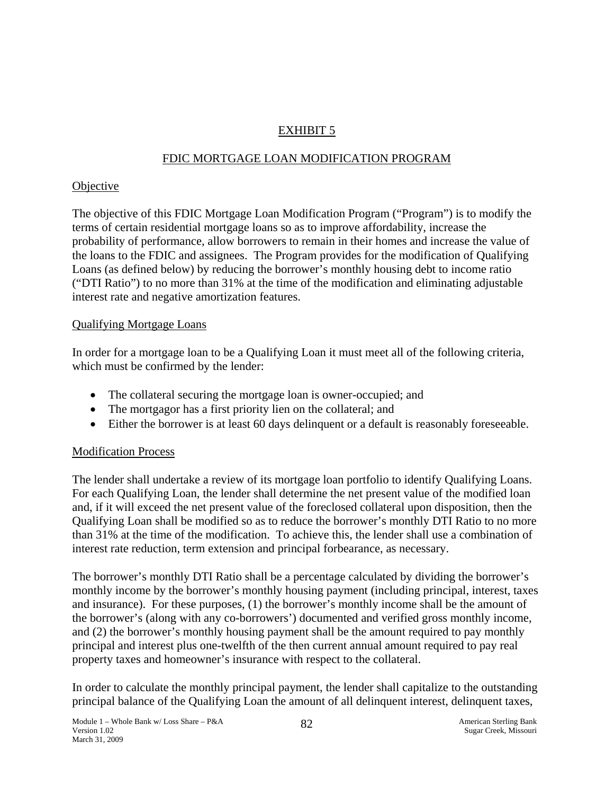# EXHIBIT 5

# FDIC MORTGAGE LOAN MODIFICATION PROGRAM

# **Objective**

The objective of this FDIC Mortgage Loan Modification Program ("Program") is to modify the terms of certain residential mortgage loans so as to improve affordability, increase the probability of performance, allow borrowers to remain in their homes and increase the value of the loans to the FDIC and assignees. The Program provides for the modification of Qualifying Loans (as defined below) by reducing the borrower's monthly housing debt to income ratio ("DTI Ratio") to no more than 31% at the time of the modification and eliminating adjustable interest rate and negative amortization features.

# Qualifying Mortgage Loans

In order for a mortgage loan to be a Qualifying Loan it must meet all of the following criteria, which must be confirmed by the lender:

- The collateral securing the mortgage loan is owner-occupied; and
- The mortgagor has a first priority lien on the collateral; and
- Either the borrower is at least 60 days delinquent or a default is reasonably foreseeable. Modification Process

The lender shall undertake a review of its mortgage loan portfolio to identify Qualifying Loans. For each Qualifying Loan, the lender shall determine the net present value of the modified loan and, if it will exceed the net present value of the foreclosed collateral upon disposition, then the Qualifying Loan shall be modified so as to reduce the borrower's monthly DTI Ratio to no more than 31% at the time of the modification. To achieve this, the lender shall use a combination of interest rate reduction, term extension and principal forbearance, as necessary.

The borrower's monthly DTI Ratio shall be a percentage calculated by dividing the borrower's monthly income by the borrower's monthly housing payment (including principal, interest, taxes and insurance). For these purposes, (1) the borrower's monthly income shall be the amount of the borrower's (along with any co-borrowers') documented and verified gross monthly income, and (2) the borrower's monthly housing payment shall be the amount required to pay monthly principal and interest plus one-twelfth of the then current annual amount required to pay real property taxes and homeowner's insurance with respect to the collateral.

In order to calculate the monthly principal payment, the lender shall capitalize to the outstanding principal balance of the Qualifying Loan the amount of all delinquent interest, delinquent taxes,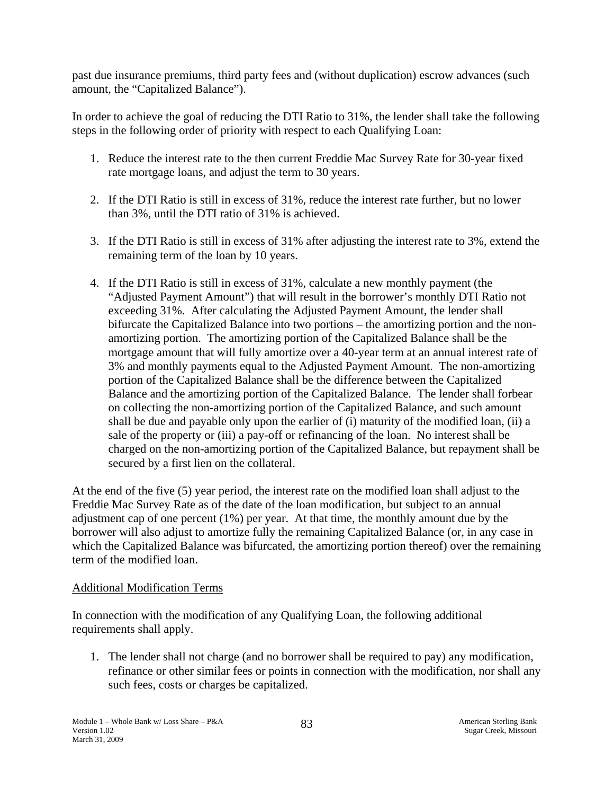past due insurance premiums, third party fees and (without duplication) escrow advances (such amount, the "Capitalized Balance").

In order to achieve the goal of reducing the DTI Ratio to 31%, the lender shall take the following steps in the following order of priority with respect to each Qualifying Loan:

- 1. Reduce the interest rate to the then current Freddie Mac Survey Rate for 30-year fixed rate mortgage loans, and adjust the term to 30 years.
- 2. If the DTI Ratio is still in excess of 31%, reduce the interest rate further, but no lower than 3%, until the DTI ratio of 31% is achieved.
- 3. If the DTI Ratio is still in excess of 31% after adjusting the interest rate to 3%, extend the remaining term of the loan by 10 years.
- 4. If the DTI Ratio is still in excess of 31%, calculate a new monthly payment (the "Adjusted Payment Amount") that will result in the borrower's monthly DTI Ratio not exceeding 31%. After calculating the Adjusted Payment Amount, the lender shall bifurcate the Capitalized Balance into two portions – the amortizing portion and the nonamortizing portion. The amortizing portion of the Capitalized Balance shall be the mortgage amount that will fully amortize over a 40-year term at an annual interest rate of 3% and monthly payments equal to the Adjusted Payment Amount. The non-amortizing portion of the Capitalized Balance shall be the difference between the Capitalized Balance and the amortizing portion of the Capitalized Balance. The lender shall forbear on collecting the non-amortizing portion of the Capitalized Balance, and such amount shall be due and payable only upon the earlier of (i) maturity of the modified loan, (ii) a sale of the property or (iii) a pay-off or refinancing of the loan. No interest shall be charged on the non-amortizing portion of the Capitalized Balance, but repayment shall be secured by a first lien on the collateral.

At the end of the five (5) year period, the interest rate on the modified loan shall adjust to the Freddie Mac Survey Rate as of the date of the loan modification, but subject to an annual adjustment cap of one percent (1%) per year. At that time, the monthly amount due by the borrower will also adjust to amortize fully the remaining Capitalized Balance (or, in any case in which the Capitalized Balance was bifurcated, the amortizing portion thereof) over the remaining term of the modified loan.

### Additional Modification Terms

In connection with the modification of any Qualifying Loan, the following additional requirements shall apply.

1. The lender shall not charge (and no borrower shall be required to pay) any modification, refinance or other similar fees or points in connection with the modification, nor shall any such fees, costs or charges be capitalized.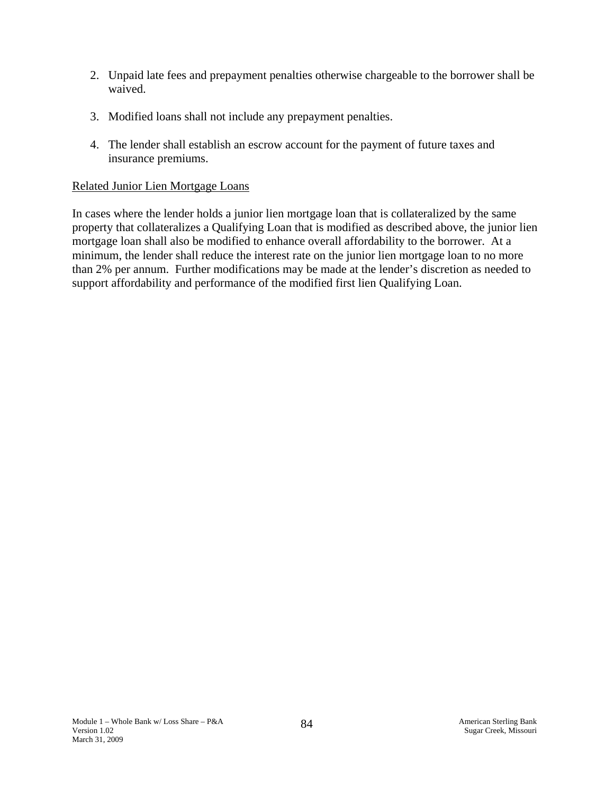- 2. Unpaid late fees and prepayment penalties otherwise chargeable to the borrower shall be waived.
- 3. Modified loans shall not include any prepayment penalties.
- 4. The lender shall establish an escrow account for the payment of future taxes and insurance premiums.

#### Related Junior Lien Mortgage Loans

In cases where the lender holds a junior lien mortgage loan that is collateralized by the same property that collateralizes a Qualifying Loan that is modified as described above, the junior lien mortgage loan shall also be modified to enhance overall affordability to the borrower. At a minimum, the lender shall reduce the interest rate on the junior lien mortgage loan to no more than 2% per annum. Further modifications may be made at the lender's discretion as needed to support affordability and performance of the modified first lien Qualifying Loan.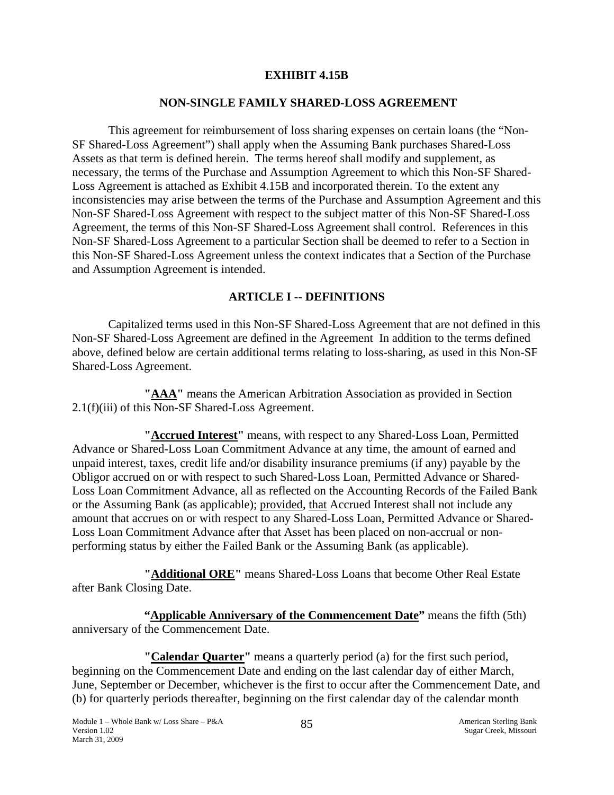#### **EXHIBIT 4.15B**

#### **NON-SINGLE FAMILY SHARED-LOSS AGREEMENT**

This agreement for reimbursement of loss sharing expenses on certain loans (the "Non-SF Shared-Loss Agreement") shall apply when the Assuming Bank purchases Shared-Loss Assets as that term is defined herein. The terms hereof shall modify and supplement, as necessary, the terms of the Purchase and Assumption Agreement to which this Non-SF Shared-Loss Agreement is attached as Exhibit 4.15B and incorporated therein. To the extent any inconsistencies may arise between the terms of the Purchase and Assumption Agreement and this Non-SF Shared-Loss Agreement with respect to the subject matter of this Non-SF Shared-Loss Agreement, the terms of this Non-SF Shared-Loss Agreement shall control. References in this Non-SF Shared-Loss Agreement to a particular Section shall be deemed to refer to a Section in this Non-SF Shared-Loss Agreement unless the context indicates that a Section of the Purchase and Assumption Agreement is intended.

### **ARTICLE I -- DEFINITIONS**

Capitalized terms used in this Non-SF Shared-Loss Agreement that are not defined in this Non-SF Shared-Loss Agreement are defined in the Agreement In addition to the terms defined above, defined below are certain additional terms relating to loss-sharing, as used in this Non-SF Shared-Loss Agreement.

**"AAA"** means the American Arbitration Association as provided in Section 2.1(f)(iii) of this Non-SF Shared-Loss Agreement.

**"Accrued Interest"** means, with respect to any Shared-Loss Loan, Permitted Advance or Shared-Loss Loan Commitment Advance at any time, the amount of earned and unpaid interest, taxes, credit life and/or disability insurance premiums (if any) payable by the Obligor accrued on or with respect to such Shared-Loss Loan, Permitted Advance or Shared-Loss Loan Commitment Advance, all as reflected on the Accounting Records of the Failed Bank or the Assuming Bank (as applicable); provided, that Accrued Interest shall not include any amount that accrues on or with respect to any Shared-Loss Loan, Permitted Advance or Shared-Loss Loan Commitment Advance after that Asset has been placed on non-accrual or nonperforming status by either the Failed Bank or the Assuming Bank (as applicable).

**"Additional ORE"** means Shared-Loss Loans that become Other Real Estate after Bank Closing Date.

**Examplicable Anniversary of the Commencement Date**" means the fifth (5th) anniversary of the Commencement Date.

**"Calendar Quarter"** means a quarterly period (a) for the first such period, beginning on the Commencement Date and ending on the last calendar day of either March, June, September or December, whichever is the first to occur after the Commencement Date, and (b) for quarterly periods thereafter, beginning on the first calendar day of the calendar month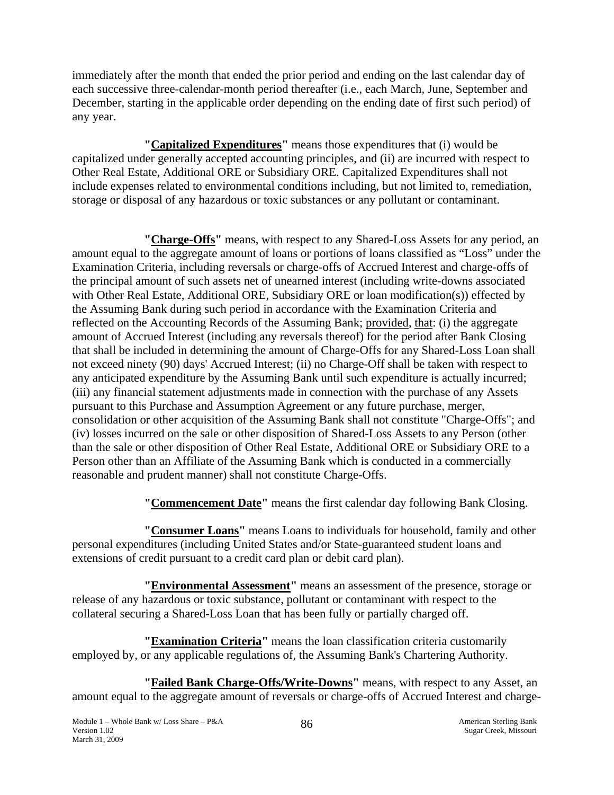immediately after the month that ended the prior period and ending on the last calendar day of each successive three-calendar-month period thereafter (i.e., each March, June, September and December, starting in the applicable order depending on the ending date of first such period) of any year.

**"Capitalized Expenditures"** means those expenditures that (i) would be capitalized under generally accepted accounting principles, and (ii) are incurred with respect to Other Real Estate, Additional ORE or Subsidiary ORE. Capitalized Expenditures shall not include expenses related to environmental conditions including, but not limited to, remediation, storage or disposal of any hazardous or toxic substances or any pollutant or contaminant.

**"Charge-Offs"** means, with respect to any Shared-Loss Assets for any period, an amount equal to the aggregate amount of loans or portions of loans classified as "Loss" under the Examination Criteria, including reversals or charge-offs of Accrued Interest and charge-offs of the principal amount of such assets net of unearned interest (including write-downs associated with Other Real Estate, Additional ORE, Subsidiary ORE or loan modification(s)) effected by the Assuming Bank during such period in accordance with the Examination Criteria and reflected on the Accounting Records of the Assuming Bank; provided, that: (i) the aggregate amount of Accrued Interest (including any reversals thereof) for the period after Bank Closing that shall be included in determining the amount of Charge-Offs for any Shared-Loss Loan shall not exceed ninety (90) days' Accrued Interest; (ii) no Charge-Off shall be taken with respect to any anticipated expenditure by the Assuming Bank until such expenditure is actually incurred; (iii) any financial statement adjustments made in connection with the purchase of any Assets pursuant to this Purchase and Assumption Agreement or any future purchase, merger, consolidation or other acquisition of the Assuming Bank shall not constitute "Charge-Offs"; and (iv) losses incurred on the sale or other disposition of Shared-Loss Assets to any Person (other than the sale or other disposition of Other Real Estate, Additional ORE or Subsidiary ORE to a Person other than an Affiliate of the Assuming Bank which is conducted in a commercially reasonable and prudent manner) shall not constitute Charge-Offs.

**"Commencement Date"** means the first calendar day following Bank Closing.

**"Consumer Loans"** means Loans to individuals for household, family and other personal expenditures (including United States and/or State-guaranteed student loans and extensions of credit pursuant to a credit card plan or debit card plan).

**"Environmental Assessment"** means an assessment of the presence, storage or release of any hazardous or toxic substance, pollutant or contaminant with respect to the collateral securing a Shared-Loss Loan that has been fully or partially charged off.

**"Examination Criteria"** means the loan classification criteria customarily employed by, or any applicable regulations of, the Assuming Bank's Chartering Authority.

**"Failed Bank Charge-Offs/Write-Downs"** means, with respect to any Asset, an amount equal to the aggregate amount of reversals or charge-offs of Accrued Interest and charge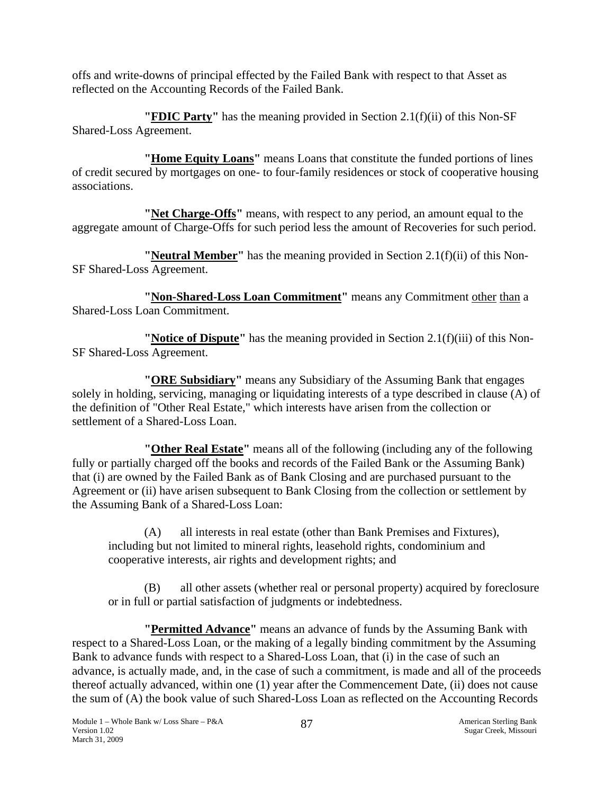offs and write-downs of principal effected by the Failed Bank with respect to that Asset as reflected on the Accounting Records of the Failed Bank.

**"FDIC Party"** has the meaning provided in Section 2.1(f)(ii) of this Non-SF Shared-Loss Agreement.

**"Home Equity Loans"** means Loans that constitute the funded portions of lines of credit secured by mortgages on one- to four-family residences or stock of cooperative housing associations.

**"Net Charge-Offs"** means, with respect to any period, an amount equal to the aggregate amount of Charge-Offs for such period less the amount of Recoveries for such period.

 SF Shared-Loss Agreement. **"Neutral Member"** has the meaning provided in Section 2.1(f)(ii) of this Non-

**"Non-Shared-Loss Loan Commitment"** means any Commitment other than a Shared-Loss Loan Commitment.

**"Notice of Dispute"** has the meaning provided in Section 2.1(f)(iii) of this Non-SF Shared-Loss Agreement.

**"ORE Subsidiary"** means any Subsidiary of the Assuming Bank that engages solely in holding, servicing, managing or liquidating interests of a type described in clause (A) of the definition of "Other Real Estate," which interests have arisen from the collection or settlement of a Shared-Loss Loan.

**"Other Real Estate"** means all of the following (including any of the following fully or partially charged off the books and records of the Failed Bank or the Assuming Bank) that (i) are owned by the Failed Bank as of Bank Closing and are purchased pursuant to the Agreement or (ii) have arisen subsequent to Bank Closing from the collection or settlement by the Assuming Bank of a Shared-Loss Loan:

(A) all interests in real estate (other than Bank Premises and Fixtures), including but not limited to mineral rights, leasehold rights, condominium and cooperative interests, air rights and development rights; and

(B) all other assets (whether real or personal property) acquired by foreclosure or in full or partial satisfaction of judgments or indebtedness.

**"Permitted Advance"** means an advance of funds by the Assuming Bank with respect to a Shared-Loss Loan, or the making of a legally binding commitment by the Assuming Bank to advance funds with respect to a Shared-Loss Loan, that (i) in the case of such an advance, is actually made, and, in the case of such a commitment, is made and all of the proceeds thereof actually advanced, within one (1) year after the Commencement Date, (ii) does not cause the sum of (A) the book value of such Shared-Loss Loan as reflected on the Accounting Records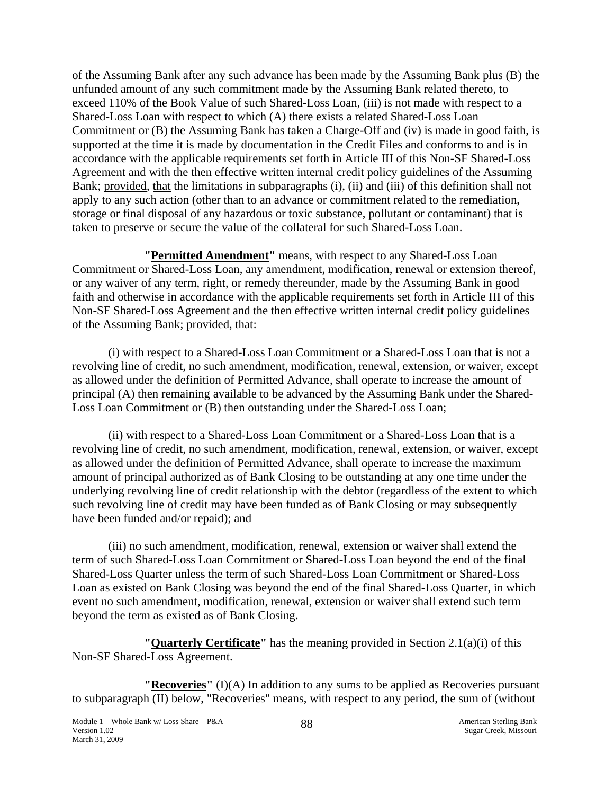of the Assuming Bank after any such advance has been made by the Assuming Bank plus (B) the unfunded amount of any such commitment made by the Assuming Bank related thereto, to exceed 110% of the Book Value of such Shared-Loss Loan, (iii) is not made with respect to a Shared-Loss Loan with respect to which (A) there exists a related Shared-Loss Loan Commitment or (B) the Assuming Bank has taken a Charge-Off and (iv) is made in good faith, is supported at the time it is made by documentation in the Credit Files and conforms to and is in accordance with the applicable requirements set forth in Article III of this Non-SF Shared-Loss Agreement and with the then effective written internal credit policy guidelines of the Assuming Bank; provided, that the limitations in subparagraphs (i), (ii) and (iii) of this definition shall not apply to any such action (other than to an advance or commitment related to the remediation, storage or final disposal of any hazardous or toxic substance, pollutant or contaminant) that is taken to preserve or secure the value of the collateral for such Shared-Loss Loan.

**"Permitted Amendment"** means, with respect to any Shared-Loss Loan Commitment or Shared-Loss Loan, any amendment, modification, renewal or extension thereof, or any waiver of any term, right, or remedy thereunder, made by the Assuming Bank in good faith and otherwise in accordance with the applicable requirements set forth in Article III of this Non-SF Shared-Loss Agreement and the then effective written internal credit policy guidelines of the Assuming Bank; provided, that:

(i) with respect to a Shared-Loss Loan Commitment or a Shared-Loss Loan that is not a revolving line of credit, no such amendment, modification, renewal, extension, or waiver, except as allowed under the definition of Permitted Advance, shall operate to increase the amount of principal (A) then remaining available to be advanced by the Assuming Bank under the Shared-Loss Loan Commitment or (B) then outstanding under the Shared-Loss Loan;

(ii) with respect to a Shared-Loss Loan Commitment or a Shared-Loss Loan that is a revolving line of credit, no such amendment, modification, renewal, extension, or waiver, except as allowed under the definition of Permitted Advance, shall operate to increase the maximum amount of principal authorized as of Bank Closing to be outstanding at any one time under the underlying revolving line of credit relationship with the debtor (regardless of the extent to which such revolving line of credit may have been funded as of Bank Closing or may subsequently have been funded and/or repaid); and

(iii) no such amendment, modification, renewal, extension or waiver shall extend the term of such Shared-Loss Loan Commitment or Shared-Loss Loan beyond the end of the final Shared-Loss Quarter unless the term of such Shared-Loss Loan Commitment or Shared-Loss Loan as existed on Bank Closing was beyond the end of the final Shared-Loss Quarter, in which event no such amendment, modification, renewal, extension or waiver shall extend such term beyond the term as existed as of Bank Closing.

**"Quarterly Certificate"** has the meaning provided in Section 2.1(a)(i) of this Non-SF Shared-Loss Agreement.

**"Recoveries"** (I)(A) In addition to any sums to be applied as Recoveries pursuant to subparagraph (II) below, "Recoveries" means, with respect to any period, the sum of (without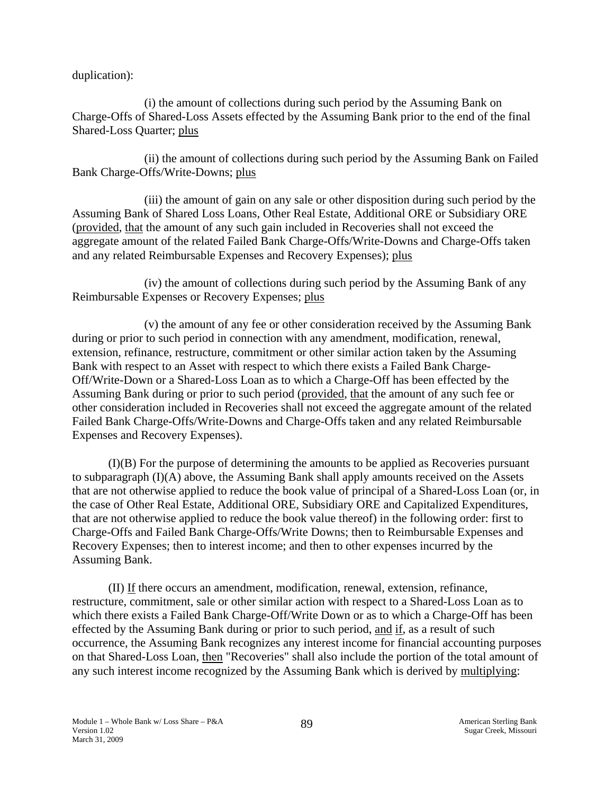duplication):

Shared-Loss Quarter; plus (i) the amount of collections during such period by the Assuming Bank on Charge-Offs of Shared-Loss Assets effected by the Assuming Bank prior to the end of the final

(ii) the amount of collections during such period by the Assuming Bank on Failed Bank Charge-Offs/Write-Downs; plus

(iii) the amount of gain on any sale or other disposition during such period by the Assuming Bank of Shared Loss Loans, Other Real Estate, Additional ORE or Subsidiary ORE (provided, that the amount of any such gain included in Recoveries shall not exceed the aggregate amount of the related Failed Bank Charge-Offs/Write-Downs and Charge-Offs taken and any related Reimbursable Expenses and Recovery Expenses); plus

(iv) the amount of collections during such period by the Assuming Bank of any Reimbursable Expenses or Recovery Expenses; plus

(v) the amount of any fee or other consideration received by the Assuming Bank during or prior to such period in connection with any amendment, modification, renewal, extension, refinance, restructure, commitment or other similar action taken by the Assuming Bank with respect to an Asset with respect to which there exists a Failed Bank Charge-Off/Write-Down or a Shared-Loss Loan as to which a Charge-Off has been effected by the Assuming Bank during or prior to such period (provided, that the amount of any such fee or other consideration included in Recoveries shall not exceed the aggregate amount of the related Failed Bank Charge-Offs/Write-Downs and Charge-Offs taken and any related Reimbursable Expenses and Recovery Expenses).

(I)(B) For the purpose of determining the amounts to be applied as Recoveries pursuant to subparagraph (I)(A) above, the Assuming Bank shall apply amounts received on the Assets that are not otherwise applied to reduce the book value of principal of a Shared-Loss Loan (or, in the case of Other Real Estate, Additional ORE, Subsidiary ORE and Capitalized Expenditures, that are not otherwise applied to reduce the book value thereof) in the following order: first to Charge-Offs and Failed Bank Charge-Offs/Write Downs; then to Reimbursable Expenses and Recovery Expenses; then to interest income; and then to other expenses incurred by the Assuming Bank.

(II) If there occurs an amendment, modification, renewal, extension, refinance, restructure, commitment, sale or other similar action with respect to a Shared-Loss Loan as to which there exists a Failed Bank Charge-Off/Write Down or as to which a Charge-Off has been effected by the Assuming Bank during or prior to such period, and if, as a result of such occurrence, the Assuming Bank recognizes any interest income for financial accounting purposes on that Shared-Loss Loan, then "Recoveries" shall also include the portion of the total amount of any such interest income recognized by the Assuming Bank which is derived by multiplying: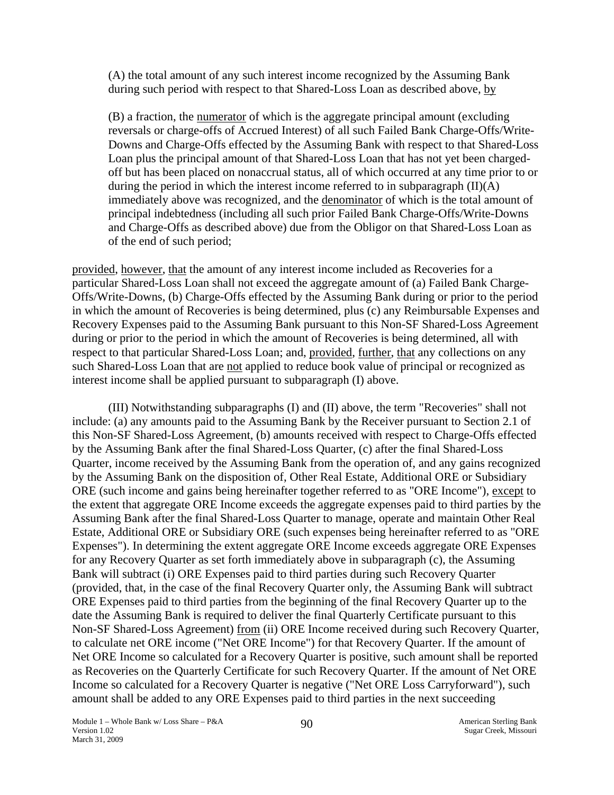(A) the total amount of any such interest income recognized by the Assuming Bank during such period with respect to that Shared-Loss Loan as described above, by

(B) a fraction, the numerator of which is the aggregate principal amount (excluding reversals or charge-offs of Accrued Interest) of all such Failed Bank Charge-Offs/Write-Downs and Charge-Offs effected by the Assuming Bank with respect to that Shared-Loss Loan plus the principal amount of that Shared-Loss Loan that has not yet been chargedoff but has been placed on nonaccrual status, all of which occurred at any time prior to or during the period in which the interest income referred to in subparagraph  $(II)(A)$ immediately above was recognized, and the denominator of which is the total amount of principal indebtedness (including all such prior Failed Bank Charge-Offs/Write-Downs and Charge-Offs as described above) due from the Obligor on that Shared-Loss Loan as of the end of such period;

provided, however, that the amount of any interest income included as Recoveries for a particular Shared-Loss Loan shall not exceed the aggregate amount of (a) Failed Bank Charge-Offs/Write-Downs, (b) Charge-Offs effected by the Assuming Bank during or prior to the period in which the amount of Recoveries is being determined, plus (c) any Reimbursable Expenses and Recovery Expenses paid to the Assuming Bank pursuant to this Non-SF Shared-Loss Agreement during or prior to the period in which the amount of Recoveries is being determined, all with respect to that particular Shared-Loss Loan; and, provided, further, that any collections on any such Shared-Loss Loan that are not applied to reduce book value of principal or recognized as interest income shall be applied pursuant to subparagraph (I) above.

(III) Notwithstanding subparagraphs (I) and (II) above, the term "Recoveries" shall not include: (a) any amounts paid to the Assuming Bank by the Receiver pursuant to Section 2.1 of this Non-SF Shared-Loss Agreement, (b) amounts received with respect to Charge-Offs effected by the Assuming Bank after the final Shared-Loss Quarter, (c) after the final Shared-Loss Quarter, income received by the Assuming Bank from the operation of, and any gains recognized by the Assuming Bank on the disposition of, Other Real Estate, Additional ORE or Subsidiary ORE (such income and gains being hereinafter together referred to as "ORE Income"), except to the extent that aggregate ORE Income exceeds the aggregate expenses paid to third parties by the Assuming Bank after the final Shared-Loss Quarter to manage, operate and maintain Other Real Estate, Additional ORE or Subsidiary ORE (such expenses being hereinafter referred to as "ORE Expenses"). In determining the extent aggregate ORE Income exceeds aggregate ORE Expenses for any Recovery Quarter as set forth immediately above in subparagraph (c), the Assuming Bank will subtract (i) ORE Expenses paid to third parties during such Recovery Quarter (provided, that, in the case of the final Recovery Quarter only, the Assuming Bank will subtract ORE Expenses paid to third parties from the beginning of the final Recovery Quarter up to the date the Assuming Bank is required to deliver the final Quarterly Certificate pursuant to this Non-SF Shared-Loss Agreement) from (ii) ORE Income received during such Recovery Quarter, to calculate net ORE income ("Net ORE Income") for that Recovery Quarter. If the amount of Net ORE Income so calculated for a Recovery Quarter is positive, such amount shall be reported as Recoveries on the Quarterly Certificate for such Recovery Quarter. If the amount of Net ORE Income so calculated for a Recovery Quarter is negative ("Net ORE Loss Carryforward"), such amount shall be added to any ORE Expenses paid to third parties in the next succeeding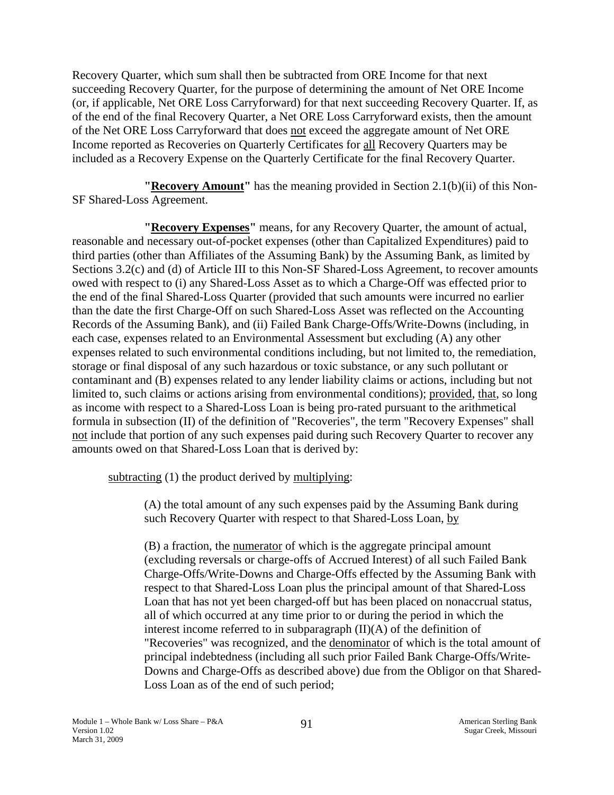Recovery Quarter, which sum shall then be subtracted from ORE Income for that next succeeding Recovery Quarter, for the purpose of determining the amount of Net ORE Income (or, if applicable, Net ORE Loss Carryforward) for that next succeeding Recovery Quarter. If, as of the end of the final Recovery Quarter, a Net ORE Loss Carryforward exists, then the amount of the Net ORE Loss Carryforward that does not exceed the aggregate amount of Net ORE Income reported as Recoveries on Quarterly Certificates for all Recovery Quarters may be included as a Recovery Expense on the Quarterly Certificate for the final Recovery Quarter.

**"Recovery Amount"** has the meaning provided in Section 2.1(b)(ii) of this Non-SF Shared-Loss Agreement.

**"Recovery Expenses"** means, for any Recovery Quarter, the amount of actual, reasonable and necessary out-of-pocket expenses (other than Capitalized Expenditures) paid to third parties (other than Affiliates of the Assuming Bank) by the Assuming Bank, as limited by Sections 3.2(c) and (d) of Article III to this Non-SF Shared-Loss Agreement, to recover amounts owed with respect to (i) any Shared-Loss Asset as to which a Charge-Off was effected prior to the end of the final Shared-Loss Quarter (provided that such amounts were incurred no earlier than the date the first Charge-Off on such Shared-Loss Asset was reflected on the Accounting Records of the Assuming Bank), and (ii) Failed Bank Charge-Offs/Write-Downs (including, in each case, expenses related to an Environmental Assessment but excluding (A) any other expenses related to such environmental conditions including, but not limited to, the remediation, storage or final disposal of any such hazardous or toxic substance, or any such pollutant or contaminant and (B) expenses related to any lender liability claims or actions, including but not limited to, such claims or actions arising from environmental conditions); provided, that, so long as income with respect to a Shared-Loss Loan is being pro-rated pursuant to the arithmetical formula in subsection (II) of the definition of "Recoveries", the term "Recovery Expenses" shall not include that portion of any such expenses paid during such Recovery Quarter to recover any amounts owed on that Shared-Loss Loan that is derived by:

subtracting (1) the product derived by multiplying:

(A) the total amount of any such expenses paid by the Assuming Bank during such Recovery Quarter with respect to that Shared-Loss Loan, by

(B) a fraction, the numerator of which is the aggregate principal amount (excluding reversals or charge-offs of Accrued Interest) of all such Failed Bank Charge-Offs/Write-Downs and Charge-Offs effected by the Assuming Bank with respect to that Shared-Loss Loan plus the principal amount of that Shared-Loss Loan that has not yet been charged-off but has been placed on nonaccrual status, all of which occurred at any time prior to or during the period in which the interest income referred to in subparagraph (II)(A) of the definition of "Recoveries" was recognized, and the denominator of which is the total amount of principal indebtedness (including all such prior Failed Bank Charge-Offs/Write-Downs and Charge-Offs as described above) due from the Obligor on that Shared-Loss Loan as of the end of such period;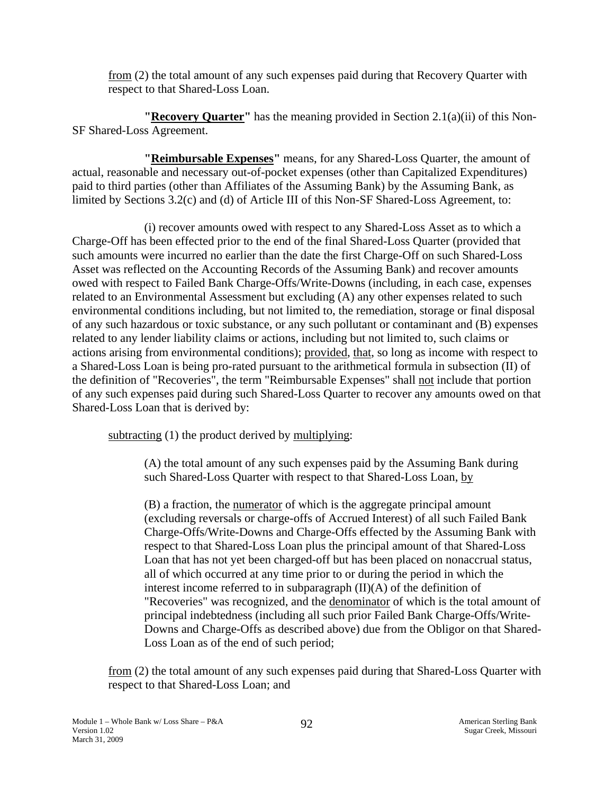from (2) the total amount of any such expenses paid during that Recovery Quarter with respect to that Shared-Loss Loan.

**"Recovery Quarter"** has the meaning provided in Section 2.1(a)(ii) of this Non-SF Shared-Loss Agreement.

**"Reimbursable Expenses"** means, for any Shared-Loss Quarter, the amount of actual, reasonable and necessary out-of-pocket expenses (other than Capitalized Expenditures) paid to third parties (other than Affiliates of the Assuming Bank) by the Assuming Bank, as limited by Sections 3.2(c) and (d) of Article III of this Non-SF Shared-Loss Agreement, to:

(i) recover amounts owed with respect to any Shared-Loss Asset as to which a Charge-Off has been effected prior to the end of the final Shared-Loss Quarter (provided that such amounts were incurred no earlier than the date the first Charge-Off on such Shared-Loss Asset was reflected on the Accounting Records of the Assuming Bank) and recover amounts owed with respect to Failed Bank Charge-Offs/Write-Downs (including, in each case, expenses related to an Environmental Assessment but excluding (A) any other expenses related to such environmental conditions including, but not limited to, the remediation, storage or final disposal of any such hazardous or toxic substance, or any such pollutant or contaminant and (B) expenses related to any lender liability claims or actions, including but not limited to, such claims or actions arising from environmental conditions); provided, that, so long as income with respect to a Shared-Loss Loan is being pro-rated pursuant to the arithmetical formula in subsection (II) of the definition of "Recoveries", the term "Reimbursable Expenses" shall not include that portion of any such expenses paid during such Shared-Loss Quarter to recover any amounts owed on that Shared-Loss Loan that is derived by:

subtracting (1) the product derived by multiplying:

(A) the total amount of any such expenses paid by the Assuming Bank during such Shared-Loss Quarter with respect to that Shared-Loss Loan, by

(B) a fraction, the numerator of which is the aggregate principal amount (excluding reversals or charge-offs of Accrued Interest) of all such Failed Bank Charge-Offs/Write-Downs and Charge-Offs effected by the Assuming Bank with respect to that Shared-Loss Loan plus the principal amount of that Shared-Loss Loan that has not yet been charged-off but has been placed on nonaccrual status, all of which occurred at any time prior to or during the period in which the interest income referred to in subparagraph  $(II)(A)$  of the definition of "Recoveries" was recognized, and the denominator of which is the total amount of principal indebtedness (including all such prior Failed Bank Charge-Offs/Write-Downs and Charge-Offs as described above) due from the Obligor on that Shared-Loss Loan as of the end of such period;

from (2) the total amount of any such expenses paid during that Shared-Loss Quarter with respect to that Shared-Loss Loan; and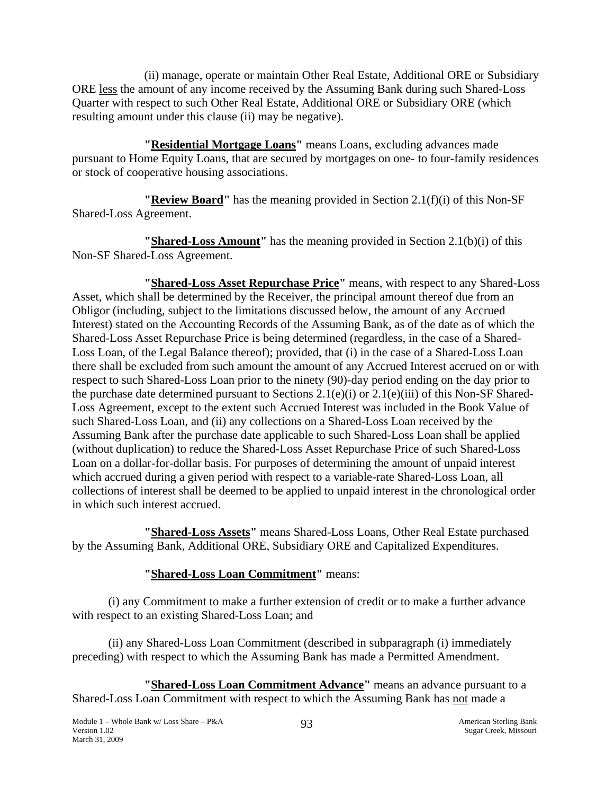(ii) manage, operate or maintain Other Real Estate, Additional ORE or Subsidiary ORE less the amount of any income received by the Assuming Bank during such Shared-Loss Quarter with respect to such Other Real Estate, Additional ORE or Subsidiary ORE (which resulting amount under this clause (ii) may be negative).

**"Residential Mortgage Loans"** means Loans, excluding advances made pursuant to Home Equity Loans, that are secured by mortgages on one- to four-family residences or stock of cooperative housing associations.

**"Review Board"** has the meaning provided in Section 2.1(f)(i) of this Non-SF Shared-Loss Agreement.

**"Shared-Loss Amount"** has the meaning provided in Section 2.1(b)(i) of this Non-SF Shared-Loss Agreement.

 in which such interest accrued. **"Shared-Loss Asset Repurchase Price"** means, with respect to any Shared-Loss Asset, which shall be determined by the Receiver, the principal amount thereof due from an Obligor (including, subject to the limitations discussed below, the amount of any Accrued Interest) stated on the Accounting Records of the Assuming Bank, as of the date as of which the Shared-Loss Asset Repurchase Price is being determined (regardless, in the case of a Shared-Loss Loan, of the Legal Balance thereof); provided, that (i) in the case of a Shared-Loss Loan there shall be excluded from such amount the amount of any Accrued Interest accrued on or with respect to such Shared-Loss Loan prior to the ninety (90)-day period ending on the day prior to the purchase date determined pursuant to Sections  $2.1(e)(i)$  or  $2.1(e)(iii)$  of this Non-SF Shared-Loss Agreement, except to the extent such Accrued Interest was included in the Book Value of such Shared-Loss Loan, and (ii) any collections on a Shared-Loss Loan received by the Assuming Bank after the purchase date applicable to such Shared-Loss Loan shall be applied (without duplication) to reduce the Shared-Loss Asset Repurchase Price of such Shared-Loss Loan on a dollar-for-dollar basis. For purposes of determining the amount of unpaid interest which accrued during a given period with respect to a variable-rate Shared-Loss Loan, all collections of interest shall be deemed to be applied to unpaid interest in the chronological order

**"Shared-Loss Assets"** means Shared-Loss Loans, Other Real Estate purchased by the Assuming Bank, Additional ORE, Subsidiary ORE and Capitalized Expenditures.

# **"Shared-Loss Loan Commitment"** means:

(i) any Commitment to make a further extension of credit or to make a further advance with respect to an existing Shared-Loss Loan; and

(ii) any Shared-Loss Loan Commitment (described in subparagraph (i) immediately preceding) with respect to which the Assuming Bank has made a Permitted Amendment.

**"Shared-Loss Loan Commitment Advance"** means an advance pursuant to a Shared-Loss Loan Commitment with respect to which the Assuming Bank has not made a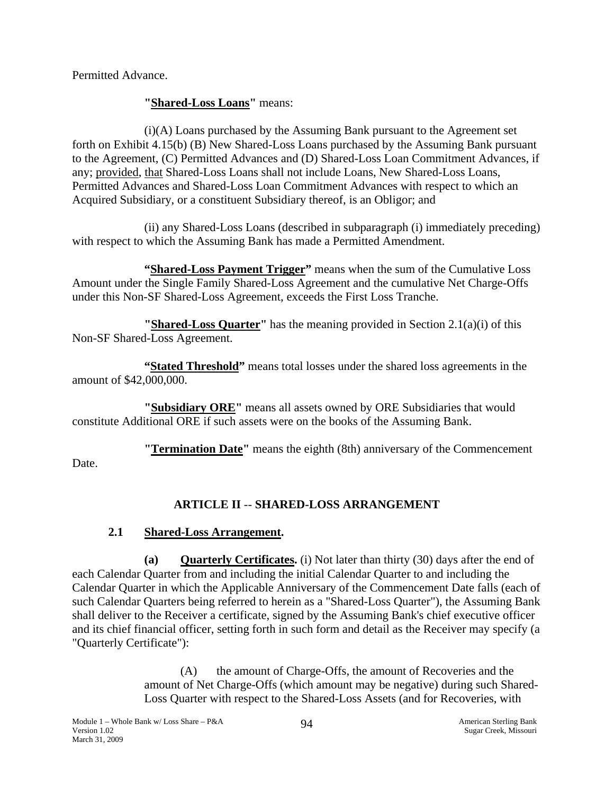Permitted Advance.

# **"Shared-Loss Loans"** means:

(i)(A) Loans purchased by the Assuming Bank pursuant to the Agreement set forth on Exhibit 4.15(b) (B) New Shared-Loss Loans purchased by the Assuming Bank pursuant to the Agreement, (C) Permitted Advances and (D) Shared-Loss Loan Commitment Advances, if any; provided, that Shared-Loss Loans shall not include Loans, New Shared-Loss Loans, Permitted Advances and Shared-Loss Loan Commitment Advances with respect to which an Acquired Subsidiary, or a constituent Subsidiary thereof, is an Obligor; and

(ii) any Shared-Loss Loans (described in subparagraph (i) immediately preceding) with respect to which the Assuming Bank has made a Permitted Amendment.

**"Shared-Loss Payment Trigger"** means when the sum of the Cumulative Loss Amount under the Single Family Shared-Loss Agreement and the cumulative Net Charge-Offs under this Non-SF Shared-Loss Agreement, exceeds the First Loss Tranche.

**"Shared-Loss Quarter"** has the meaning provided in Section 2.1(a)(i) of this Non-SF Shared-Loss Agreement.

**"Stated Threshold"** means total losses under the shared loss agreements in the amount of \$42,000,000.

**"Subsidiary ORE"** means all assets owned by ORE Subsidiaries that would constitute Additional ORE if such assets were on the books of the Assuming Bank.

**"Termination Date"** means the eighth (8th) anniversary of the Commencement Date.

# **ARTICLE II** -- **SHARED-LOSS ARRANGEMENT**

# **2.1 Shared-Loss Arrangement.**

**(a) Quarterly Certificates.** (i) Not later than thirty (30) days after the end of each Calendar Quarter from and including the initial Calendar Quarter to and including the Calendar Quarter in which the Applicable Anniversary of the Commencement Date falls (each of such Calendar Quarters being referred to herein as a "Shared-Loss Quarter"), the Assuming Bank shall deliver to the Receiver a certificate, signed by the Assuming Bank's chief executive officer and its chief financial officer, setting forth in such form and detail as the Receiver may specify (a "Quarterly Certificate"):

> (A) the amount of Charge-Offs, the amount of Recoveries and the amount of Net Charge-Offs (which amount may be negative) during such Shared-Loss Quarter with respect to the Shared-Loss Assets (and for Recoveries, with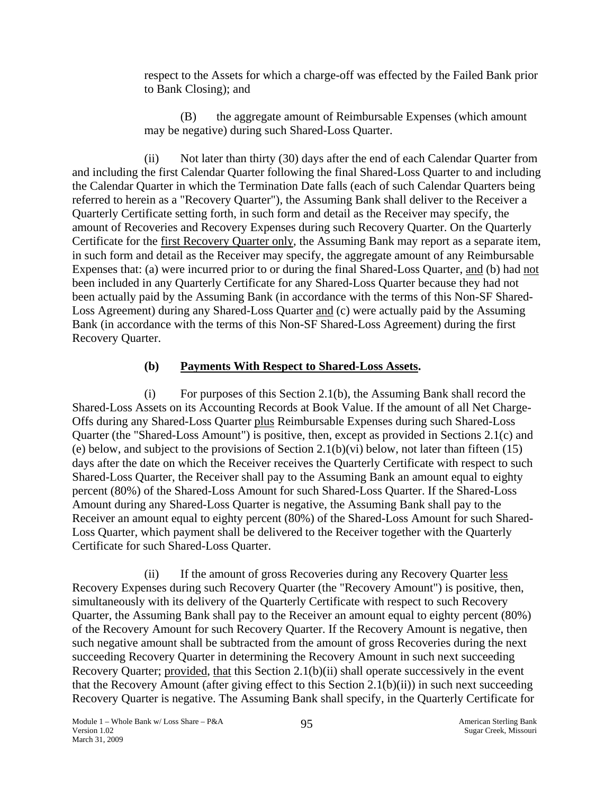respect to the Assets for which a charge-off was effected by the Failed Bank prior to Bank Closing); and

(B) the aggregate amount of Reimbursable Expenses (which amount may be negative) during such Shared-Loss Quarter.

(ii) Not later than thirty (30) days after the end of each Calendar Quarter from and including the first Calendar Quarter following the final Shared-Loss Quarter to and including the Calendar Quarter in which the Termination Date falls (each of such Calendar Quarters being referred to herein as a "Recovery Quarter"), the Assuming Bank shall deliver to the Receiver a Quarterly Certificate setting forth, in such form and detail as the Receiver may specify, the amount of Recoveries and Recovery Expenses during such Recovery Quarter. On the Quarterly Certificate for the first Recovery Quarter only, the Assuming Bank may report as a separate item, in such form and detail as the Receiver may specify, the aggregate amount of any Reimbursable Expenses that: (a) were incurred prior to or during the final Shared-Loss Quarter, and (b) had not been included in any Quarterly Certificate for any Shared-Loss Quarter because they had not been actually paid by the Assuming Bank (in accordance with the terms of this Non-SF Shared-Loss Agreement) during any Shared-Loss Quarter and (c) were actually paid by the Assuming Bank (in accordance with the terms of this Non-SF Shared-Loss Agreement) during the first Recovery Quarter.

## **(b) Payments With Respect to Shared-Loss Assets.**

 $(i)$  For purposes of this Section 2.1(b), the Assuming Bank shall record the Shared-Loss Assets on its Accounting Records at Book Value. If the amount of all Net Charge-Offs during any Shared-Loss Quarter plus Reimbursable Expenses during such Shared-Loss Quarter (the "Shared-Loss Amount") is positive, then, except as provided in Sections 2.1(c) and (e) below, and subject to the provisions of Section 2.1(b)(vi) below, not later than fifteen (15) days after the date on which the Receiver receives the Quarterly Certificate with respect to such Shared-Loss Quarter, the Receiver shall pay to the Assuming Bank an amount equal to eighty percent (80%) of the Shared-Loss Amount for such Shared-Loss Quarter. If the Shared-Loss Amount during any Shared-Loss Quarter is negative, the Assuming Bank shall pay to the Receiver an amount equal to eighty percent (80%) of the Shared-Loss Amount for such Shared-Loss Quarter, which payment shall be delivered to the Receiver together with the Quarterly Certificate for such Shared-Loss Quarter.

(ii) If the amount of gross Recoveries during any Recovery Quarter less Recovery Expenses during such Recovery Quarter (the "Recovery Amount") is positive, then, simultaneously with its delivery of the Quarterly Certificate with respect to such Recovery Quarter, the Assuming Bank shall pay to the Receiver an amount equal to eighty percent (80%) of the Recovery Amount for such Recovery Quarter. If the Recovery Amount is negative, then such negative amount shall be subtracted from the amount of gross Recoveries during the next succeeding Recovery Quarter in determining the Recovery Amount in such next succeeding Recovery Quarter; provided, that this Section 2.1(b)(ii) shall operate successively in the event that the Recovery Amount (after giving effect to this Section 2.1(b)(ii)) in such next succeeding Recovery Quarter is negative. The Assuming Bank shall specify, in the Quarterly Certificate for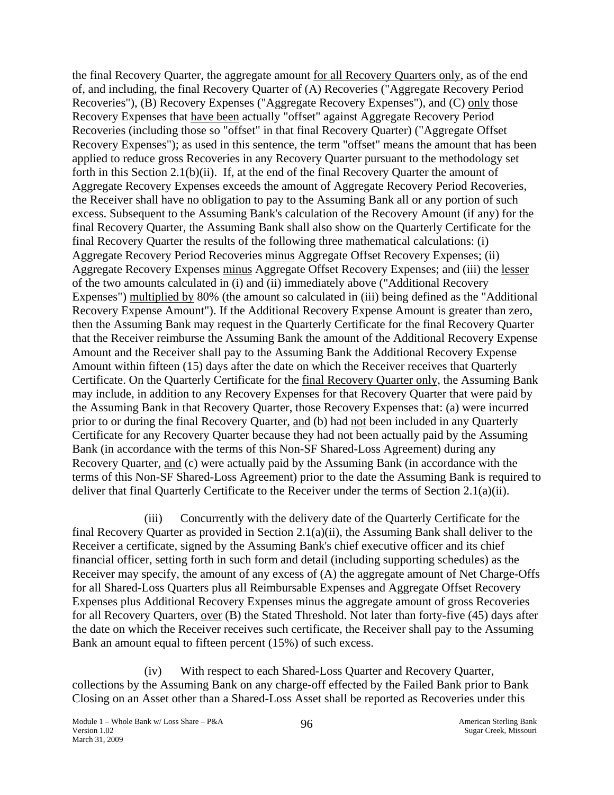the final Recovery Quarter, the aggregate amount for all Recovery Quarters only, as of the end of, and including, the final Recovery Quarter of (A) Recoveries ("Aggregate Recovery Period Recoveries"), (B) Recovery Expenses ("Aggregate Recovery Expenses"), and (C) only those Recovery Expenses that have been actually "offset" against Aggregate Recovery Period Recoveries (including those so "offset" in that final Recovery Quarter) ("Aggregate Offset Recovery Expenses"); as used in this sentence, the term "offset" means the amount that has been applied to reduce gross Recoveries in any Recovery Quarter pursuant to the methodology set forth in this Section 2.1(b)(ii). If, at the end of the final Recovery Quarter the amount of Aggregate Recovery Expenses exceeds the amount of Aggregate Recovery Period Recoveries, the Receiver shall have no obligation to pay to the Assuming Bank all or any portion of such excess. Subsequent to the Assuming Bank's calculation of the Recovery Amount (if any) for the final Recovery Quarter, the Assuming Bank shall also show on the Quarterly Certificate for the final Recovery Quarter the results of the following three mathematical calculations: (i) Aggregate Recovery Period Recoveries minus Aggregate Offset Recovery Expenses; (ii) Aggregate Recovery Expenses minus Aggregate Offset Recovery Expenses; and (iii) the lesser of the two amounts calculated in (i) and (ii) immediately above ("Additional Recovery Expenses") multiplied by 80% (the amount so calculated in (iii) being defined as the "Additional Recovery Expense Amount"). If the Additional Recovery Expense Amount is greater than zero, then the Assuming Bank may request in the Quarterly Certificate for the final Recovery Quarter that the Receiver reimburse the Assuming Bank the amount of the Additional Recovery Expense Amount and the Receiver shall pay to the Assuming Bank the Additional Recovery Expense Amount within fifteen (15) days after the date on which the Receiver receives that Quarterly Certificate. On the Quarterly Certificate for the final Recovery Quarter only, the Assuming Bank may include, in addition to any Recovery Expenses for that Recovery Quarter that were paid by the Assuming Bank in that Recovery Quarter, those Recovery Expenses that: (a) were incurred prior to or during the final Recovery Quarter, and (b) had not been included in any Quarterly Certificate for any Recovery Quarter because they had not been actually paid by the Assuming Bank (in accordance with the terms of this Non-SF Shared-Loss Agreement) during any Recovery Quarter, and (c) were actually paid by the Assuming Bank (in accordance with the terms of this Non-SF Shared-Loss Agreement) prior to the date the Assuming Bank is required to deliver that final Quarterly Certificate to the Receiver under the terms of Section 2.1(a)(ii).

(iii) Concurrently with the delivery date of the Quarterly Certificate for the final Recovery Quarter as provided in Section 2.1(a)(ii), the Assuming Bank shall deliver to the Receiver a certificate, signed by the Assuming Bank's chief executive officer and its chief financial officer, setting forth in such form and detail (including supporting schedules) as the Receiver may specify, the amount of any excess of (A) the aggregate amount of Net Charge-Offs for all Shared-Loss Quarters plus all Reimbursable Expenses and Aggregate Offset Recovery Expenses plus Additional Recovery Expenses minus the aggregate amount of gross Recoveries for all Recovery Quarters, over (B) the Stated Threshold. Not later than forty-five (45) days after the date on which the Receiver receives such certificate, the Receiver shall pay to the Assuming Bank an amount equal to fifteen percent (15%) of such excess.

(iv) With respect to each Shared-Loss Quarter and Recovery Quarter, collections by the Assuming Bank on any charge-off effected by the Failed Bank prior to Bank Closing on an Asset other than a Shared-Loss Asset shall be reported as Recoveries under this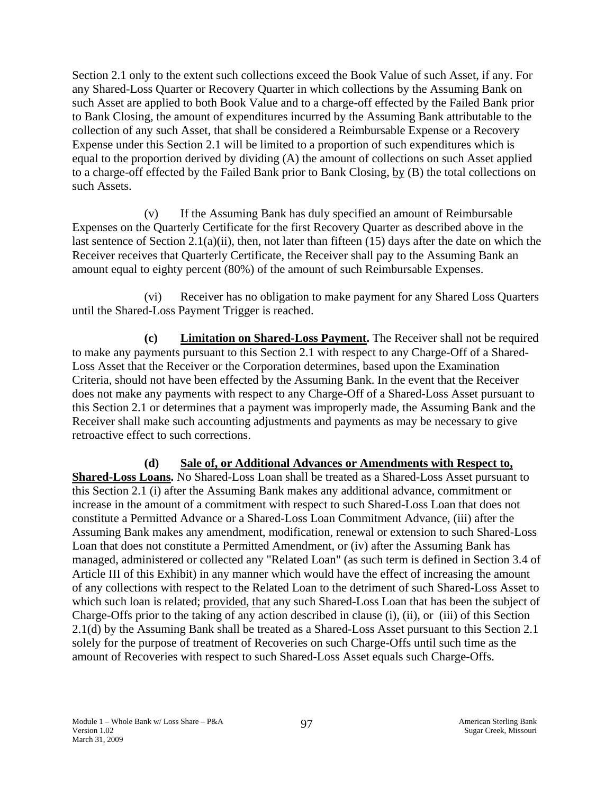Section 2.1 only to the extent such collections exceed the Book Value of such Asset, if any. For any Shared-Loss Quarter or Recovery Quarter in which collections by the Assuming Bank on such Asset are applied to both Book Value and to a charge-off effected by the Failed Bank prior to Bank Closing, the amount of expenditures incurred by the Assuming Bank attributable to the collection of any such Asset, that shall be considered a Reimbursable Expense or a Recovery Expense under this Section 2.1 will be limited to a proportion of such expenditures which is equal to the proportion derived by dividing (A) the amount of collections on such Asset applied to a charge-off effected by the Failed Bank prior to Bank Closing, by (B) the total collections on such Assets.

(v) If the Assuming Bank has duly specified an amount of Reimbursable Expenses on the Quarterly Certificate for the first Recovery Quarter as described above in the last sentence of Section 2.1(a)(ii), then, not later than fifteen (15) days after the date on which the Receiver receives that Quarterly Certificate, the Receiver shall pay to the Assuming Bank an amount equal to eighty percent (80%) of the amount of such Reimbursable Expenses.

(vi) Receiver has no obligation to make payment for any Shared Loss Quarters until the Shared-Loss Payment Trigger is reached.

**(c) Limitation on Shared-Loss Payment.** The Receiver shall not be required to make any payments pursuant to this Section 2.1 with respect to any Charge-Off of a Shared-Loss Asset that the Receiver or the Corporation determines, based upon the Examination Criteria, should not have been effected by the Assuming Bank. In the event that the Receiver does not make any payments with respect to any Charge-Off of a Shared-Loss Asset pursuant to this Section 2.1 or determines that a payment was improperly made, the Assuming Bank and the Receiver shall make such accounting adjustments and payments as may be necessary to give retroactive effect to such corrections.

### **(d) Sale of, or Additional Advances or Amendments with Respect to,**

**Shared-Loss Loans.** No Shared-Loss Loan shall be treated as a Shared-Loss Asset pursuant to this Section 2.1 (i) after the Assuming Bank makes any additional advance, commitment or increase in the amount of a commitment with respect to such Shared-Loss Loan that does not constitute a Permitted Advance or a Shared-Loss Loan Commitment Advance, (iii) after the Assuming Bank makes any amendment, modification, renewal or extension to such Shared-Loss Loan that does not constitute a Permitted Amendment, or (iv) after the Assuming Bank has managed, administered or collected any "Related Loan" (as such term is defined in Section 3.4 of Article III of this Exhibit) in any manner which would have the effect of increasing the amount of any collections with respect to the Related Loan to the detriment of such Shared-Loss Asset to which such loan is related; provided, that any such Shared-Loss Loan that has been the subject of Charge-Offs prior to the taking of any action described in clause (i), (ii), or (iii) of this Section 2.1(d) by the Assuming Bank shall be treated as a Shared-Loss Asset pursuant to this Section 2.1 solely for the purpose of treatment of Recoveries on such Charge-Offs until such time as the amount of Recoveries with respect to such Shared-Loss Asset equals such Charge-Offs.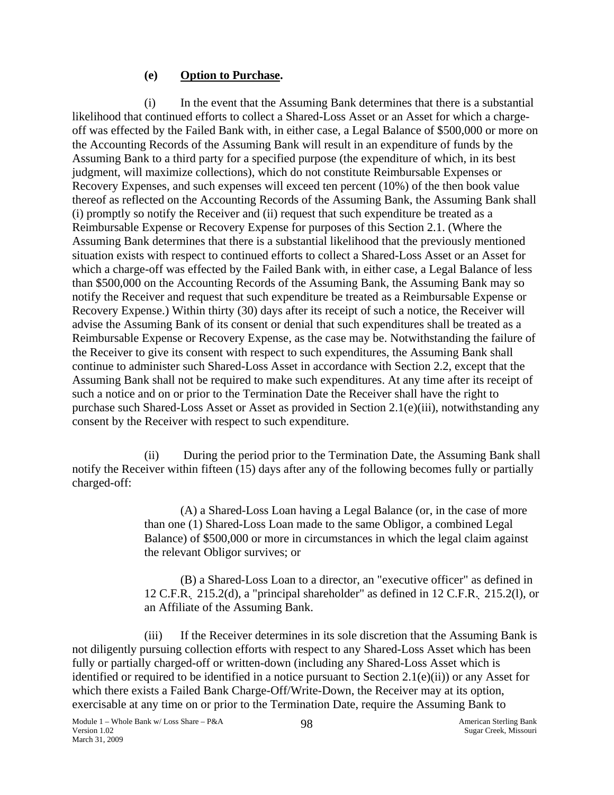### **(e) Option to Purchase.**

(i) In the event that the Assuming Bank determines that there is a substantial likelihood that continued efforts to collect a Shared-Loss Asset or an Asset for which a chargeoff was effected by the Failed Bank with, in either case, a Legal Balance of \$500,000 or more on the Accounting Records of the Assuming Bank will result in an expenditure of funds by the Assuming Bank to a third party for a specified purpose (the expenditure of which, in its best judgment, will maximize collections), which do not constitute Reimbursable Expenses or Recovery Expenses, and such expenses will exceed ten percent (10%) of the then book value thereof as reflected on the Accounting Records of the Assuming Bank, the Assuming Bank shall (i) promptly so notify the Receiver and (ii) request that such expenditure be treated as a Reimbursable Expense or Recovery Expense for purposes of this Section 2.1. (Where the Assuming Bank determines that there is a substantial likelihood that the previously mentioned situation exists with respect to continued efforts to collect a Shared-Loss Asset or an Asset for which a charge-off was effected by the Failed Bank with, in either case, a Legal Balance of less than \$500,000 on the Accounting Records of the Assuming Bank, the Assuming Bank may so notify the Receiver and request that such expenditure be treated as a Reimbursable Expense or Recovery Expense.) Within thirty (30) days after its receipt of such a notice, the Receiver will advise the Assuming Bank of its consent or denial that such expenditures shall be treated as a Reimbursable Expense or Recovery Expense, as the case may be. Notwithstanding the failure of the Receiver to give its consent with respect to such expenditures, the Assuming Bank shall continue to administer such Shared-Loss Asset in accordance with Section 2.2, except that the Assuming Bank shall not be required to make such expenditures. At any time after its receipt of such a notice and on or prior to the Termination Date the Receiver shall have the right to purchase such Shared-Loss Asset or Asset as provided in Section 2.1(e)(iii), notwithstanding any consent by the Receiver with respect to such expenditure.

(ii) During the period prior to the Termination Date, the Assuming Bank shall notify the Receiver within fifteen (15) days after any of the following becomes fully or partially charged-off:

> (A) a Shared-Loss Loan having a Legal Balance (or, in the case of more than one (1) Shared-Loss Loan made to the same Obligor, a combined Legal Balance) of \$500,000 or more in circumstances in which the legal claim against the relevant Obligor survives; or

(B) a Shared-Loss Loan to a director, an "executive officer" as defined in 12 C.F.R. 215.2(d), a "principal shareholder" as defined in 12 C.F.R. 215.2(l), or an Affiliate of the Assuming Bank.

(iii) If the Receiver determines in its sole discretion that the Assuming Bank is not diligently pursuing collection efforts with respect to any Shared-Loss Asset which has been fully or partially charged-off or written-down (including any Shared-Loss Asset which is identified or required to be identified in a notice pursuant to Section 2.1(e)(ii)) or any Asset for which there exists a Failed Bank Charge-Off/Write-Down, the Receiver may at its option, exercisable at any time on or prior to the Termination Date, require the Assuming Bank to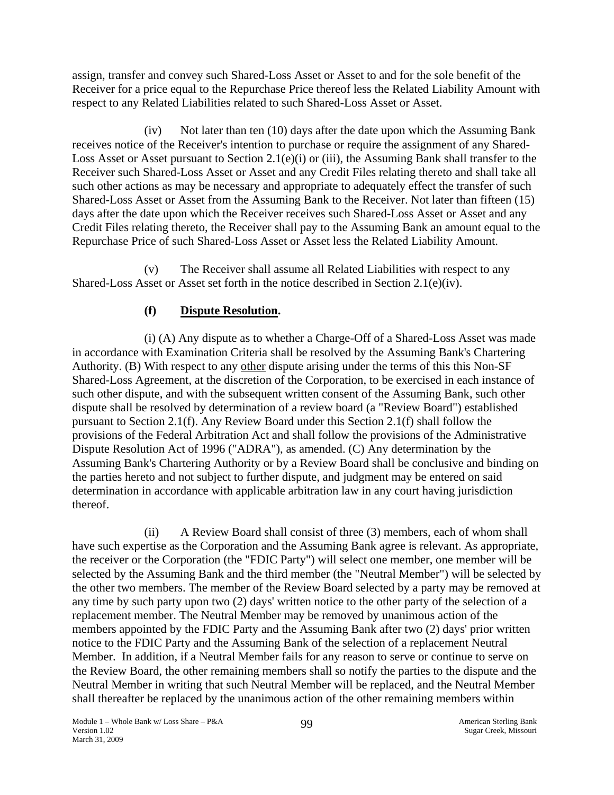assign, transfer and convey such Shared-Loss Asset or Asset to and for the sole benefit of the Receiver for a price equal to the Repurchase Price thereof less the Related Liability Amount with respect to any Related Liabilities related to such Shared-Loss Asset or Asset.

(iv) Not later than ten (10) days after the date upon which the Assuming Bank receives notice of the Receiver's intention to purchase or require the assignment of any Shared-Loss Asset or Asset pursuant to Section 2.1(e)(i) or (iii), the Assuming Bank shall transfer to the Receiver such Shared-Loss Asset or Asset and any Credit Files relating thereto and shall take all such other actions as may be necessary and appropriate to adequately effect the transfer of such Shared-Loss Asset or Asset from the Assuming Bank to the Receiver. Not later than fifteen (15) days after the date upon which the Receiver receives such Shared-Loss Asset or Asset and any Credit Files relating thereto, the Receiver shall pay to the Assuming Bank an amount equal to the Repurchase Price of such Shared-Loss Asset or Asset less the Related Liability Amount.

(v) The Receiver shall assume all Related Liabilities with respect to any Shared-Loss Asset or Asset set forth in the notice described in Section 2.1(e)(iv).

# **(f) Dispute Resolution.**

(i) (A) Any dispute as to whether a Charge-Off of a Shared-Loss Asset was made in accordance with Examination Criteria shall be resolved by the Assuming Bank's Chartering Authority. (B) With respect to any other dispute arising under the terms of this this Non-SF Shared-Loss Agreement, at the discretion of the Corporation, to be exercised in each instance of such other dispute, and with the subsequent written consent of the Assuming Bank, such other dispute shall be resolved by determination of a review board (a "Review Board") established pursuant to Section 2.1(f). Any Review Board under this Section 2.1(f) shall follow the provisions of the Federal Arbitration Act and shall follow the provisions of the Administrative Dispute Resolution Act of 1996 ("ADRA"), as amended. (C) Any determination by the Assuming Bank's Chartering Authority or by a Review Board shall be conclusive and binding on the parties hereto and not subject to further dispute, and judgment may be entered on said determination in accordance with applicable arbitration law in any court having jurisdiction thereof.

(ii) A Review Board shall consist of three (3) members, each of whom shall have such expertise as the Corporation and the Assuming Bank agree is relevant. As appropriate, the receiver or the Corporation (the "FDIC Party") will select one member, one member will be selected by the Assuming Bank and the third member (the "Neutral Member") will be selected by the other two members. The member of the Review Board selected by a party may be removed at any time by such party upon two (2) days' written notice to the other party of the selection of a replacement member. The Neutral Member may be removed by unanimous action of the members appointed by the FDIC Party and the Assuming Bank after two (2) days' prior written notice to the FDIC Party and the Assuming Bank of the selection of a replacement Neutral Member. In addition, if a Neutral Member fails for any reason to serve or continue to serve on the Review Board, the other remaining members shall so notify the parties to the dispute and the Neutral Member in writing that such Neutral Member will be replaced, and the Neutral Member shall thereafter be replaced by the unanimous action of the other remaining members within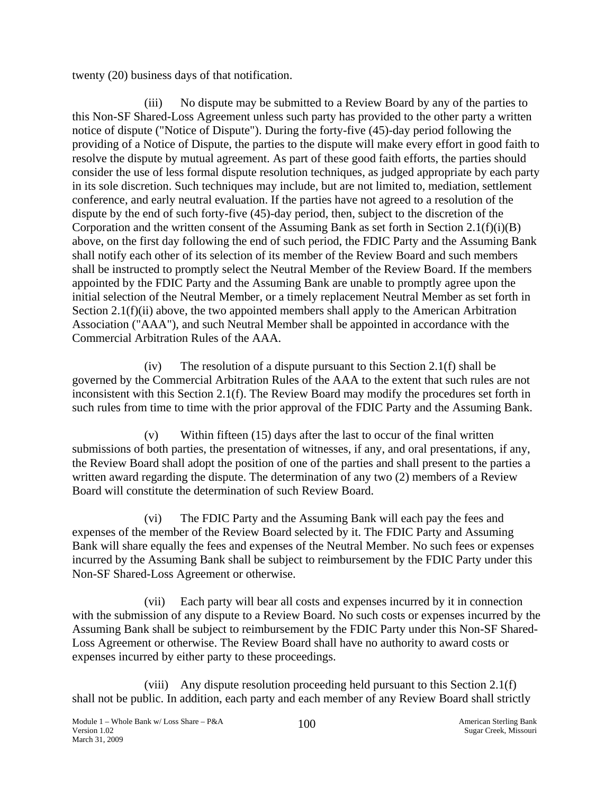twenty (20) business days of that notification.

(iii) No dispute may be submitted to a Review Board by any of the parties to this Non-SF Shared-Loss Agreement unless such party has provided to the other party a written notice of dispute ("Notice of Dispute"). During the forty-five (45)-day period following the providing of a Notice of Dispute, the parties to the dispute will make every effort in good faith to resolve the dispute by mutual agreement. As part of these good faith efforts, the parties should consider the use of less formal dispute resolution techniques, as judged appropriate by each party in its sole discretion. Such techniques may include, but are not limited to, mediation, settlement conference, and early neutral evaluation. If the parties have not agreed to a resolution of the dispute by the end of such forty-five (45)-day period, then, subject to the discretion of the Corporation and the written consent of the Assuming Bank as set forth in Section 2.1(f)(i)(B) above, on the first day following the end of such period, the FDIC Party and the Assuming Bank shall notify each other of its selection of its member of the Review Board and such members shall be instructed to promptly select the Neutral Member of the Review Board. If the members appointed by the FDIC Party and the Assuming Bank are unable to promptly agree upon the initial selection of the Neutral Member, or a timely replacement Neutral Member as set forth in Section 2.1(f)(ii) above, the two appointed members shall apply to the American Arbitration Association ("AAA"), and such Neutral Member shall be appointed in accordance with the Commercial Arbitration Rules of the AAA.

(iv) The resolution of a dispute pursuant to this Section 2.1(f) shall be governed by the Commercial Arbitration Rules of the AAA to the extent that such rules are not inconsistent with this Section 2.1(f). The Review Board may modify the procedures set forth in such rules from time to time with the prior approval of the FDIC Party and the Assuming Bank.

(v) Within fifteen (15) days after the last to occur of the final written submissions of both parties, the presentation of witnesses, if any, and oral presentations, if any, the Review Board shall adopt the position of one of the parties and shall present to the parties a written award regarding the dispute. The determination of any two (2) members of a Review Board will constitute the determination of such Review Board.

(vi) The FDIC Party and the Assuming Bank will each pay the fees and expenses of the member of the Review Board selected by it. The FDIC Party and Assuming Bank will share equally the fees and expenses of the Neutral Member. No such fees or expenses incurred by the Assuming Bank shall be subject to reimbursement by the FDIC Party under this Non-SF Shared-Loss Agreement or otherwise.

(vii) Each party will bear all costs and expenses incurred by it in connection with the submission of any dispute to a Review Board. No such costs or expenses incurred by the Assuming Bank shall be subject to reimbursement by the FDIC Party under this Non-SF Shared-Loss Agreement or otherwise. The Review Board shall have no authority to award costs or expenses incurred by either party to these proceedings.

(viii) Any dispute resolution proceeding held pursuant to this Section 2.1(f) shall not be public. In addition, each party and each member of any Review Board shall strictly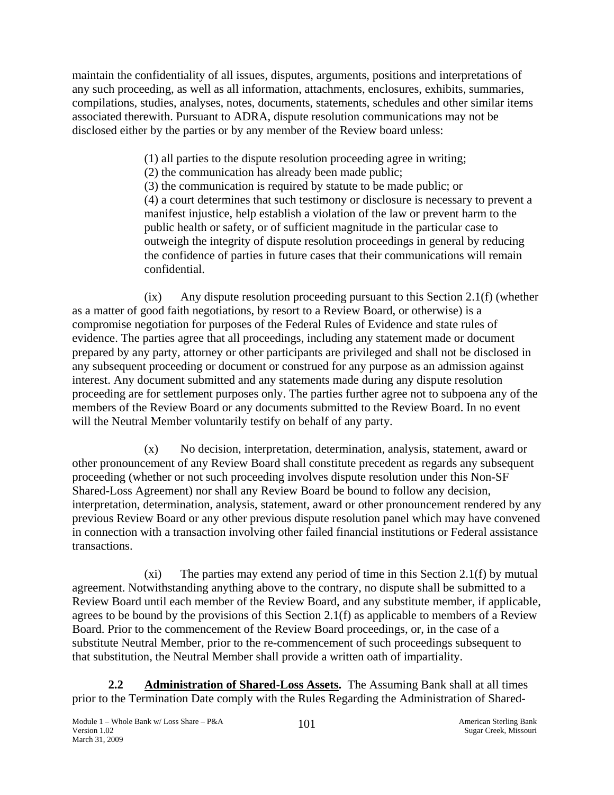maintain the confidentiality of all issues, disputes, arguments, positions and interpretations of any such proceeding, as well as all information, attachments, enclosures, exhibits, summaries, compilations, studies, analyses, notes, documents, statements, schedules and other similar items associated therewith. Pursuant to ADRA, dispute resolution communications may not be disclosed either by the parties or by any member of the Review board unless:

(1) all parties to the dispute resolution proceeding agree in writing;

(2) the communication has already been made public;

(3) the communication is required by statute to be made public; or (4) a court determines that such testimony or disclosure is necessary to prevent a manifest injustice, help establish a violation of the law or prevent harm to the public health or safety, or of sufficient magnitude in the particular case to outweigh the integrity of dispute resolution proceedings in general by reducing the confidence of parties in future cases that their communications will remain confidential.

(ix) Any dispute resolution proceeding pursuant to this Section 2.1(f) (whether as a matter of good faith negotiations, by resort to a Review Board, or otherwise) is a compromise negotiation for purposes of the Federal Rules of Evidence and state rules of evidence. The parties agree that all proceedings, including any statement made or document prepared by any party, attorney or other participants are privileged and shall not be disclosed in any subsequent proceeding or document or construed for any purpose as an admission against interest. Any document submitted and any statements made during any dispute resolution proceeding are for settlement purposes only. The parties further agree not to subpoena any of the members of the Review Board or any documents submitted to the Review Board. In no event will the Neutral Member voluntarily testify on behalf of any party.

(x) No decision, interpretation, determination, analysis, statement, award or other pronouncement of any Review Board shall constitute precedent as regards any subsequent proceeding (whether or not such proceeding involves dispute resolution under this Non-SF Shared-Loss Agreement) nor shall any Review Board be bound to follow any decision, interpretation, determination, analysis, statement, award or other pronouncement rendered by any previous Review Board or any other previous dispute resolution panel which may have convened in connection with a transaction involving other failed financial institutions or Federal assistance transactions.

(xi) The parties may extend any period of time in this Section 2.1(f) by mutual agreement. Notwithstanding anything above to the contrary, no dispute shall be submitted to a Review Board until each member of the Review Board, and any substitute member, if applicable, agrees to be bound by the provisions of this Section 2.1(f) as applicable to members of a Review Board. Prior to the commencement of the Review Board proceedings, or, in the case of a substitute Neutral Member, prior to the re-commencement of such proceedings subsequent to that substitution, the Neutral Member shall provide a written oath of impartiality.

**2.2 Administration of Shared-Loss Assets.** The Assuming Bank shall at all times prior to the Termination Date comply with the Rules Regarding the Administration of Shared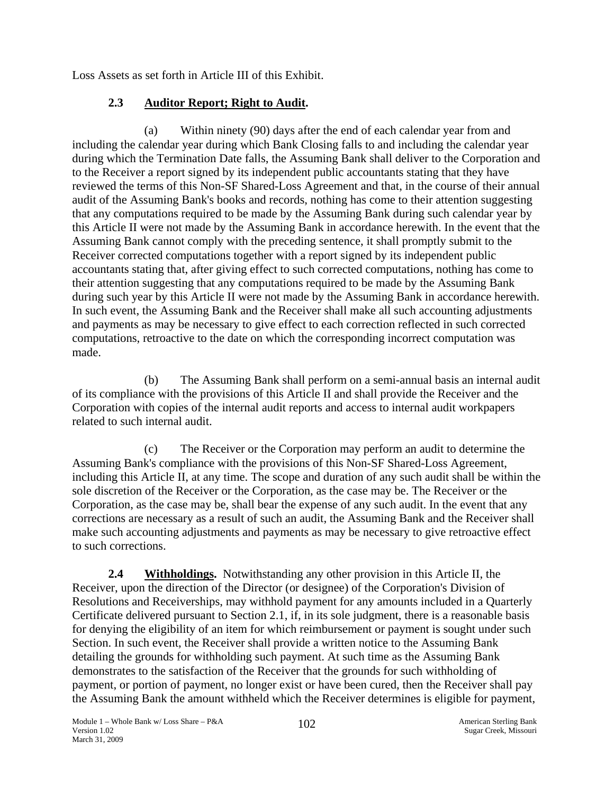Loss Assets as set forth in Article III of this Exhibit.

# **2.3 Auditor Report; Right to Audit.**

(a) Within ninety (90) days after the end of each calendar year from and including the calendar year during which Bank Closing falls to and including the calendar year during which the Termination Date falls, the Assuming Bank shall deliver to the Corporation and to the Receiver a report signed by its independent public accountants stating that they have reviewed the terms of this Non-SF Shared-Loss Agreement and that, in the course of their annual audit of the Assuming Bank's books and records, nothing has come to their attention suggesting that any computations required to be made by the Assuming Bank during such calendar year by this Article II were not made by the Assuming Bank in accordance herewith. In the event that the Assuming Bank cannot comply with the preceding sentence, it shall promptly submit to the Receiver corrected computations together with a report signed by its independent public accountants stating that, after giving effect to such corrected computations, nothing has come to their attention suggesting that any computations required to be made by the Assuming Bank during such year by this Article II were not made by the Assuming Bank in accordance herewith. In such event, the Assuming Bank and the Receiver shall make all such accounting adjustments and payments as may be necessary to give effect to each correction reflected in such corrected computations, retroactive to the date on which the corresponding incorrect computation was made.

(b) The Assuming Bank shall perform on a semi-annual basis an internal audit of its compliance with the provisions of this Article II and shall provide the Receiver and the Corporation with copies of the internal audit reports and access to internal audit workpapers related to such internal audit.

(c) The Receiver or the Corporation may perform an audit to determine the Assuming Bank's compliance with the provisions of this Non-SF Shared-Loss Agreement, including this Article II, at any time. The scope and duration of any such audit shall be within the sole discretion of the Receiver or the Corporation, as the case may be. The Receiver or the Corporation, as the case may be, shall bear the expense of any such audit. In the event that any corrections are necessary as a result of such an audit, the Assuming Bank and the Receiver shall make such accounting adjustments and payments as may be necessary to give retroactive effect to such corrections.

**2.4 Withholdings.** Notwithstanding any other provision in this Article II, the Receiver, upon the direction of the Director (or designee) of the Corporation's Division of Resolutions and Receiverships, may withhold payment for any amounts included in a Quarterly Certificate delivered pursuant to Section 2.1, if, in its sole judgment, there is a reasonable basis for denying the eligibility of an item for which reimbursement or payment is sought under such Section. In such event, the Receiver shall provide a written notice to the Assuming Bank detailing the grounds for withholding such payment. At such time as the Assuming Bank demonstrates to the satisfaction of the Receiver that the grounds for such withholding of payment, or portion of payment, no longer exist or have been cured, then the Receiver shall pay the Assuming Bank the amount withheld which the Receiver determines is eligible for payment,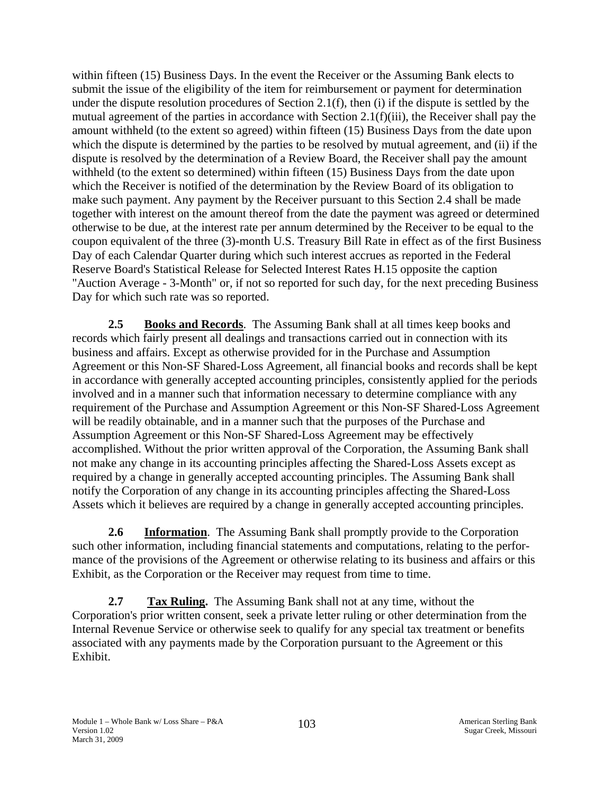within fifteen (15) Business Days. In the event the Receiver or the Assuming Bank elects to submit the issue of the eligibility of the item for reimbursement or payment for determination under the dispute resolution procedures of Section 2.1(f), then (i) if the dispute is settled by the mutual agreement of the parties in accordance with Section 2.1(f)(iii), the Receiver shall pay the amount withheld (to the extent so agreed) within fifteen (15) Business Days from the date upon which the dispute is determined by the parties to be resolved by mutual agreement, and (ii) if the dispute is resolved by the determination of a Review Board, the Receiver shall pay the amount withheld (to the extent so determined) within fifteen (15) Business Days from the date upon which the Receiver is notified of the determination by the Review Board of its obligation to make such payment. Any payment by the Receiver pursuant to this Section 2.4 shall be made together with interest on the amount thereof from the date the payment was agreed or determined otherwise to be due, at the interest rate per annum determined by the Receiver to be equal to the coupon equivalent of the three (3)-month U.S. Treasury Bill Rate in effect as of the first Business Day of each Calendar Quarter during which such interest accrues as reported in the Federal Reserve Board's Statistical Release for Selected Interest Rates H.15 opposite the caption "Auction Average - 3-Month" or, if not so reported for such day, for the next preceding Business Day for which such rate was so reported.

**2.5 Books and Records**. The Assuming Bank shall at all times keep books and records which fairly present all dealings and transactions carried out in connection with its business and affairs. Except as otherwise provided for in the Purchase and Assumption Agreement or this Non-SF Shared-Loss Agreement, all financial books and records shall be kept in accordance with generally accepted accounting principles, consistently applied for the periods involved and in a manner such that information necessary to determine compliance with any requirement of the Purchase and Assumption Agreement or this Non-SF Shared-Loss Agreement will be readily obtainable, and in a manner such that the purposes of the Purchase and Assumption Agreement or this Non-SF Shared-Loss Agreement may be effectively accomplished. Without the prior written approval of the Corporation, the Assuming Bank shall not make any change in its accounting principles affecting the Shared-Loss Assets except as required by a change in generally accepted accounting principles. The Assuming Bank shall notify the Corporation of any change in its accounting principles affecting the Shared-Loss Assets which it believes are required by a change in generally accepted accounting principles.

**2.6 Information**. The Assuming Bank shall promptly provide to the Corporation such other information, including financial statements and computations, relating to the performance of the provisions of the Agreement or otherwise relating to its business and affairs or this Exhibit, as the Corporation or the Receiver may request from time to time.

**2.7 Tax Ruling.** The Assuming Bank shall not at any time, without the Corporation's prior written consent, seek a private letter ruling or other determination from the Internal Revenue Service or otherwise seek to qualify for any special tax treatment or benefits associated with any payments made by the Corporation pursuant to the Agreement or this Exhibit.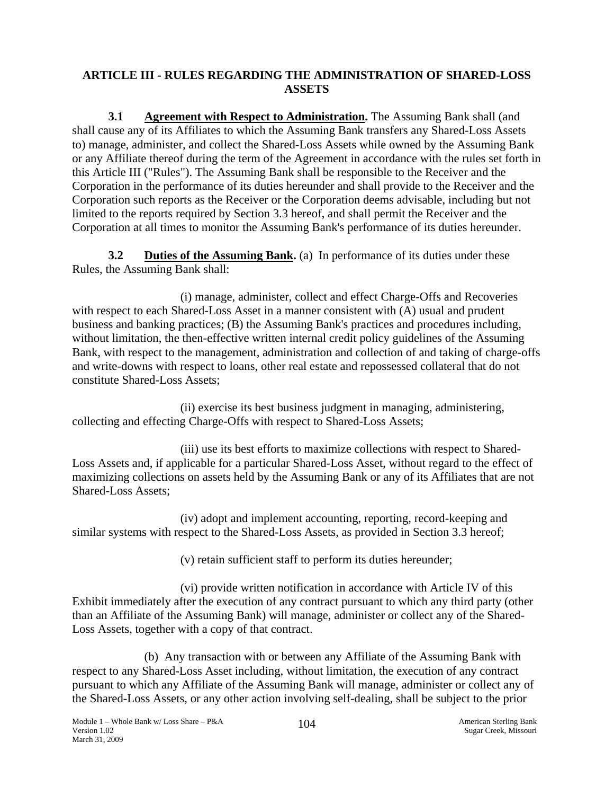# **ARTICLE III - RULES REGARDING THE ADMINISTRATION OF SHARED-LOSS ASSETS**

**3.1 Agreement with Respect to Administration.** The Assuming Bank shall (and shall cause any of its Affiliates to which the Assuming Bank transfers any Shared-Loss Assets to) manage, administer, and collect the Shared-Loss Assets while owned by the Assuming Bank or any Affiliate thereof during the term of the Agreement in accordance with the rules set forth in this Article III ("Rules"). The Assuming Bank shall be responsible to the Receiver and the Corporation in the performance of its duties hereunder and shall provide to the Receiver and the Corporation such reports as the Receiver or the Corporation deems advisable, including but not limited to the reports required by Section 3.3 hereof, and shall permit the Receiver and the Corporation at all times to monitor the Assuming Bank's performance of its duties hereunder.

**3.2 Duties of the Assuming Bank.** (a) In performance of its duties under these Rules, the Assuming Bank shall:

(i) manage, administer, collect and effect Charge-Offs and Recoveries with respect to each Shared-Loss Asset in a manner consistent with (A) usual and prudent business and banking practices; (B) the Assuming Bank's practices and procedures including, without limitation, the then-effective written internal credit policy guidelines of the Assuming Bank, with respect to the management, administration and collection of and taking of charge-offs and write-downs with respect to loans, other real estate and repossessed collateral that do not constitute Shared-Loss Assets;

(ii) exercise its best business judgment in managing, administering, collecting and effecting Charge-Offs with respect to Shared-Loss Assets;

(iii) use its best efforts to maximize collections with respect to Shared-Loss Assets and, if applicable for a particular Shared-Loss Asset, without regard to the effect of maximizing collections on assets held by the Assuming Bank or any of its Affiliates that are not Shared-Loss Assets;

(iv) adopt and implement accounting, reporting, record-keeping and similar systems with respect to the Shared-Loss Assets, as provided in Section 3.3 hereof;

(v) retain sufficient staff to perform its duties hereunder;

(vi) provide written notification in accordance with Article IV of this Exhibit immediately after the execution of any contract pursuant to which any third party (other than an Affiliate of the Assuming Bank) will manage, administer or collect any of the Shared-Loss Assets, together with a copy of that contract.

(b) Any transaction with or between any Affiliate of the Assuming Bank with respect to any Shared-Loss Asset including, without limitation, the execution of any contract pursuant to which any Affiliate of the Assuming Bank will manage, administer or collect any of the Shared-Loss Assets, or any other action involving self-dealing, shall be subject to the prior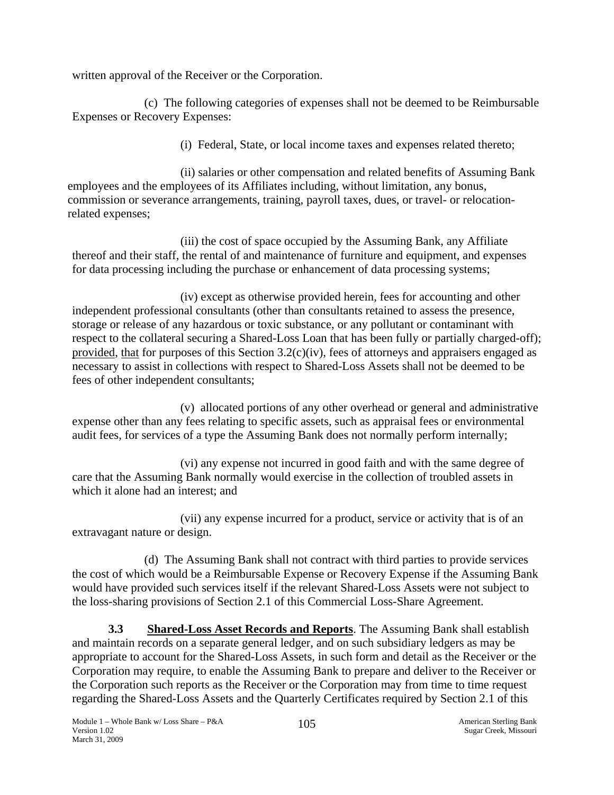written approval of the Receiver or the Corporation.

(c) The following categories of expenses shall not be deemed to be Reimbursable Expenses or Recovery Expenses:

(i) Federal, State, or local income taxes and expenses related thereto;

(ii) salaries or other compensation and related benefits of Assuming Bank employees and the employees of its Affiliates including, without limitation, any bonus, commission or severance arrangements, training, payroll taxes, dues, or travel- or relocationrelated expenses;

(iii) the cost of space occupied by the Assuming Bank, any Affiliate thereof and their staff, the rental of and maintenance of furniture and equipment, and expenses for data processing including the purchase or enhancement of data processing systems;

(iv) except as otherwise provided herein, fees for accounting and other independent professional consultants (other than consultants retained to assess the presence, storage or release of any hazardous or toxic substance, or any pollutant or contaminant with respect to the collateral securing a Shared-Loss Loan that has been fully or partially charged-off); provided, that for purposes of this Section 3.2(c)(iv), fees of attorneys and appraisers engaged as necessary to assist in collections with respect to Shared-Loss Assets shall not be deemed to be fees of other independent consultants;

(v) allocated portions of any other overhead or general and administrative expense other than any fees relating to specific assets, such as appraisal fees or environmental audit fees, for services of a type the Assuming Bank does not normally perform internally;

(vi) any expense not incurred in good faith and with the same degree of care that the Assuming Bank normally would exercise in the collection of troubled assets in which it alone had an interest; and

(vii) any expense incurred for a product, service or activity that is of an extravagant nature or design.

(d) The Assuming Bank shall not contract with third parties to provide services the cost of which would be a Reimbursable Expense or Recovery Expense if the Assuming Bank would have provided such services itself if the relevant Shared-Loss Assets were not subject to the loss-sharing provisions of Section 2.1 of this Commercial Loss-Share Agreement.

**3.3 Shared-Loss Asset Records and Reports**. The Assuming Bank shall establish and maintain records on a separate general ledger, and on such subsidiary ledgers as may be appropriate to account for the Shared-Loss Assets, in such form and detail as the Receiver or the Corporation may require, to enable the Assuming Bank to prepare and deliver to the Receiver or the Corporation such reports as the Receiver or the Corporation may from time to time request regarding the Shared-Loss Assets and the Quarterly Certificates required by Section 2.1 of this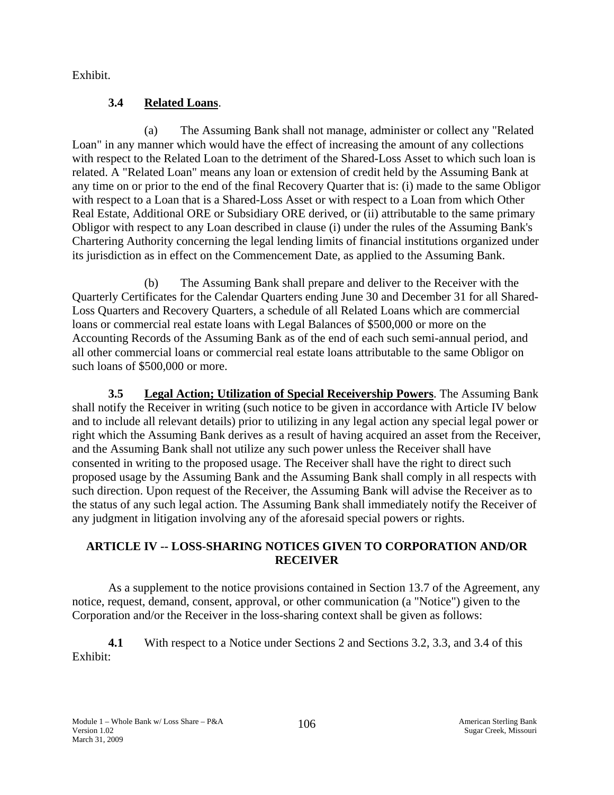Exhibit.

## **3.4 Related Loans**.

(a) The Assuming Bank shall not manage, administer or collect any "Related Loan" in any manner which would have the effect of increasing the amount of any collections with respect to the Related Loan to the detriment of the Shared-Loss Asset to which such loan is related. A "Related Loan" means any loan or extension of credit held by the Assuming Bank at any time on or prior to the end of the final Recovery Quarter that is: (i) made to the same Obligor with respect to a Loan that is a Shared-Loss Asset or with respect to a Loan from which Other Real Estate, Additional ORE or Subsidiary ORE derived, or (ii) attributable to the same primary Obligor with respect to any Loan described in clause (i) under the rules of the Assuming Bank's Chartering Authority concerning the legal lending limits of financial institutions organized under its jurisdiction as in effect on the Commencement Date, as applied to the Assuming Bank.

(b) The Assuming Bank shall prepare and deliver to the Receiver with the Quarterly Certificates for the Calendar Quarters ending June 30 and December 31 for all Shared-Loss Quarters and Recovery Quarters, a schedule of all Related Loans which are commercial loans or commercial real estate loans with Legal Balances of \$500,000 or more on the Accounting Records of the Assuming Bank as of the end of each such semi-annual period, and all other commercial loans or commercial real estate loans attributable to the same Obligor on such loans of \$500,000 or more.

**3.5 Legal Action; Utilization of Special Receivership Powers**. The Assuming Bank shall notify the Receiver in writing (such notice to be given in accordance with Article IV below and to include all relevant details) prior to utilizing in any legal action any special legal power or right which the Assuming Bank derives as a result of having acquired an asset from the Receiver, and the Assuming Bank shall not utilize any such power unless the Receiver shall have consented in writing to the proposed usage. The Receiver shall have the right to direct such proposed usage by the Assuming Bank and the Assuming Bank shall comply in all respects with such direction. Upon request of the Receiver, the Assuming Bank will advise the Receiver as to the status of any such legal action. The Assuming Bank shall immediately notify the Receiver of any judgment in litigation involving any of the aforesaid special powers or rights.

## **ARTICLE IV -- LOSS-SHARING NOTICES GIVEN TO CORPORATION AND/OR RECEIVER**

As a supplement to the notice provisions contained in Section 13.7 of the Agreement, any notice, request, demand, consent, approval, or other communication (a "Notice") given to the Corporation and/or the Receiver in the loss-sharing context shall be given as follows:

**4.1** With respect to a Notice under Sections 2 and Sections 3.2, 3.3, and 3.4 of this Exhibit: